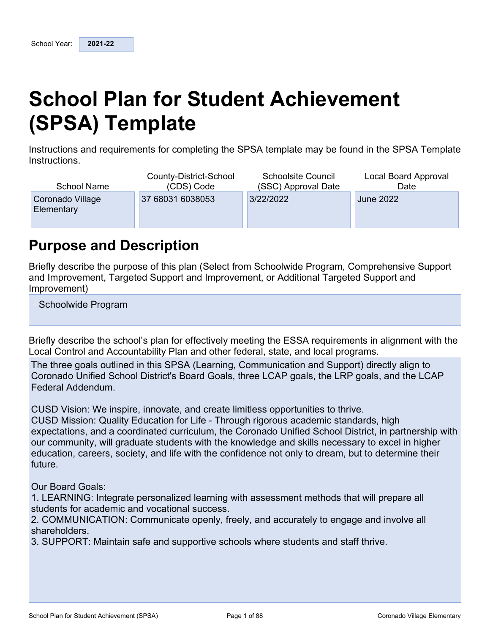# <span id="page-0-0"></span>**School Plan for Student Achievement (SPSA) Template**

Instructions and requirements for completing the SPSA template may be found in the SPSA Template Instructions.

| School Name                    | County-District-School | <b>Schoolsite Council</b> | Local Board Approval |
|--------------------------------|------------------------|---------------------------|----------------------|
|                                | (CDS) Code             | (SSC) Approval Date       | Date                 |
| Coronado Village<br>Elementary | 37 68031 6038053       | 3/22/2022                 | <b>June 2022</b>     |

## <span id="page-0-1"></span>**Purpose and Description**

Briefly describe the purpose of this plan (Select from Schoolwide Program, Comprehensive Support and Improvement, Targeted Support and Improvement, or Additional Targeted Support and Improvement)

Schoolwide Program

Briefly describe the school's plan for effectively meeting the ESSA requirements in alignment with the Local Control and Accountability Plan and other federal, state, and local programs.

The three goals outlined in this SPSA (Learning, Communication and Support) directly align to Coronado Unified School District's Board Goals, three LCAP goals, the LRP goals, and the LCAP Federal Addendum.

CUSD Vision: We inspire, innovate, and create limitless opportunities to thrive.

CUSD Mission: Quality Education for Life - Through rigorous academic standards, high expectations, and a coordinated curriculum, the Coronado Unified School District, in partnership with our community, will graduate students with the knowledge and skills necessary to excel in higher education, careers, society, and life with the confidence not only to dream, but to determine their future.

Our Board Goals:

1. LEARNING: Integrate personalized learning with assessment methods that will prepare all students for academic and vocational success.

2. COMMUNICATION: Communicate openly, freely, and accurately to engage and involve all shareholders.

3. SUPPORT: Maintain safe and supportive schools where students and staff thrive.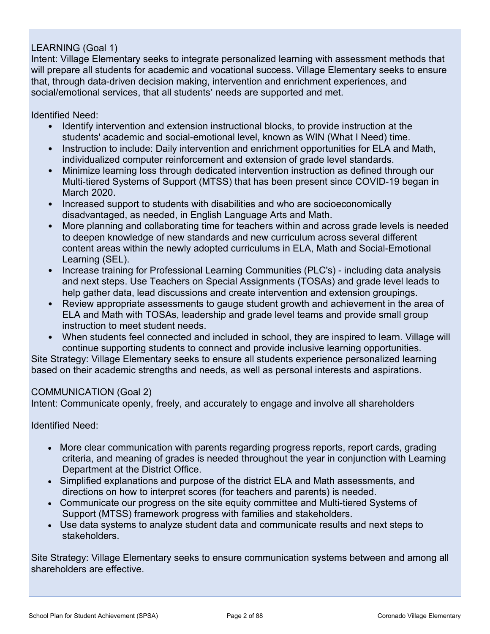### LEARNING (Goal 1)

Intent: Village Elementary seeks to integrate personalized learning with assessment methods that will prepare all students for academic and vocational success. Village Elementary seeks to ensure that, through data-driven decision making, intervention and enrichment experiences, and social/emotional services, that all students' needs are supported and met.

Identified Need:

- Identify intervention and extension instructional blocks, to provide instruction at the students' academic and social-emotional level, known as WIN (What I Need) time.
- Instruction to include: Daily intervention and enrichment opportunities for ELA and Math, individualized computer reinforcement and extension of grade level standards.
- Minimize learning loss through dedicated intervention instruction as defined through our Multi-tiered Systems of Support (MTSS) that has been present since COVID-19 began in March 2020.
- Increased support to students with disabilities and who are socioeconomically disadvantaged, as needed, in English Language Arts and Math.
- More planning and collaborating time for teachers within and across grade levels is needed to deepen knowledge of new standards and new curriculum across several different content areas within the newly adopted curriculums in ELA, Math and Social-Emotional Learning (SEL).
- Increase training for Professional Learning Communities (PLC's) including data analysis and next steps. Use Teachers on Special Assignments (TOSAs) and grade level leads to help gather data, lead discussions and create intervention and extension groupings.
- Review appropriate assessments to gauge student growth and achievement in the area of ELA and Math with TOSAs, leadership and grade level teams and provide small group instruction to meet student needs.
- When students feel connected and included in school, they are inspired to learn. Village will continue supporting students to connect and provide inclusive learning opportunities.

Site Strategy: Village Elementary seeks to ensure all students experience personalized learning based on their academic strengths and needs, as well as personal interests and aspirations.

### COMMUNICATION (Goal 2)

Intent: Communicate openly, freely, and accurately to engage and involve all shareholders

Identified Need:

- More clear communication with parents regarding progress reports, report cards, grading criteria, and meaning of grades is needed throughout the year in conjunction with Learning Department at the District Office.
- Simplified explanations and purpose of the district ELA and Math assessments, and directions on how to interpret scores (for teachers and parents) is needed.
- Communicate our progress on the site equity committee and Multi-tiered Systems of Support (MTSS) framework progress with families and stakeholders.
- Use data systems to analyze student data and communicate results and next steps to stakeholders.

Site Strategy: Village Elementary seeks to ensure communication systems between and among all shareholders are effective.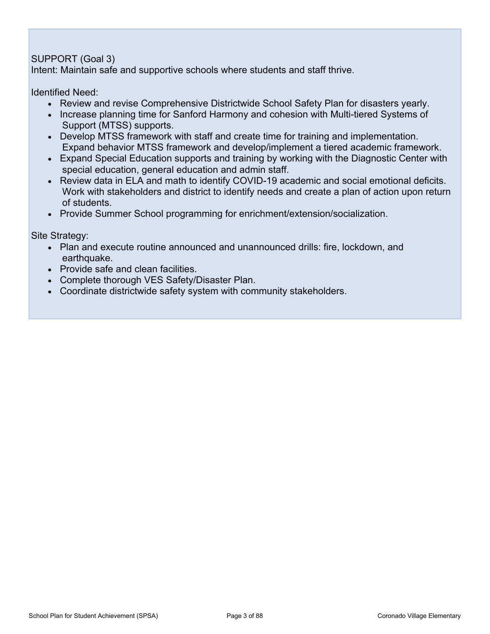### SUPPORT (Goal 3)

Intent: Maintain safe and supportive schools where students and staff thrive.

Identified Need:

- Review and revise Comprehensive Districtwide School Safety Plan for disasters yearly.
- Increase planning time for Sanford Harmony and cohesion with Multi-tiered Systems of Support (MTSS) supports.
- Develop MTSS framework with staff and create time for training and implementation. Expand behavior MTSS framework and develop/implement a tiered academic framework.
- Expand Special Education supports and training by working with the Diagnostic Center with special education, general education and admin staff.
- Review data in ELA and math to identify COVID-19 academic and social emotional deficits. Work with stakeholders and district to identify needs and create a plan of action upon return of students.
- Provide Summer School programming for enrichment/extension/socialization.

Site Strategy:

- Plan and execute routine announced and unannounced drills: fire, lockdown, and earthquake.
- Provide safe and clean facilities.
- Complete thorough VES Safety/Disaster Plan.
- Coordinate districtwide safety system with community stakeholders.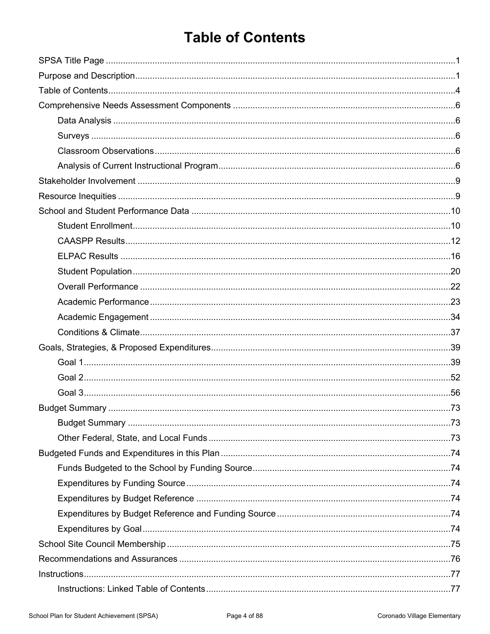## <span id="page-3-0"></span>**Table of Contents**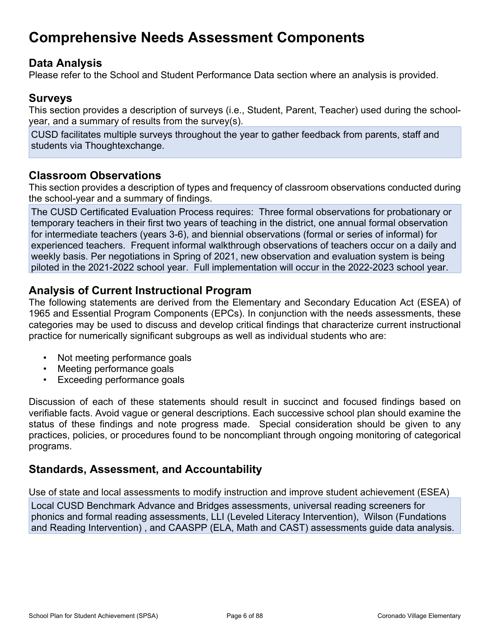## <span id="page-5-0"></span>**Comprehensive Needs Assessment Components**

### <span id="page-5-1"></span>**Data Analysis**

Please refer to the School and Student Performance Data section where an analysis is provided.

## <span id="page-5-2"></span>**Surveys**

This section provides a description of surveys (i.e., Student, Parent, Teacher) used during the schoolyear, and a summary of results from the survey(s).

CUSD facilitates multiple surveys throughout the year to gather feedback from parents, staff and students via Thoughtexchange.

### <span id="page-5-3"></span>**Classroom Observations**

This section provides a description of types and frequency of classroom observations conducted during the school-year and a summary of findings.

The CUSD Certificated Evaluation Process requires: Three formal observations for probationary or temporary teachers in their first two years of teaching in the district, one annual formal observation for intermediate teachers (years 3-6), and biennial observations (formal or series of informal) for experienced teachers. Frequent informal walkthrough observations of teachers occur on a daily and weekly basis. Per negotiations in Spring of 2021, new observation and evaluation system is being piloted in the 2021-2022 school year. Full implementation will occur in the 2022-2023 school year.

### <span id="page-5-4"></span>**Analysis of Current Instructional Program**

The following statements are derived from the Elementary and Secondary Education Act (ESEA) of 1965 and Essential Program Components (EPCs). In conjunction with the needs assessments, these categories may be used to discuss and develop critical findings that characterize current instructional practice for numerically significant subgroups as well as individual students who are:

- Not meeting performance goals
- Meeting performance goals
- Exceeding performance goals

Discussion of each of these statements should result in succinct and focused findings based on verifiable facts. Avoid vague or general descriptions. Each successive school plan should examine the status of these findings and note progress made. Special consideration should be given to any practices, policies, or procedures found to be noncompliant through ongoing monitoring of categorical programs.

### **Standards, Assessment, and Accountability**

Use of state and local assessments to modify instruction and improve student achievement (ESEA)

Local CUSD Benchmark Advance and Bridges assessments, universal reading screeners for phonics and formal reading assessments, LLI (Leveled Literacy Intervention), Wilson (Fundations and Reading Intervention) , and CAASPP (ELA, Math and CAST) assessments guide data analysis.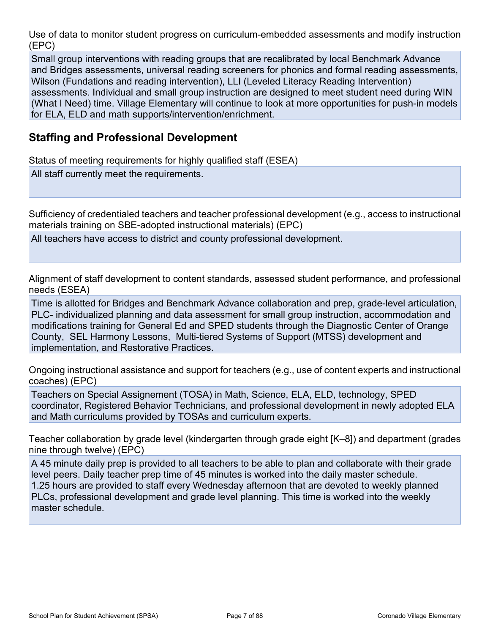Use of data to monitor student progress on curriculum-embedded assessments and modify instruction (EPC)

Small group interventions with reading groups that are recalibrated by local Benchmark Advance and Bridges assessments, universal reading screeners for phonics and formal reading assessments, Wilson (Fundations and reading intervention), LLI (Leveled Literacy Reading Intervention) assessments. Individual and small group instruction are designed to meet student need during WIN (What I Need) time. Village Elementary will continue to look at more opportunities for push-in models for ELA, ELD and math supports/intervention/enrichment.

### **Staffing and Professional Development**

Status of meeting requirements for highly qualified staff (ESEA)

All staff currently meet the requirements.

Sufficiency of credentialed teachers and teacher professional development (e.g., access to instructional materials training on SBE-adopted instructional materials) (EPC)

All teachers have access to district and county professional development.

Alignment of staff development to content standards, assessed student performance, and professional needs (ESEA)

Time is allotted for Bridges and Benchmark Advance collaboration and prep, grade-level articulation, PLC- individualized planning and data assessment for small group instruction, accommodation and modifications training for General Ed and SPED students through the Diagnostic Center of Orange County, SEL Harmony Lessons, Multi-tiered Systems of Support (MTSS) development and implementation, and Restorative Practices.

Ongoing instructional assistance and support for teachers (e.g., use of content experts and instructional coaches) (EPC)

Teachers on Special Assignement (TOSA) in Math, Science, ELA, ELD, technology, SPED coordinator, Registered Behavior Technicians, and professional development in newly adopted ELA and Math curriculums provided by TOSAs and curriculum experts.

Teacher collaboration by grade level (kindergarten through grade eight [K–8]) and department (grades nine through twelve) (EPC)

A 45 minute daily prep is provided to all teachers to be able to plan and collaborate with their grade level peers. Daily teacher prep time of 45 minutes is worked into the daily master schedule. 1.25 hours are provided to staff every Wednesday afternoon that are devoted to weekly planned PLCs, professional development and grade level planning. This time is worked into the weekly master schedule.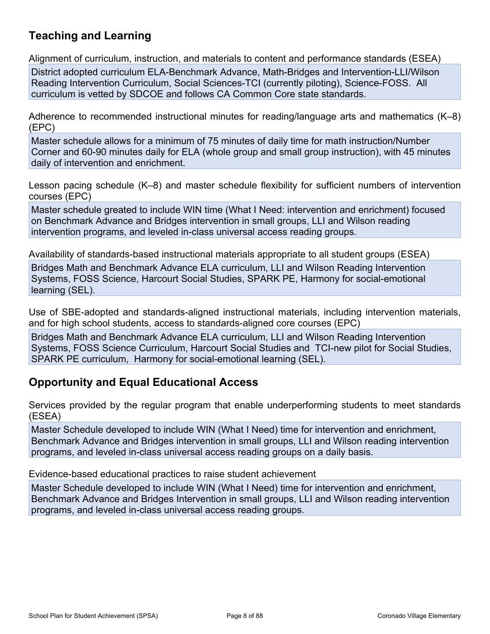## **Teaching and Learning**

Alignment of curriculum, instruction, and materials to content and performance standards (ESEA)

District adopted curriculum ELA-Benchmark Advance, Math-Bridges and Intervention-LLI/Wilson Reading Intervention Curriculum, Social Sciences-TCI (currently piloting), Science-FOSS. All curriculum is vetted by SDCOE and follows CA Common Core state standards.

Adherence to recommended instructional minutes for reading/language arts and mathematics (K–8) (EPC)

Master schedule allows for a minimum of 75 minutes of daily time for math instruction/Number Corner and 60-90 minutes daily for ELA (whole group and small group instruction), with 45 minutes daily of intervention and enrichment.

Lesson pacing schedule (K–8) and master schedule flexibility for sufficient numbers of intervention courses (EPC)

Master schedule greated to include WIN time (What I Need: intervention and enrichment) focused on Benchmark Advance and Bridges intervention in small groups, LLI and Wilson reading intervention programs, and leveled in-class universal access reading groups.

Availability of standards-based instructional materials appropriate to all student groups (ESEA)

Bridges Math and Benchmark Advance ELA curriculum, LLI and Wilson Reading Intervention Systems, FOSS Science, Harcourt Social Studies, SPARK PE, Harmony for social-emotional learning (SEL).

Use of SBE-adopted and standards-aligned instructional materials, including intervention materials, and for high school students, access to standards-aligned core courses (EPC)

Bridges Math and Benchmark Advance ELA curriculum, LLI and Wilson Reading Intervention Systems, FOSS Science Curriculum, Harcourt Social Studies and TCI-new pilot for Social Studies, SPARK PE curriculum, Harmony for social-emotional learning (SEL).

### **Opportunity and Equal Educational Access**

Services provided by the regular program that enable underperforming students to meet standards (ESEA)

Master Schedule developed to include WIN (What I Need) time for intervention and enrichment, Benchmark Advance and Bridges intervention in small groups, LLI and Wilson reading intervention programs, and leveled in-class universal access reading groups on a daily basis.

Evidence-based educational practices to raise student achievement

Master Schedule developed to include WIN (What I Need) time for intervention and enrichment, Benchmark Advance and Bridges Intervention in small groups, LLI and Wilson reading intervention programs, and leveled in-class universal access reading groups.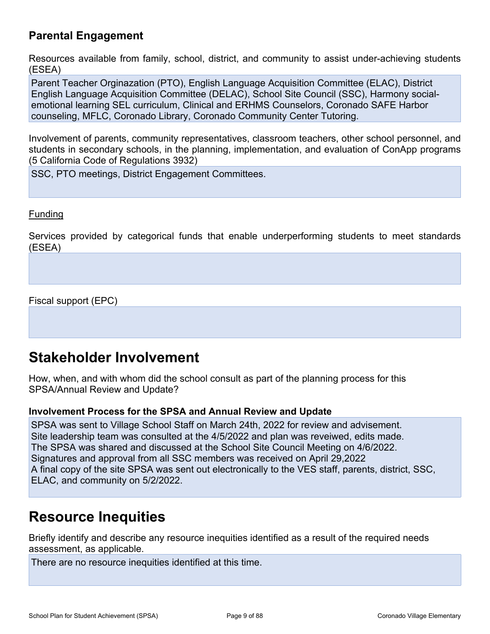## **Parental Engagement**

Resources available from family, school, district, and community to assist under-achieving students (ESEA)

Parent Teacher Orginazation (PTO), English Language Acquisition Committee (ELAC), District English Language Acquisition Committee (DELAC), School Site Council (SSC), Harmony socialemotional learning SEL curriculum, Clinical and ERHMS Counselors, Coronado SAFE Harbor counseling, MFLC, Coronado Library, Coronado Community Center Tutoring.

Involvement of parents, community representatives, classroom teachers, other school personnel, and students in secondary schools, in the planning, implementation, and evaluation of ConApp programs (5 California Code of Regulations 3932)

SSC, PTO meetings, District Engagement Committees.

#### Funding

Services provided by categorical funds that enable underperforming students to meet standards (ESEA)

Fiscal support (EPC)

## <span id="page-8-0"></span>**Stakeholder Involvement**

How, when, and with whom did the school consult as part of the planning process for this SPSA/Annual Review and Update?

#### **Involvement Process for the SPSA and Annual Review and Update**

SPSA was sent to Village School Staff on March 24th, 2022 for review and advisement. Site leadership team was consulted at the 4/5/2022 and plan was reveiwed, edits made. The SPSA was shared and discussed at the School Site Council Meeting on 4/6/2022. Signatures and approval from all SSC members was received on April 29,2022 A final copy of the site SPSA was sent out electronically to the VES staff, parents, district, SSC, ELAC, and community on 5/2/2022.

## <span id="page-8-1"></span>**Resource Inequities**

Briefly identify and describe any resource inequities identified as a result of the required needs assessment, as applicable.

There are no resource inequities identified at this time.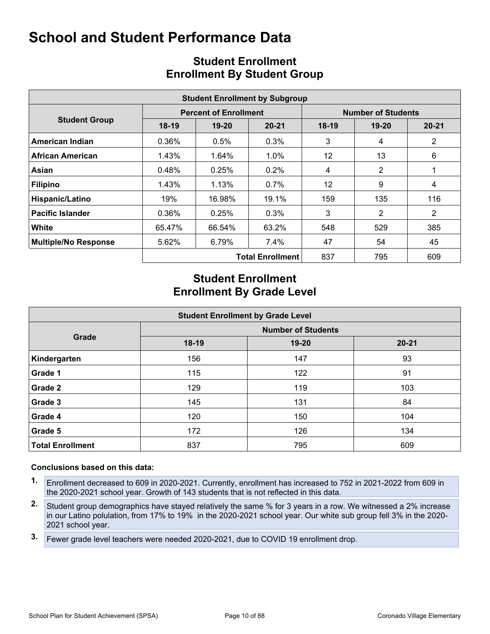<span id="page-9-0"></span>

|                             | <b>Student Enrollment by Subgroup</b> |                              |                         |                           |           |                |  |  |  |  |  |  |
|-----------------------------|---------------------------------------|------------------------------|-------------------------|---------------------------|-----------|----------------|--|--|--|--|--|--|
|                             |                                       | <b>Percent of Enrollment</b> |                         | <b>Number of Students</b> |           |                |  |  |  |  |  |  |
| <b>Student Group</b>        | $18-19$                               | 19-20                        | $20 - 21$               | $18-19$                   | $19 - 20$ | $20 - 21$      |  |  |  |  |  |  |
| American Indian             | 0.36%                                 | 0.5%                         | 0.3%                    | 3                         | 4         | $\overline{2}$ |  |  |  |  |  |  |
| African American            | 1.43%                                 | 1.64%                        | 1.0%                    | 12                        | 13        | 6              |  |  |  |  |  |  |
| Asian                       | 0.48%                                 | 0.25%                        | 0.2%                    | 4                         | 2         |                |  |  |  |  |  |  |
| <b>Filipino</b>             | 1.43%                                 | 1.13%                        | $0.7\%$                 | 12                        | 9         | 4              |  |  |  |  |  |  |
| Hispanic/Latino             | 19%                                   | 16.98%                       | 19.1%                   | 159                       | 135       | 116            |  |  |  |  |  |  |
| <b>Pacific Islander</b>     | 0.36%                                 | 0.25%                        | 0.3%                    | 3                         | 2         | $\overline{2}$ |  |  |  |  |  |  |
| White                       | 65.47%                                | 66.54%                       | 63.2%                   | 548                       | 529       | 385            |  |  |  |  |  |  |
| <b>Multiple/No Response</b> | 5.62%                                 | 6.79%                        | $7.4\%$                 | 47                        | 54        | 45             |  |  |  |  |  |  |
|                             |                                       |                              | <b>Total Enrollment</b> | 837                       | 795       | 609            |  |  |  |  |  |  |

## <span id="page-9-1"></span>**Student Enrollment Enrollment By Student Group**

## **Student Enrollment Enrollment By Grade Level**

| <b>Student Enrollment by Grade Level</b> |                           |           |           |  |  |  |  |  |  |  |
|------------------------------------------|---------------------------|-----------|-----------|--|--|--|--|--|--|--|
|                                          | <b>Number of Students</b> |           |           |  |  |  |  |  |  |  |
| Grade                                    | 18-19                     | $19 - 20$ | $20 - 21$ |  |  |  |  |  |  |  |
| Kindergarten                             | 156                       | 147       | 93        |  |  |  |  |  |  |  |
| Grade 1                                  | 115                       | 122       | 91        |  |  |  |  |  |  |  |
| Grade 2                                  | 129                       | 119       | 103       |  |  |  |  |  |  |  |
| Grade 3                                  | 145                       | 131       | 84        |  |  |  |  |  |  |  |
| Grade 4                                  | 120                       | 150       | 104       |  |  |  |  |  |  |  |
| Grade 5                                  | 172                       | 126       | 134       |  |  |  |  |  |  |  |
| <b>Total Enrollment</b>                  | 837                       | 795       | 609       |  |  |  |  |  |  |  |

- **1.** Enrollment decreased to 609 in 2020-2021. Currently, enrollment has increased to 752 in 2021-2022 from 609 in the 2020-2021 school year. Growth of 143 students that is not reflected in this data.
- **2.** Student group demographics have stayed relatively the same % for 3 years in a row. We witnessed a 2% increase in our Latino polulation, from 17% to 19% in the 2020-2021 school year. Our white sub group fell 3% in the 2020- 2021 school year.
- **3.** Fewer grade level teachers were needed 2020-2021, due to COVID 19 enrollment drop.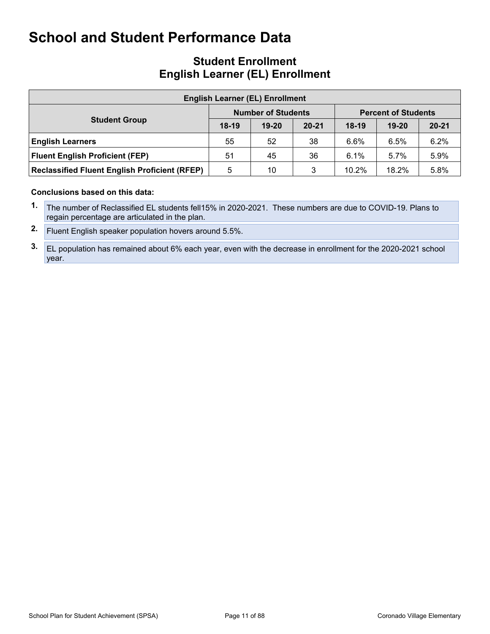### **Student Enrollment English Learner (EL) Enrollment**

| <b>English Learner (EL) Enrollment</b>               |         |                           |           |                            |           |           |  |  |  |  |
|------------------------------------------------------|---------|---------------------------|-----------|----------------------------|-----------|-----------|--|--|--|--|
|                                                      |         | <b>Number of Students</b> |           | <b>Percent of Students</b> |           |           |  |  |  |  |
| <b>Student Group</b>                                 | $18-19$ | $19 - 20$                 | $20 - 21$ | $18-19$                    | $19 - 20$ | $20 - 21$ |  |  |  |  |
| <b>English Learners</b>                              | 55      | 52                        | 38        | 6.6%                       | 6.5%      | 6.2%      |  |  |  |  |
| <b>Fluent English Proficient (FEP)</b>               | 51      | 45                        | 36        | 6.1%                       | $5.7\%$   | 5.9%      |  |  |  |  |
| <b>Reclassified Fluent English Proficient (RFEP)</b> | 5       | 10                        | 3         | 10.2%                      | 18.2%     | 5.8%      |  |  |  |  |

- **1.** The number of Reclassified EL students fell15% in 2020-2021. These numbers are due to COVID-19. Plans to regain percentage are articulated in the plan.
- **2.** Fluent English speaker population hovers around 5.5%.
- **3.** EL population has remained about 6% each year, even with the decrease in enrollment for the 2020-2021 school year.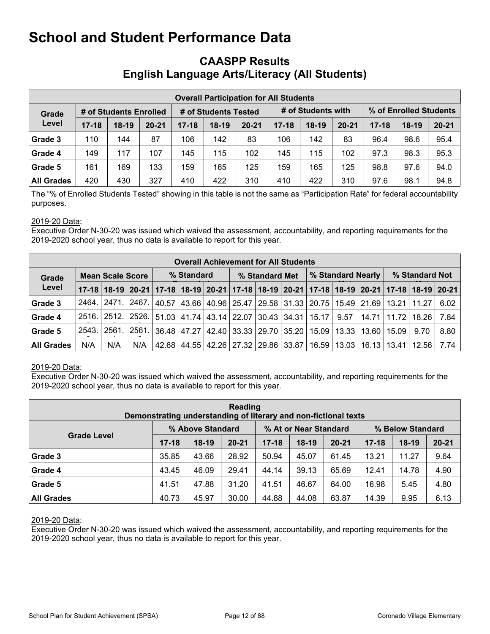### <span id="page-11-0"></span>**CAASPP Results English Language Arts/Literacy (All Students)**

|            | <b>Overall Participation for All Students</b> |                      |           |           |                    |           |           |         |                        |           |         |           |
|------------|-----------------------------------------------|----------------------|-----------|-----------|--------------------|-----------|-----------|---------|------------------------|-----------|---------|-----------|
| Grade      | # of Students Enrolled                        | # of Students Tested |           |           | # of Students with |           |           |         | % of Enrolled Students |           |         |           |
| Level      | $17 - 18$                                     | $18-19$              | $20 - 21$ | $17 - 18$ | $18-19$            | $20 - 21$ | $17 - 18$ | $18-19$ | $20 - 21$              | $17 - 18$ | $18-19$ | $20 - 21$ |
| Grade 3    | 110                                           | 144                  | 87        | 106       | 142                | 83        | 106       | 142     | 83                     | 96.4      | 98.6    | 95.4      |
| Grade 4    | 149                                           | 117                  | 107       | 145       | 115                | 102       | 145       | 115     | 102                    | 97.3      | 98.3    | 95.3      |
| Grade 5    | 161                                           | 169                  | 133       | 159       | 165                | 125       | 159       | 165     | 125                    | 98.8      | 97.6    | 94.0      |
| All Grades | 420                                           | 430                  | 327       | 410       | 422                | 310       | 410       | 422     | 310                    | 97.6      | 98.1    | 94.8      |

The "% of Enrolled Students Tested" showing in this table is not the same as "Participation Rate" for federal accountability purposes.

#### 2019-20 Data:

Executive Order N-30-20 was issued which waived the assessment, accountability, and reporting requirements for the 2019-2020 school year, thus no data is available to report for this year.

|                                  | <b>Overall Achievement for All Students</b> |                       |       |            |  |  |  |                |                                                                                                       |                   |      |       |                |                                       |      |
|----------------------------------|---------------------------------------------|-----------------------|-------|------------|--|--|--|----------------|-------------------------------------------------------------------------------------------------------|-------------------|------|-------|----------------|---------------------------------------|------|
| <b>Mean Scale Score</b><br>Grade |                                             |                       |       | % Standard |  |  |  | % Standard Met |                                                                                                       | % Standard Nearly |      |       | % Standard Not |                                       |      |
| Level                            |                                             |                       |       |            |  |  |  |                | 17-18 18-19 20-21 17-18 18-19 20-21 17-18 18-19 20-21 17-18 20-21 17-18 18-19 20-21 17-18 18-19 20-21 |                   |      |       |                |                                       |      |
| Grade 3                          |                                             | 2464.   2471.   2467. |       |            |  |  |  |                | 40.57 43.66 40.96 25.47 29.58 31.33 20.75 15.49 21.69 13.21 11.27                                     |                   |      |       |                |                                       | 6.02 |
| Grade 4                          |                                             |                       |       |            |  |  |  |                | 2516.   2512.   2526.   51.03   41.74   43.14   22.07   30.43   34.31   15.17                         |                   | 9.57 | 14.71 | 11.72          | 18.26                                 | 7.84 |
| Grade 5                          |                                             | 2543. 2561.           | 2561. |            |  |  |  |                | 36.48   47.27   42.40   33.33   29.70   35.20   15.09   13.33   13.60   15.09                         |                   |      |       |                | 9.70                                  | 8.80 |
| <b>All Grades</b>                | N/A                                         | N/A                   | N/A   |            |  |  |  |                | 42.68   44.55   42.26   27.32   29.86   33.87                                                         |                   |      |       |                | 16.59   13.03   16.13   13.41   12.56 | 7.74 |

#### 2019-20 Data:

Executive Order N-30-20 was issued which waived the assessment, accountability, and reporting requirements for the 2019-2020 school year, thus no data is available to report for this year.

| Reading<br>Demonstrating understanding of literary and non-fictional texts |                  |         |           |                       |         |           |                  |         |           |  |
|----------------------------------------------------------------------------|------------------|---------|-----------|-----------------------|---------|-----------|------------------|---------|-----------|--|
|                                                                            | % Above Standard |         |           | % At or Near Standard |         |           | % Below Standard |         |           |  |
| <b>Grade Level</b>                                                         | $17 - 18$        | $18-19$ | $20 - 21$ | $17 - 18$             | $18-19$ | $20 - 21$ | $17 - 18$        | $18-19$ | $20 - 21$ |  |
| Grade 3                                                                    | 35.85            | 43.66   | 28.92     | 50.94                 | 45.07   | 61.45     | 13.21            | 11.27   | 9.64      |  |
| Grade 4                                                                    | 43.45            | 46.09   | 29.41     | 44.14                 | 39.13   | 65.69     | 12.41            | 14.78   | 4.90      |  |
| Grade 5                                                                    | 41.51            | 47.88   | 31.20     | 41.51                 | 46.67   | 64.00     | 16.98            | 5.45    | 4.80      |  |
| <b>All Grades</b>                                                          | 40.73            | 45.97   | 30.00     | 44.88                 | 44.08   | 63.87     | 14.39            | 9.95    | 6.13      |  |

#### 2019-20 Data: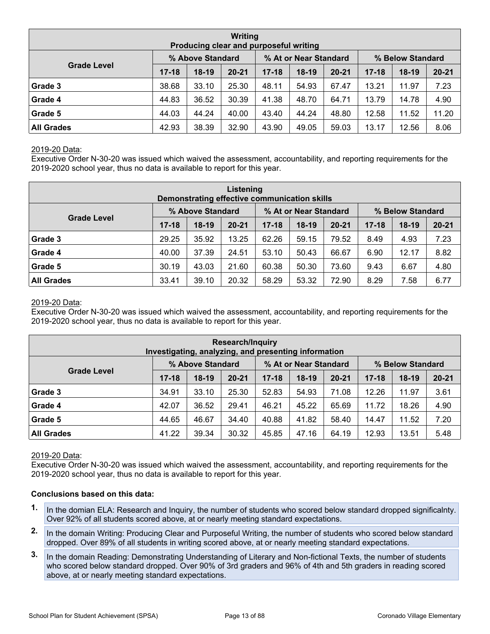| Writing<br>Producing clear and purposeful writing |                  |         |           |                       |         |           |                  |         |           |  |
|---------------------------------------------------|------------------|---------|-----------|-----------------------|---------|-----------|------------------|---------|-----------|--|
|                                                   | % Above Standard |         |           | % At or Near Standard |         |           | % Below Standard |         |           |  |
| <b>Grade Level</b>                                | $17 - 18$        | $18-19$ | $20 - 21$ | $17 - 18$             | $18-19$ | $20 - 21$ | $17 - 18$        | $18-19$ | $20 - 21$ |  |
| <b>Grade 3</b>                                    | 38.68            | 33.10   | 25.30     | 48.11                 | 54.93   | 67.47     | 13.21            | 11.97   | 7.23      |  |
| Grade 4                                           | 44.83            | 36.52   | 30.39     | 41.38                 | 48.70   | 64.71     | 13.79            | 14.78   | 4.90      |  |
| Grade 5                                           | 44.03            | 44.24   | 40.00     | 43.40                 | 44.24   | 48.80     | 12.58            | 11.52   | 11.20     |  |
| <b>All Grades</b>                                 | 42.93            | 38.39   | 32.90     | 43.90                 | 49.05   | 59.03     | 13.17            | 12.56   | 8.06      |  |

Executive Order N-30-20 was issued which waived the assessment, accountability, and reporting requirements for the 2019-2020 school year, thus no data is available to report for this year.

| Listening<br>Demonstrating effective communication skills     |           |         |           |           |         |           |           |         |           |  |
|---------------------------------------------------------------|-----------|---------|-----------|-----------|---------|-----------|-----------|---------|-----------|--|
| % Above Standard<br>% At or Near Standard<br>% Below Standard |           |         |           |           |         |           |           |         |           |  |
| <b>Grade Level</b>                                            | $17 - 18$ | $18-19$ | $20 - 21$ | $17 - 18$ | $18-19$ | $20 - 21$ | $17 - 18$ | $18-19$ | $20 - 21$ |  |
| Grade 3                                                       | 29.25     | 35.92   | 13.25     | 62.26     | 59.15   | 79.52     | 8.49      | 4.93    | 7.23      |  |
| Grade 4                                                       | 40.00     | 37.39   | 24.51     | 53.10     | 50.43   | 66.67     | 6.90      | 12.17   | 8.82      |  |
| Grade 5                                                       | 30.19     | 43.03   | 21.60     | 60.38     | 50.30   | 73.60     | 9.43      | 6.67    | 4.80      |  |
| <b>All Grades</b>                                             | 33.41     | 39.10   | 20.32     | 58.29     | 53.32   | 72.90     | 8.29      | 7.58    | 6.77      |  |

#### 2019-20 Data:

Executive Order N-30-20 was issued which waived the assessment, accountability, and reporting requirements for the 2019-2020 school year, thus no data is available to report for this year.

| <b>Research/Inquiry</b><br>Investigating, analyzing, and presenting information |           |         |           |           |         |           |           |         |           |  |  |
|---------------------------------------------------------------------------------|-----------|---------|-----------|-----------|---------|-----------|-----------|---------|-----------|--|--|
| % Above Standard<br>% At or Near Standard<br>% Below Standard                   |           |         |           |           |         |           |           |         |           |  |  |
| <b>Grade Level</b>                                                              | $17 - 18$ | $18-19$ | $20 - 21$ | $17 - 18$ | $18-19$ | $20 - 21$ | $17 - 18$ | $18-19$ | $20 - 21$ |  |  |
| Grade 3                                                                         | 34.91     | 33.10   | 25.30     | 52.83     | 54.93   | 71.08     | 12.26     | 11.97   | 3.61      |  |  |
| Grade 4                                                                         | 42.07     | 36.52   | 29.41     | 46.21     | 45.22   | 65.69     | 11.72     | 18.26   | 4.90      |  |  |
| Grade 5                                                                         | 44.65     | 46.67   | 34.40     | 40.88     | 41.82   | 58.40     | 14.47     | 11.52   | 7.20      |  |  |
| <b>All Grades</b>                                                               | 41.22     | 39.34   | 30.32     | 45.85     | 47.16   | 64.19     | 12.93     | 13.51   | 5.48      |  |  |

#### 2019-20 Data:

Executive Order N-30-20 was issued which waived the assessment, accountability, and reporting requirements for the 2019-2020 school year, thus no data is available to report for this year.

- **1.** In the domian ELA: Research and Inquiry, the number of students who scored below standard dropped significalnty. Over 92% of all students scored above, at or nearly meeting standard expectations.
- **2.** In the domain Writing: Producing Clear and Purposeful Writing, the number of students who scored below standard dropped. Over 89% of all students in writing scored above, at or nearly meeting standard expectations.
- **3.** In the domain Reading: Demonstrating Understanding of Literary and Non-fictional Texts, the number of students who scored below standard dropped. Over 90% of 3rd graders and 96% of 4th and 5th graders in reading scored above, at or nearly meeting standard expectations.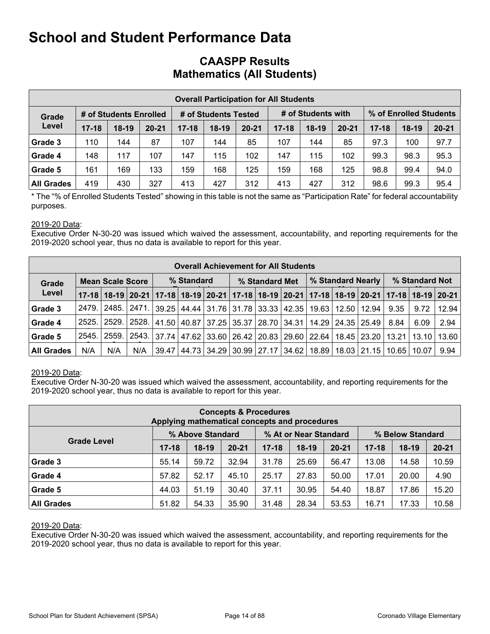### **CAASPP Results Mathematics (All Students)**

|                   |           |                        |           |           |                      |           | <b>Overall Participation for All Students</b> |                    |           |           |                        |           |
|-------------------|-----------|------------------------|-----------|-----------|----------------------|-----------|-----------------------------------------------|--------------------|-----------|-----------|------------------------|-----------|
| Grade             |           | # of Students Enrolled |           |           | # of Students Tested |           |                                               | # of Students with |           |           | % of Enrolled Students |           |
| Level             | $17 - 18$ | $18-19$                | $20 - 21$ | $17 - 18$ | $18-19$              | $20 - 21$ | $17 - 18$                                     | $18-19$            | $20 - 21$ | $17 - 18$ | $18-19$                | $20 - 21$ |
| Grade 3           | 110       | 144                    | 87        | 107       | 144                  | 85        | 107                                           | 144                | 85        | 97.3      | 100                    | 97.7      |
| Grade 4           | 148       | 117                    | 107       | 147       | 115                  | 102       | 147                                           | 115                | 102       | 99.3      | 98.3                   | 95.3      |
| Grade 5           | 161       | 169                    | 133       | 159       | 168                  | 125       | 159                                           | 168                | 125       | 98.8      | 99.4                   | 94.0      |
| <b>All Grades</b> | 419       | 430                    | 327       | 413       | 427                  | 312       | 413                                           | 427                | 312       | 98.6      | 99.3                   | 95.4      |

\* The "% of Enrolled Students Tested" showing in this table is not the same as "Participation Rate" for federal accountability purposes.

#### 2019-20 Data:

Executive Order N-30-20 was issued which waived the assessment, accountability, and reporting requirements for the 2019-2020 school year, thus no data is available to report for this year.

|                   |        |                         |                                                                                                       |       |            | <b>Overall Achievement for All Students</b>                                  |                |  |                       |                                                                   |                |       |
|-------------------|--------|-------------------------|-------------------------------------------------------------------------------------------------------|-------|------------|------------------------------------------------------------------------------|----------------|--|-----------------------|-------------------------------------------------------------------|----------------|-------|
| Grade             |        | <b>Mean Scale Score</b> |                                                                                                       |       | % Standard |                                                                              | % Standard Met |  | % Standard Nearly     |                                                                   | % Standard Not |       |
| Level             |        |                         | 17-18 18-19 20-21 17-18 18-19 20-21 17-18 18-19 20-21 17-18 20-21 17-18 18-19 20-21 17-18 18-19 20-21 |       |            |                                                                              |                |  |                       |                                                                   |                |       |
| Grade 3           | 2479.  |                         | 2485.   2471.                                                                                         |       |            | 39.25   44.44   31.76   31.78   33.33   42.35                                |                |  | 19.63   12.50   12.94 | 9.35                                                              | 9.72           | 12.94 |
| Grade 4           | 2525.1 | 2529. I                 | 2528.                                                                                                 |       |            | 41.50   40.87   37.25   35.37   28.70   34.31   14.29   24.35   25.49   8.84 |                |  |                       |                                                                   | 6.09           | 2.94  |
| Grade 5           | 2545.  | 2559. l                 | 2543.                                                                                                 |       |            |                                                                              |                |  |                       | 37.74 47.62 33.60 26.42 20.83 29.60 22.64 18.45 23.20 13.21 13.10 |                | 13.60 |
| <b>All Grades</b> | N/A    | N/A                     | N/A                                                                                                   | 39.47 |            | 44.73   34.29   30.99   27.17   34.62                                        |                |  |                       | 18.89   18.03   21.15   10.65   10.07                             |                | 9.94  |

#### 2019-20 Data:

Executive Order N-30-20 was issued which waived the assessment, accountability, and reporting requirements for the 2019-2020 school year, thus no data is available to report for this year.

|                                                                                     | Applying mathematical concepts and procedures |         | <b>Concepts &amp; Procedures</b> |           |         |           |           |         |           |  |  |  |  |  |
|-------------------------------------------------------------------------------------|-----------------------------------------------|---------|----------------------------------|-----------|---------|-----------|-----------|---------|-----------|--|--|--|--|--|
| % At or Near Standard<br>% Above Standard<br>% Below Standard<br><b>Grade Level</b> |                                               |         |                                  |           |         |           |           |         |           |  |  |  |  |  |
|                                                                                     | $17 - 18$                                     | $18-19$ | $20 - 21$                        | $17 - 18$ | $18-19$ | $20 - 21$ | $17 - 18$ | $18-19$ | $20 - 21$ |  |  |  |  |  |
| Grade 3                                                                             | 55.14                                         | 59.72   | 32.94                            | 31.78     | 25.69   | 56.47     | 13.08     | 14.58   | 10.59     |  |  |  |  |  |
| Grade 4                                                                             | 57.82                                         | 52.17   | 45.10                            | 25.17     | 27.83   | 50.00     | 17.01     | 20.00   | 4.90      |  |  |  |  |  |
| Grade 5                                                                             | 44.03                                         | 51.19   | 30.40                            | 37.11     | 30.95   | 54.40     | 18.87     | 17.86   | 15.20     |  |  |  |  |  |
| <b>All Grades</b>                                                                   | 51.82                                         | 54.33   | 35.90                            | 31.48     | 28.34   | 53.53     | 16.71     | 17.33   | 10.58     |  |  |  |  |  |

#### 2019-20 Data: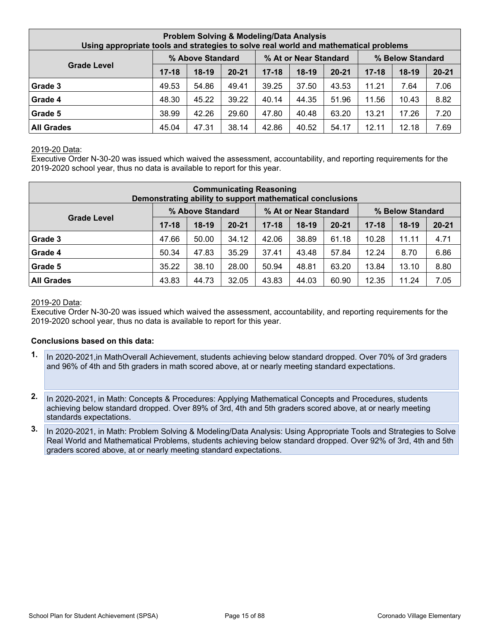| Using appropriate tools and strategies to solve real world and mathematical problems |           |         |           | <b>Problem Solving &amp; Modeling/Data Analysis</b> |         |           |           |         |           |  |  |  |  |  |
|--------------------------------------------------------------------------------------|-----------|---------|-----------|-----------------------------------------------------|---------|-----------|-----------|---------|-----------|--|--|--|--|--|
| % At or Near Standard<br>% Above Standard<br>% Below Standard<br><b>Grade Level</b>  |           |         |           |                                                     |         |           |           |         |           |  |  |  |  |  |
|                                                                                      | $17 - 18$ | $18-19$ | $20 - 21$ | $17 - 18$                                           | $18-19$ | $20 - 21$ | $17 - 18$ | $18-19$ | $20 - 21$ |  |  |  |  |  |
| Grade 3                                                                              | 49.53     | 54.86   | 49.41     | 39.25                                               | 37.50   | 43.53     | 11.21     | 7.64    | 7.06      |  |  |  |  |  |
| Grade 4                                                                              | 48.30     | 45.22   | 39.22     | 40.14                                               | 44.35   | 51.96     | 11.56     | 10.43   | 8.82      |  |  |  |  |  |
| Grade 5                                                                              | 38.99     | 42.26   | 29.60     | 47.80                                               | 40.48   | 63.20     | 13.21     | 17.26   | 7.20      |  |  |  |  |  |
| <b>All Grades</b>                                                                    | 45.04     | 47.31   | 38.14     | 42.86                                               | 40.52   | 54.17     | 12.11     | 12.18   | 7.69      |  |  |  |  |  |

Executive Order N-30-20 was issued which waived the assessment, accountability, and reporting requirements for the 2019-2020 school year, thus no data is available to report for this year.

|                                                                                     |           |         | <b>Communicating Reasoning</b><br>Demonstrating ability to support mathematical conclusions |           |         |           |           |         |           |  |  |  |  |  |
|-------------------------------------------------------------------------------------|-----------|---------|---------------------------------------------------------------------------------------------|-----------|---------|-----------|-----------|---------|-----------|--|--|--|--|--|
| % Above Standard<br>% At or Near Standard<br>% Below Standard<br><b>Grade Level</b> |           |         |                                                                                             |           |         |           |           |         |           |  |  |  |  |  |
|                                                                                     | $17 - 18$ | $18-19$ | $20 - 21$                                                                                   | $17 - 18$ | $18-19$ | $20 - 21$ | $17 - 18$ | $18-19$ | $20 - 21$ |  |  |  |  |  |
| Grade 3                                                                             | 47.66     | 50.00   | 34.12                                                                                       | 42.06     | 38.89   | 61.18     | 10.28     | 11.11   | 4.71      |  |  |  |  |  |
| Grade 4                                                                             | 50.34     | 47.83   | 35.29                                                                                       | 37.41     | 43.48   | 57.84     | 12.24     | 8.70    | 6.86      |  |  |  |  |  |
| Grade 5                                                                             | 35.22     | 38.10   | 28.00                                                                                       | 50.94     | 48.81   | 63.20     | 13.84     | 13.10   | 8.80      |  |  |  |  |  |
| <b>All Grades</b>                                                                   | 43.83     | 44.73   | 32.05                                                                                       | 43.83     | 44.03   | 60.90     | 12.35     | 11.24   | 7.05      |  |  |  |  |  |

#### 2019-20 Data:

Executive Order N-30-20 was issued which waived the assessment, accountability, and reporting requirements for the 2019-2020 school year, thus no data is available to report for this year.

- **1.** In 2020-2021,in MathOverall Achievement, students achieving below standard dropped. Over 70% of 3rd graders and 96% of 4th and 5th graders in math scored above, at or nearly meeting standard expectations.
- **2.** In 2020-2021, in Math: Concepts & Procedures: Applying Mathematical Concepts and Procedures, students achieving below standard dropped. Over 89% of 3rd, 4th and 5th graders scored above, at or nearly meeting standards expectations.
- **3.** In 2020-2021, in Math: Problem Solving & Modeling/Data Analysis: Using Appropriate Tools and Strategies to Solve Real World and Mathematical Problems, students achieving below standard dropped. Over 92% of 3rd, 4th and 5th graders scored above, at or nearly meeting standard expectations.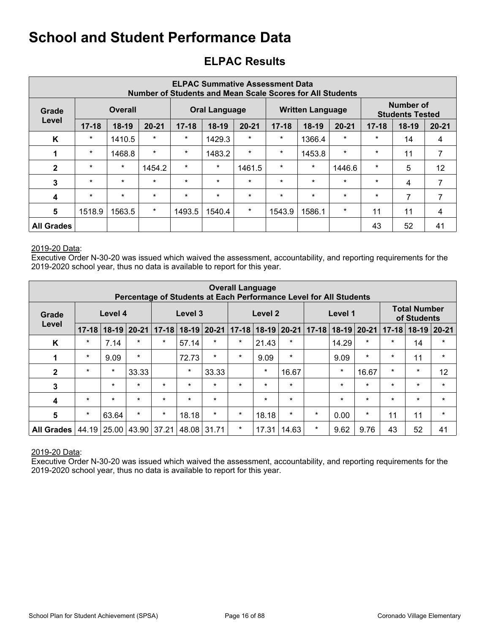## <span id="page-15-0"></span>**ELPAC Results**

|                   |           |                | <b>Number of Students and Mean Scale Scores for All Students</b> |           |                      | <b>ELPAC Summative Assessment Data</b> |           |                         |           |           |                                     |           |
|-------------------|-----------|----------------|------------------------------------------------------------------|-----------|----------------------|----------------------------------------|-----------|-------------------------|-----------|-----------|-------------------------------------|-----------|
| Grade             |           | <b>Overall</b> |                                                                  |           | <b>Oral Language</b> |                                        |           | <b>Written Language</b> |           |           | Number of<br><b>Students Tested</b> |           |
| Level             | $17 - 18$ | $18-19$        | $20 - 21$                                                        | $17 - 18$ | $18-19$              | $20 - 21$                              | $17 - 18$ | $18-19$                 | $20 - 21$ | $17 - 18$ | $18-19$                             | $20 - 21$ |
| K                 | $\star$   | 1410.5         | $\star$                                                          | $\star$   | 1429.3               | $\ast$                                 | $\ast$    | 1366.4                  | $\star$   | $\star$   | 14                                  | 4         |
| 1                 | $\star$   | 1468.8         | $\star$                                                          | $\star$   | 1483.2               | $\star$                                | $\star$   | 1453.8                  | $\star$   | $\star$   | 11                                  | 7         |
| $\mathbf{2}$      | $\star$   | $\star$        | 1454.2                                                           | $\star$   | $\star$              | 1461.5                                 | $\star$   | $\star$                 | 1446.6    | $\star$   | 5                                   | 12        |
| 3                 | $\star$   | $\star$        | $\star$                                                          | $\star$   | $\star$              | $\star$                                | $\star$   | $\star$                 | $\star$   | $\star$   | 4                                   | 7         |
| $\boldsymbol{4}$  | $\star$   | $\star$        | $\star$                                                          | $\star$   | $\star$              | $\star$                                | $\star$   | $\star$                 | $\star$   | $\star$   | 7                                   | 7         |
| $5\phantom{.0}$   | 1518.9    | 1563.5         | $\star$                                                          | 1493.5    | 1540.4               | $\ast$                                 | 1543.9    | 1586.1                  | $\star$   | 11        | 11                                  | 4         |
| <b>All Grades</b> |           |                |                                                                  |           |                      |                                        |           |                         |           | 43        | 52                                  | 41        |

#### 2019-20 Data:

Executive Order N-30-20 was issued which waived the assessment, accountability, and reporting requirements for the 2019-2020 school year, thus no data is available to report for this year.

|                   |           |                                                                                |         | Percentage of Students at Each Performance Level for All Students |         |         | <b>Overall Language</b> |                     |         |           |         |                 |           |                                    |           |
|-------------------|-----------|--------------------------------------------------------------------------------|---------|-------------------------------------------------------------------|---------|---------|-------------------------|---------------------|---------|-----------|---------|-----------------|-----------|------------------------------------|-----------|
| Grade             |           | Level 4                                                                        |         |                                                                   | Level 3 |         |                         | Level 2             |         |           | Level 1 |                 |           | <b>Total Number</b><br>of Students |           |
| Level             | $17 - 18$ | $20 - 21$<br>$17-18$ 18-19 20-21<br>$18 - 19$<br>$\star$<br>$\star$<br>$\star$ |         |                                                                   |         |         |                         | $17-18$ 18-19 20-21 |         | $17 - 18$ |         | $18-19$   20-21 | $17 - 18$ | $18-19$                            | $20 - 21$ |
| K                 | $\star$   | 7.14                                                                           |         |                                                                   | 57.14   |         | $\star$                 | 21.43               | $\star$ |           | 14.29   | $\star$         | $\star$   | 14                                 | $\star$   |
| 1                 | $\star$   | 9.09                                                                           | $\star$ |                                                                   | 72.73   | $\ast$  | $\star$                 | 9.09                | $\ast$  |           | 9.09    | $\star$         | $\star$   | 11                                 | $\star$   |
| $\mathbf{2}$      | $\star$   | $\star$                                                                        | 33.33   |                                                                   | $\star$ | 33.33   |                         | $\star$             | 16.67   |           | $\star$ | 16.67           | $\star$   | $\star$                            | 12        |
| 3                 |           | $\star$                                                                        | $\star$ | $\star$                                                           | $\star$ | $\star$ | $\star$                 | $\star$             | $\star$ |           | $\star$ | $\star$         | $\star$   | $\star$                            | $\star$   |
| 4                 | $\star$   | $\star$                                                                        | $\star$ | $\star$                                                           | $\star$ | $\star$ |                         | $\star$             | $\star$ |           | $\star$ | $\star$         | $\star$   | $\star$                            | $\star$   |
| $\sqrt{5}$        | $\star$   | 63.64                                                                          | $\star$ | $\star$                                                           | 18.18   | $\star$ | $\star$                 | 18.18               | $\star$ | $\star$   | 0.00    | $\ast$          | 11        | 11                                 | $\star$   |
| <b>All Grades</b> | 44.19     | 25.00                                                                          | 43.90   | 37.21                                                             | 48.08   | 31.71   | $\star$                 | 17.31               | 14.63   | $\star$   | 9.62    | 9.76            | 43        | 52                                 | 41        |

#### 2019-20 Data: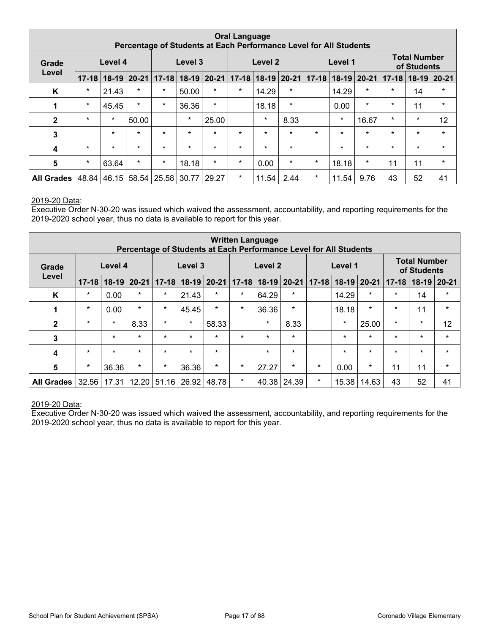|                |           |                                                                                  |         |                               |         |         | <b>Oral Language</b> |                     |         | Percentage of Students at Each Performance Level for All Students |         |             |           |                                    |         |
|----------------|-----------|----------------------------------------------------------------------------------|---------|-------------------------------|---------|---------|----------------------|---------------------|---------|-------------------------------------------------------------------|---------|-------------|-----------|------------------------------------|---------|
| Grade          |           | Level 4                                                                          |         |                               | Level 3 |         |                      | Level 2             |         |                                                                   | Level 1 |             |           | <b>Total Number</b><br>of Students |         |
| Level          | $17 - 18$ | $18-19$   20-21  <br>$17 - 18$<br>$18-19$ 20-21<br>$\star$<br>$\star$<br>$\star$ |         |                               |         |         |                      | $17-18$ 18-19 20-21 |         | $17 - 18$                                                         |         | 18-19 20-21 | $17 - 18$ | $18-19$ 20-21                      |         |
| K              |           | 21.43                                                                            |         |                               | 50.00   | $\star$ | $\star$              | 14.29               | $\star$ |                                                                   | 14.29   | $\star$     | $\star$   | 14                                 | $\star$ |
| 1              | $\star$   | 45.45                                                                            | $\star$ | $\star$                       | 36.36   | $\star$ |                      | 18.18               | $\star$ |                                                                   | 0.00    | $\star$     | $\star$   | 11                                 | $\star$ |
| $\mathbf{2}$   | $\star$   | $\star$                                                                          | 50.00   |                               | $\star$ | 25.00   |                      | $\star$             | 8.33    |                                                                   | $\star$ | 16.67       | $\star$   | $\star$                            | 12      |
| 3              |           | $\star$                                                                          | $\star$ | $\star$                       | $\star$ | $\star$ | $\star$              | $\star$             | $\star$ | $\star$                                                           | $\star$ | $\star$     | $\star$   | $\star$                            | $\star$ |
| 4              | $\star$   | $\star$                                                                          | $\star$ | $\star$                       | $\star$ | $\star$ | $\star$              | $\star$             | $\star$ |                                                                   | $\star$ | $\star$     | $\star$   | $\star$                            | $\star$ |
| $5\phantom{1}$ | $\star$   | 63.64                                                                            | $\star$ | $\star$                       | 18.18   | $\star$ | $\star$              | 0.00                | $\star$ | $\star$                                                           | 18.18   | $\ast$      | 11        | 11                                 | $\star$ |
| All Grades     | 48.84     |                                                                                  |         | 46.15   58.54   25.58   30.77 |         | 29.27   | $\star$              | 11.54               | 2.44    | $\star$                                                           | 11.54   | 9.76        | 43        | 52                                 | 41      |

Executive Order N-30-20 was issued which waived the assessment, accountability, and reporting requirements for the 2019-2020 school year, thus no data is available to report for this year.

|                   |           |         |         | Percentage of Students at Each Performance Level for All Students |                 |           | <b>Written Language</b> |               |         |         |                       |         |           |                                    |                 |
|-------------------|-----------|---------|---------|-------------------------------------------------------------------|-----------------|-----------|-------------------------|---------------|---------|---------|-----------------------|---------|-----------|------------------------------------|-----------------|
| Grade             |           | Level 4 |         |                                                                   | Level 3         |           |                         | Level 2       |         |         | Level 1               |         |           | <b>Total Number</b><br>of Students |                 |
| Level             | $17 - 18$ | $18-19$ | $20-21$ |                                                                   | $17 - 18$ 18-19 | $20 - 21$ | $17 - 18$               | $18-19$ 20-21 |         |         | 17-18   18-19   20-21 |         | $17 - 18$ |                                    | $18-19$   20-21 |
| Κ                 | $\star$   | 0.00    | $\star$ | $\star$                                                           | 21.43           | $\star$   | $\star$                 | 64.29         | $\star$ |         | 14.29                 | $\star$ | $\star$   | 14                                 | $\star$         |
| 1                 | $\star$   | 0.00    | $\star$ | $\star$                                                           | 45.45           | $\star$   | $\star$                 | 36.36         | $\star$ |         | 18.18                 | $\star$ | $\star$   | 11                                 | $\star$         |
| $\mathbf{2}$      | $\star$   | $\star$ | 8.33    | $\star$                                                           | $\star$         | 58.33     |                         | $\star$       | 8.33    |         | $\ast$                | 25.00   | $\star$   | $\star$                            | 12              |
| 3                 |           | $\star$ | $\star$ | $\star$                                                           | $\star$         | $\star$   | $\star$                 | $\star$       | $\star$ |         | $\star$               | $\star$ | $\star$   | $\star$                            | $\star$         |
| 4                 | $\star$   | $\star$ | $\star$ | $\star$                                                           | $\star$         | $\star$   |                         | $\star$       | $\star$ |         | $\star$               | $\star$ | $\star$   | $\star$                            | $\star$         |
| 5                 | $\star$   | 36.36   | $\star$ | $\star$                                                           | 36.36           | $\star$   | $\star$                 | 27.27         | $\star$ | $\star$ | 0.00                  | $\star$ | 11        | 11                                 | $\star$         |
| <b>All Grades</b> | 32.56     | 17.31   | 12.20   | 51.16                                                             | 26.92           | 48.78     | $\star$                 | 40.38         | 24.39   | $\star$ | 15.38                 | 14.63   | 43        | 52                                 | 41              |

#### 2019-20 Data: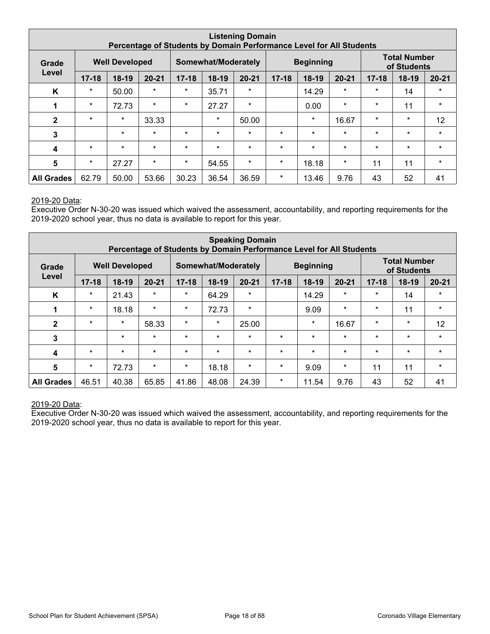|                   |           |                       | Percentage of Students by Domain Performance Level for All Students |           |                     | <b>Listening Domain</b> |           |                  |           |           |                                    |           |
|-------------------|-----------|-----------------------|---------------------------------------------------------------------|-----------|---------------------|-------------------------|-----------|------------------|-----------|-----------|------------------------------------|-----------|
| Grade             |           | <b>Well Developed</b> |                                                                     |           | Somewhat/Moderately |                         |           | <b>Beginning</b> |           |           | <b>Total Number</b><br>of Students |           |
| Level             | $17 - 18$ | $18-19$               | $20 - 21$                                                           | $17 - 18$ | $18-19$             | $20 - 21$               | $17 - 18$ | $18-19$          | $20 - 21$ | $17 - 18$ | 18-19                              | $20 - 21$ |
| K                 | $\star$   | 50.00                 | $\star$                                                             | $\star$   | 35.71               | $\star$                 |           | 14.29            | $\star$   | $\star$   | 14                                 | $\star$   |
| 1                 | $\star$   | 72.73                 | $\star$                                                             | $\star$   | 27.27               | $\star$                 |           | 0.00             | $\star$   | $\star$   | 11                                 | $\star$   |
| $\mathbf{2}$      | $\star$   | $\star$               | 33.33                                                               |           | $\star$             | 50.00                   |           | $\ast$           | 16.67     | $\star$   | $\star$                            | 12        |
| 3                 |           | $\star$               | $\star$                                                             | $\star$   | $\star$             | $\star$                 | $\star$   | $\star$          | $\star$   | $\star$   | $\star$                            | $\star$   |
| 4                 | $\star$   | $\star$               | $\star$                                                             | $\star$   | $\star$             | $\star$                 | $\star$   | $\ast$           | $\star$   | $\star$   | $\star$                            | $\star$   |
| $5\phantom{1}$    | $\ast$    | 27.27                 | $\star$                                                             | $\star$   | 54.55               | $\ast$                  | $\ast$    | 18.18            | $\star$   | 11        | 11                                 | $\star$   |
| <b>All Grades</b> | 62.79     | 50.00                 | 53.66                                                               | 30.23     | 36.54               | 36.59                   | $\ast$    | 13.46            | 9.76      | 43        | 52                                 | 41        |

Executive Order N-30-20 was issued which waived the assessment, accountability, and reporting requirements for the 2019-2020 school year, thus no data is available to report for this year.

|                   |           |                       |           |           |                     | <b>Speaking Domain</b> |           | Percentage of Students by Domain Performance Level for All Students |           |           |                                    |           |
|-------------------|-----------|-----------------------|-----------|-----------|---------------------|------------------------|-----------|---------------------------------------------------------------------|-----------|-----------|------------------------------------|-----------|
| Grade             |           | <b>Well Developed</b> |           |           | Somewhat/Moderately |                        |           | <b>Beginning</b>                                                    |           |           | <b>Total Number</b><br>of Students |           |
| Level             | $17 - 18$ | $18-19$               | $20 - 21$ | $17 - 18$ | 18-19               | $20 - 21$              | $17 - 18$ | $18-19$                                                             | $20 - 21$ | $17 - 18$ | $18-19$                            | $20 - 21$ |
| K                 | $\star$   | 21.43                 | $\star$   | $\star$   | 64.29               | $\star$                |           | 14.29                                                               | $\star$   | $\star$   | 14                                 | $\star$   |
| 1                 | $\star$   | 18.18                 | $\star$   | $\star$   | 72.73               | $\ast$                 |           | 9.09                                                                | $\star$   | $\star$   | 11                                 | $\star$   |
| $\mathbf{2}$      | $\star$   | $\star$               | 58.33     | $\star$   | $\star$             | 25.00                  |           | $\ast$                                                              | 16.67     | $\star$   | $\star$                            | 12        |
| 3                 |           | $\star$               | $\star$   | $\star$   | $\star$             | $\star$                | $\star$   | $\star$                                                             | $\star$   | $\star$   | $\star$                            | $\star$   |
| $\boldsymbol{4}$  | $\star$   | $\star$               | $\star$   | $\star$   | $\star$             | $\star$                | $\star$   | $\star$                                                             | $\star$   | $\star$   | $\star$                            | $\star$   |
| $5\phantom{1}$    | $\star$   | 72.73                 | $\star$   | $\star$   | 18.18               | $\star$                | $\star$   | 9.09                                                                | $\star$   | 11        | 11                                 | $\star$   |
| <b>All Grades</b> | 46.51     | 40.38                 | 65.85     | 41.86     | 48.08               | 24.39                  | $\ast$    | 11.54                                                               | 9.76      | 43        | 52                                 | 41        |

#### 2019-20 Data: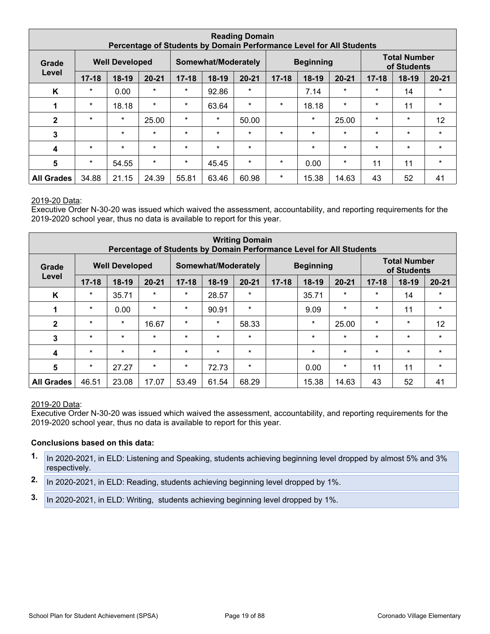|                   |           |                       |           |           |                     | <b>Reading Domain</b><br>Percentage of Students by Domain Performance Level for All Students |           |                  |           |           |                                    |           |
|-------------------|-----------|-----------------------|-----------|-----------|---------------------|----------------------------------------------------------------------------------------------|-----------|------------------|-----------|-----------|------------------------------------|-----------|
| Grade             |           | <b>Well Developed</b> |           |           | Somewhat/Moderately |                                                                                              |           | <b>Beginning</b> |           |           | <b>Total Number</b><br>of Students |           |
| Level             | $17 - 18$ | $18-19$               | $20 - 21$ | $17 - 18$ | 18-19               | $20 - 21$                                                                                    | $17 - 18$ | $18-19$          | $20 - 21$ | $17 - 18$ | 18-19                              | $20 - 21$ |
| K                 | $\star$   | 0.00                  | $\star$   | $\star$   | 92.86               | $\ast$                                                                                       |           | 7.14             | $\star$   | $\star$   | 14                                 | $\star$   |
| 1                 | $\star$   | 18.18                 | $\star$   | $\star$   | 63.64               | $\star$                                                                                      | $\ast$    | 18.18            | $\star$   | $\star$   | 11                                 | $\star$   |
| $\mathbf{2}$      | $\star$   | $\star$               | 25.00     | $\star$   | $\star$             | 50.00                                                                                        |           | $\star$          | 25.00     | $\star$   | $\star$                            | 12        |
| 3                 |           | $\star$               | $\star$   | $\star$   | $\star$             | $\star$                                                                                      | $\star$   | $\star$          | $\star$   | $\star$   | $\star$                            | $\star$   |
| 4                 | $\star$   | $\star$               | $\star$   | $\star$   | $\star$             | $\star$                                                                                      |           | $\star$          | $\star$   | $\star$   | $\star$                            | $\star$   |
| $5\phantom{1}$    | $\star$   | 54.55                 | $\star$   | $\ast$    | 45.45               | $\star$                                                                                      | $\ast$    | 0.00             | $\ast$    | 11        | 11                                 | $\star$   |
| <b>All Grades</b> | 34.88     | 21.15                 | 24.39     | 55.81     | 63.46               | 60.98                                                                                        | $\ast$    | 15.38            | 14.63     | 43        | 52                                 | 41        |

Executive Order N-30-20 was issued which waived the assessment, accountability, and reporting requirements for the 2019-2020 school year, thus no data is available to report for this year.

| <b>Writing Domain</b><br>Percentage of Students by Domain Performance Level for All Students |           |                     |           |           |                  |           |                                    |         |           |           |         |           |
|----------------------------------------------------------------------------------------------|-----------|---------------------|-----------|-----------|------------------|-----------|------------------------------------|---------|-----------|-----------|---------|-----------|
| <b>Well Developed</b><br>Grade                                                               |           | Somewhat/Moderately |           |           | <b>Beginning</b> |           | <b>Total Number</b><br>of Students |         |           |           |         |           |
| Level                                                                                        | $17 - 18$ | $18-19$             | $20 - 21$ | $17 - 18$ | 18-19            | $20 - 21$ | $17 - 18$                          | $18-19$ | $20 - 21$ | $17 - 18$ | $18-19$ | $20 - 21$ |
| K                                                                                            | $\star$   | 35.71               | $\star$   | $\star$   | 28.57            | $\star$   |                                    | 35.71   | $\star$   | $\star$   | 14      | $\star$   |
| 1                                                                                            | $\star$   | 0.00                | $\star$   | $\star$   | 90.91            | $\ast$    |                                    | 9.09    | $\star$   | $\star$   | 11      | $\star$   |
| $\mathbf{2}$                                                                                 | $\star$   | $\star$             | 16.67     | $\star$   | $\star$          | 58.33     |                                    | $\star$ | 25.00     | $\star$   | $\star$ | 12        |
| 3                                                                                            | $\star$   | $\star$             | $\star$   | $\star$   | $\star$          | $\star$   |                                    | $\star$ | $\star$   | $\star$   | $\star$ | $\star$   |
| $\boldsymbol{4}$                                                                             | $\star$   | $\star$             | $\star$   | $\star$   | $\star$          | $\star$   |                                    | $\star$ | $\star$   | $\star$   | $\star$ | $\star$   |
| $5\phantom{1}$                                                                               | $\star$   | 27.27               | $\star$   | $\star$   | 72.73            | $\star$   |                                    | 0.00    | $\star$   | 11        | 11      | $\star$   |
| <b>All Grades</b>                                                                            | 46.51     | 23.08               | 17.07     | 53.49     | 61.54            | 68.29     |                                    | 15.38   | 14.63     | 43        | 52      | 41        |

#### 2019-20 Data:

Executive Order N-30-20 was issued which waived the assessment, accountability, and reporting requirements for the 2019-2020 school year, thus no data is available to report for this year.

- **1.** In 2020-2021, in ELD: Listening and Speaking, students achieving beginning level dropped by almost 5% and 3% respectively.
- **2.** In 2020-2021, in ELD: Reading, students achieving beginning level dropped by 1%.
- **3.** In 2020-2021, in ELD: Writing, students achieving beginning level dropped by 1%.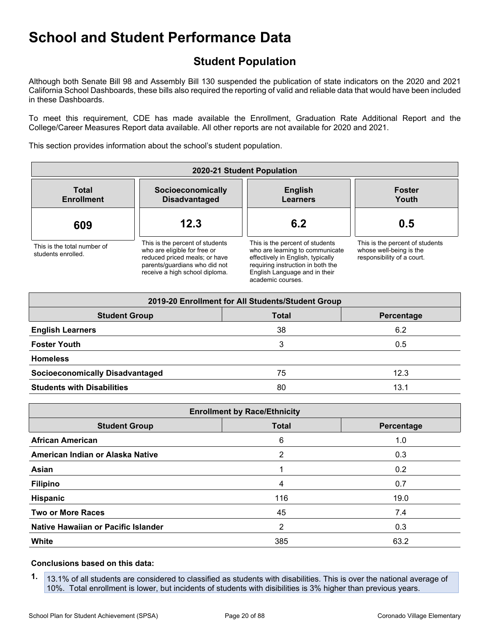## <span id="page-19-0"></span>**Student Population**

Although both Senate Bill 98 and Assembly Bill 130 suspended the publication of state indicators on the 2020 and 2021 California School Dashboards, these bills also required the reporting of valid and reliable data that would have been included in these Dashboards.

To meet this requirement, CDE has made available the Enrollment, Graduation Rate Additional Report and the College/Career Measures Report data available. All other reports are not available for 2020 and 2021.

This section provides information about the school's student population.

| 2020-21 Student Population                        |                                                                                                                                                                     |                                                                                                                                                                                                    |                                                                                          |  |  |
|---------------------------------------------------|---------------------------------------------------------------------------------------------------------------------------------------------------------------------|----------------------------------------------------------------------------------------------------------------------------------------------------------------------------------------------------|------------------------------------------------------------------------------------------|--|--|
| <b>Total</b><br><b>Enrollment</b>                 | Socioeconomically<br><b>Disadvantaged</b>                                                                                                                           | <b>English</b><br><b>Learners</b>                                                                                                                                                                  | <b>Foster</b><br>Youth                                                                   |  |  |
| 609                                               | 12.3                                                                                                                                                                | 6.2                                                                                                                                                                                                | 0.5                                                                                      |  |  |
| This is the total number of<br>students enrolled. | This is the percent of students<br>who are eligible for free or<br>reduced priced meals; or have<br>parents/quardians who did not<br>receive a high school diploma. | This is the percent of students<br>who are learning to communicate<br>effectively in English, typically<br>requiring instruction in both the<br>English Language and in their<br>academic courses. | This is the percent of students<br>whose well-being is the<br>responsibility of a court. |  |  |

| 2019-20 Enrollment for All Students/Student Group |              |            |  |  |  |
|---------------------------------------------------|--------------|------------|--|--|--|
| <b>Student Group</b>                              | <b>Total</b> | Percentage |  |  |  |
| <b>English Learners</b>                           | 38           | 6.2        |  |  |  |
| <b>Foster Youth</b>                               |              | 0.5        |  |  |  |
| <b>Homeless</b>                                   |              |            |  |  |  |
| <b>Socioeconomically Disadvantaged</b>            | 75           | 12.3       |  |  |  |
| <b>Students with Disabilities</b>                 | 80           | 13.1       |  |  |  |

| <b>Enrollment by Race/Ethnicity</b> |              |            |  |  |  |
|-------------------------------------|--------------|------------|--|--|--|
| <b>Student Group</b>                | <b>Total</b> | Percentage |  |  |  |
| <b>African American</b>             | 6            | 1.0        |  |  |  |
| American Indian or Alaska Native    | 2            | 0.3        |  |  |  |
| Asian                               |              | 0.2        |  |  |  |
| <b>Filipino</b>                     | 4            | 0.7        |  |  |  |
| Hispanic                            | 116          | 19.0       |  |  |  |
| <b>Two or More Races</b>            | 45           | 7.4        |  |  |  |
| Native Hawaiian or Pacific Islander | 2            | 0.3        |  |  |  |
| White                               | 385          | 63.2       |  |  |  |

#### **Conclusions based on this data:**

**1.** 13.1% of all students are considered to classified as students with disabilities. This is over the national average of 10%. Total enrollment is lower, but incidents of students with disibilities is 3% higher than previous years.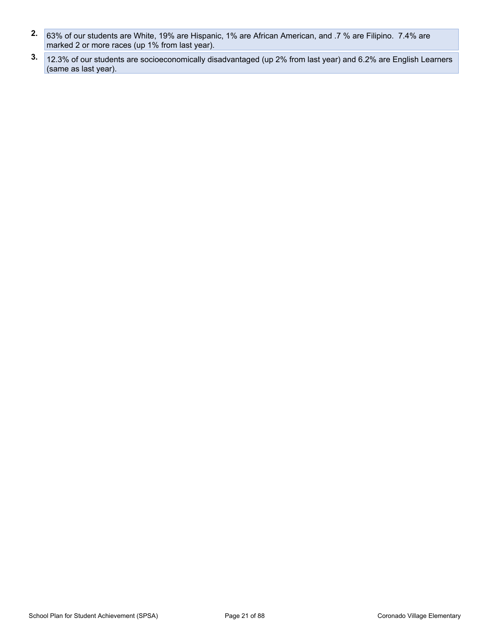- **2.** 63% of our students are White, 19% are Hispanic, 1% are African American, and .7 % are Filipino. 7.4% are marked 2 or more races (up 1% from last year).
- **3.** 12.3% of our students are socioeconomically disadvantaged (up 2% from last year) and 6.2% are English Learners (same as last year).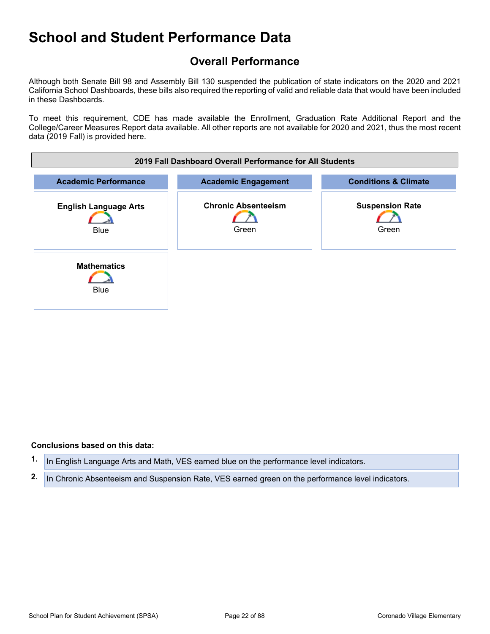## <span id="page-21-0"></span>**Overall Performance**

Although both Senate Bill 98 and Assembly Bill 130 suspended the publication of state indicators on the 2020 and 2021 California School Dashboards, these bills also required the reporting of valid and reliable data that would have been included in these Dashboards.

To meet this requirement, CDE has made available the Enrollment, Graduation Rate Additional Report and the College/Career Measures Report data available. All other reports are not available for 2020 and 2021, thus the most recent data (2019 Fall) is provided here.



#### **Conclusions based on this data:**

**1.** In English Language Arts and Math, VES earned blue on the performance level indicators.

**2.** In Chronic Absenteeism and Suspension Rate, VES earned green on the performance level indicators.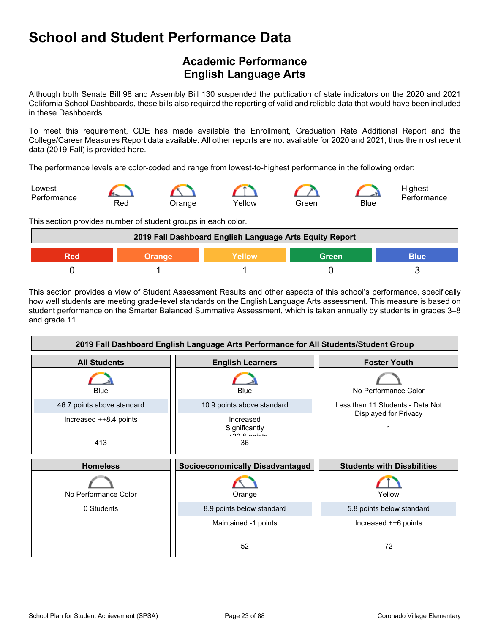## <span id="page-22-0"></span>**Academic Performance English Language Arts**

Although both Senate Bill 98 and Assembly Bill 130 suspended the publication of state indicators on the 2020 and 2021 California School Dashboards, these bills also required the reporting of valid and reliable data that would have been included in these Dashboards.

To meet this requirement, CDE has made available the Enrollment, Graduation Rate Additional Report and the College/Career Measures Report data available. All other reports are not available for 2020 and 2021, thus the most recent data (2019 Fall) is provided here.

The performance levels are color-coded and range from lowest-to-highest performance in the following order:



This section provides number of student groups in each color.



This section provides a view of Student Assessment Results and other aspects of this school's performance, specifically how well students are meeting grade-level standards on the English Language Arts assessment. This measure is based on student performance on the Smarter Balanced Summative Assessment, which is taken annually by students in grades 3–8 and grade 11.

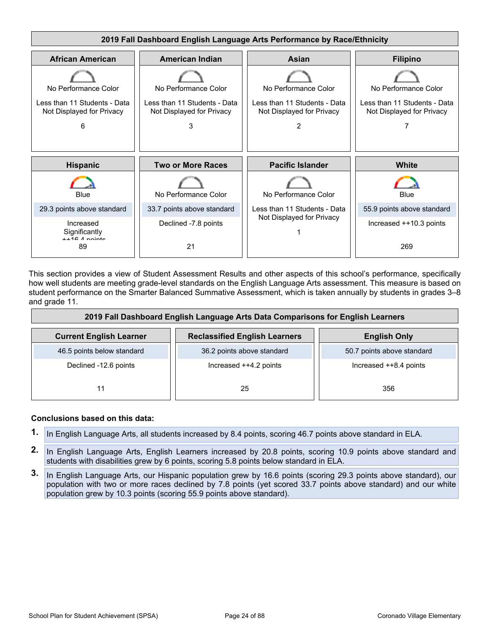

This section provides a view of Student Assessment Results and other aspects of this school's performance, specifically how well students are meeting grade-level standards on the English Language Arts assessment. This measure is based on student performance on the Smarter Balanced Summative Assessment, which is taken annually by students in grades 3–8 and grade 11.

| 2019 Fall Dashboard English Language Arts Data Comparisons for English Learners |                                      |                            |  |  |  |
|---------------------------------------------------------------------------------|--------------------------------------|----------------------------|--|--|--|
| <b>Current English Learner</b>                                                  | <b>Reclassified English Learners</b> | <b>English Only</b>        |  |  |  |
| 46.5 points below standard                                                      | 36.2 points above standard           | 50.7 points above standard |  |  |  |
| Declined -12.6 points                                                           | Increased ++4.2 points               | Increased ++8.4 points     |  |  |  |
| 11                                                                              | 25                                   | 356                        |  |  |  |

- **1.** In English Language Arts, all students increased by 8.4 points, scoring 46.7 points above standard in ELA.
- **2.** In English Language Arts, English Learners increased by 20.8 points, scoring 10.9 points above standard and students with disabilities grew by 6 points, scoring 5.8 points below standard in ELA.
- **3.** In English Language Arts, our Hispanic population grew by 16.6 points (scoring 29.3 points above standard), our population with two or more races declined by 7.8 points (yet scored 33.7 points above standard) and our white population grew by 10.3 points (scoring 55.9 points above standard).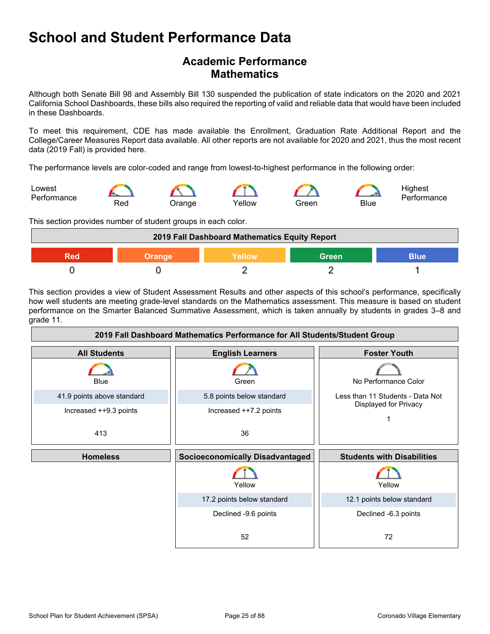### **Academic Performance Mathematics**

Although both Senate Bill 98 and Assembly Bill 130 suspended the publication of state indicators on the 2020 and 2021 California School Dashboards, these bills also required the reporting of valid and reliable data that would have been included in these Dashboards.

To meet this requirement, CDE has made available the Enrollment, Graduation Rate Additional Report and the College/Career Measures Report data available. All other reports are not available for 2020 and 2021, thus the most recent data (2019 Fall) is provided here.

The performance levels are color-coded and range from lowest-to-highest performance in the following order:



This section provides number of student groups in each color.

| 2019 Fall Dashboard Mathematics Equity Report |        |        |              |      |  |
|-----------------------------------------------|--------|--------|--------------|------|--|
| 900                                           | Orange | Yellow | <b>Green</b> | Blue |  |
|                                               |        |        |              |      |  |

This section provides a view of Student Assessment Results and other aspects of this school's performance, specifically how well students are meeting grade-level standards on the Mathematics assessment. This measure is based on student performance on the Smarter Balanced Summative Assessment, which is taken annually by students in grades 3–8 and grade 11.

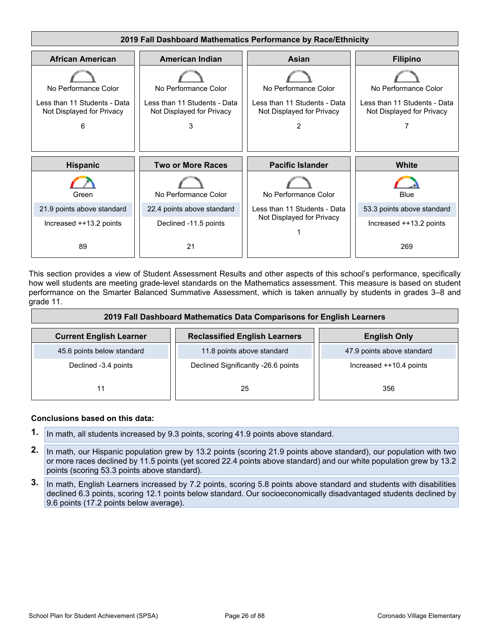

This section provides a view of Student Assessment Results and other aspects of this school's performance, specifically how well students are meeting grade-level standards on the Mathematics assessment. This measure is based on student performance on the Smarter Balanced Summative Assessment, which is taken annually by students in grades 3–8 and grade 11.

| 2019 Fall Dashboard Mathematics Data Comparisons for English Learners |                                      |                            |  |  |  |
|-----------------------------------------------------------------------|--------------------------------------|----------------------------|--|--|--|
| <b>Current English Learner</b>                                        | <b>Reclassified English Learners</b> | <b>English Only</b>        |  |  |  |
| 45.6 points below standard                                            | 11.8 points above standard           | 47.9 points above standard |  |  |  |
| Declined -3.4 points                                                  | Declined Significantly -26.6 points  | Increased ++10.4 points    |  |  |  |
| 11                                                                    | 25                                   | 356                        |  |  |  |

- **1.** In math, all students increased by 9.3 points, scoring 41.9 points above standard.
- **2.** In math, our Hispanic population grew by 13.2 points (scoring 21.9 points above standard), our population with two or more races declined by 11.5 points (yet scored 22.4 points above standard) and our white population grew by 13.2 points (scoring 53.3 points above standard).
- **3.** In math, English Learners increased by 7.2 points, scoring 5.8 points above standard and students with disabilities declined 6.3 points, scoring 12.1 points below standard. Our socioeconomically disadvantaged students declined by 9.6 points (17.2 points below average).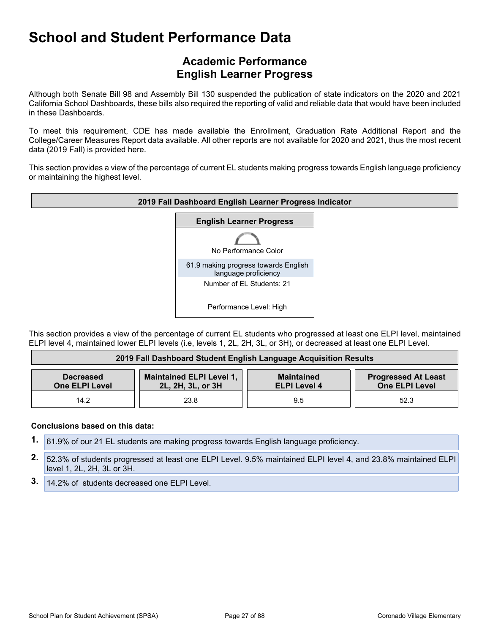### **Academic Performance English Learner Progress**

Although both Senate Bill 98 and Assembly Bill 130 suspended the publication of state indicators on the 2020 and 2021 California School Dashboards, these bills also required the reporting of valid and reliable data that would have been included in these Dashboards.

To meet this requirement, CDE has made available the Enrollment, Graduation Rate Additional Report and the College/Career Measures Report data available. All other reports are not available for 2020 and 2021, thus the most recent data (2019 Fall) is provided here.

This section provides a view of the percentage of current EL students making progress towards English language proficiency or maintaining the highest level.



This section provides a view of the percentage of current EL students who progressed at least one ELPI level, maintained ELPI level 4, maintained lower ELPI levels (i.e, levels 1, 2L, 2H, 3L, or 3H), or decreased at least one ELPI Level.

| 2019 Fall Dashboard Student English Language Acquisition Results |                                                      |                                          |                                                     |  |  |
|------------------------------------------------------------------|------------------------------------------------------|------------------------------------------|-----------------------------------------------------|--|--|
| <b>Decreased</b><br><b>One ELPI Level</b>                        | <b>Maintained ELPI Level 1,</b><br>2L, 2H, 3L, or 3H | <b>Maintained</b><br><b>ELPI Level 4</b> | <b>Progressed At Least</b><br><b>One ELPI Level</b> |  |  |
| 14.2                                                             | 23.8                                                 | 9.5                                      | 52.3                                                |  |  |

- **1.** 61.9% of our 21 EL students are making progress towards English language proficiency.
- **2.** 52.3% of students progressed at least one ELPI Level. 9.5% maintained ELPI level 4, and 23.8% maintained ELPI level 1, 2L, 2H, 3L or 3H.
- **3.** 14.2% of students decreased one ELPI Level.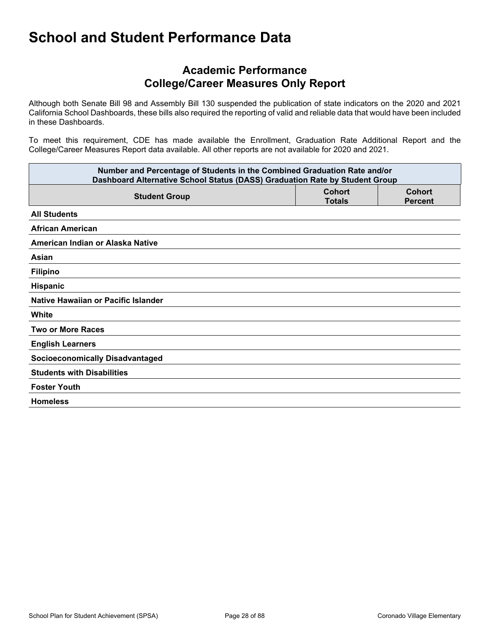### **Academic Performance College/Career Measures Only Report**

Although both Senate Bill 98 and Assembly Bill 130 suspended the publication of state indicators on the 2020 and 2021 California School Dashboards, these bills also required the reporting of valid and reliable data that would have been included in these Dashboards.

To meet this requirement, CDE has made available the Enrollment, Graduation Rate Additional Report and the College/Career Measures Report data available. All other reports are not available for 2020 and 2021.

| Number and Percentage of Students in the Combined Graduation Rate and/or<br>Dashboard Alternative School Status (DASS) Graduation Rate by Student Group |                                |                          |  |  |  |  |
|---------------------------------------------------------------------------------------------------------------------------------------------------------|--------------------------------|--------------------------|--|--|--|--|
| <b>Student Group</b>                                                                                                                                    | <b>Cohort</b><br><b>Totals</b> | Cohort<br><b>Percent</b> |  |  |  |  |
| <b>All Students</b>                                                                                                                                     |                                |                          |  |  |  |  |
| <b>African American</b>                                                                                                                                 |                                |                          |  |  |  |  |
| American Indian or Alaska Native                                                                                                                        |                                |                          |  |  |  |  |
| Asian                                                                                                                                                   |                                |                          |  |  |  |  |
| <b>Filipino</b>                                                                                                                                         |                                |                          |  |  |  |  |
| Hispanic                                                                                                                                                |                                |                          |  |  |  |  |
| Native Hawaiian or Pacific Islander                                                                                                                     |                                |                          |  |  |  |  |
| White                                                                                                                                                   |                                |                          |  |  |  |  |
| <b>Two or More Races</b>                                                                                                                                |                                |                          |  |  |  |  |
| <b>English Learners</b>                                                                                                                                 |                                |                          |  |  |  |  |
| <b>Socioeconomically Disadvantaged</b>                                                                                                                  |                                |                          |  |  |  |  |
| <b>Students with Disabilities</b>                                                                                                                       |                                |                          |  |  |  |  |
| <b>Foster Youth</b>                                                                                                                                     |                                |                          |  |  |  |  |
| <b>Homeless</b>                                                                                                                                         |                                |                          |  |  |  |  |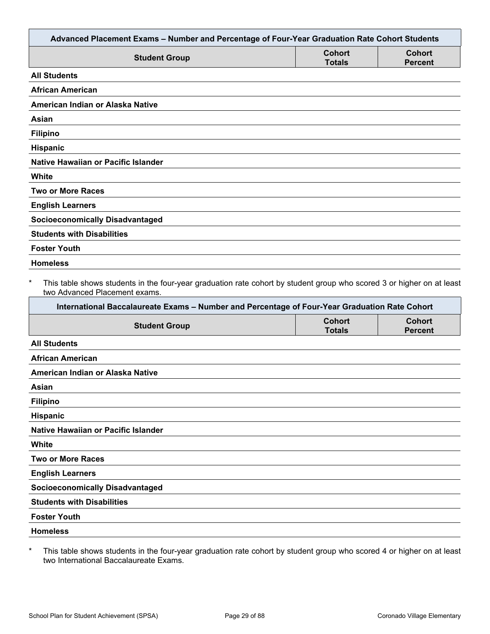| Advanced Placement Exams - Number and Percentage of Four-Year Graduation Rate Cohort Students                                                          |                                |                                 |
|--------------------------------------------------------------------------------------------------------------------------------------------------------|--------------------------------|---------------------------------|
| <b>Student Group</b>                                                                                                                                   | <b>Cohort</b><br><b>Totals</b> | <b>Cohort</b><br><b>Percent</b> |
| <b>All Students</b>                                                                                                                                    |                                |                                 |
| <b>African American</b>                                                                                                                                |                                |                                 |
| American Indian or Alaska Native                                                                                                                       |                                |                                 |
| Asian                                                                                                                                                  |                                |                                 |
| <b>Filipino</b>                                                                                                                                        |                                |                                 |
| Hispanic                                                                                                                                               |                                |                                 |
| Native Hawaiian or Pacific Islander                                                                                                                    |                                |                                 |
| White                                                                                                                                                  |                                |                                 |
| <b>Two or More Races</b>                                                                                                                               |                                |                                 |
| <b>English Learners</b>                                                                                                                                |                                |                                 |
| <b>Socioeconomically Disadvantaged</b>                                                                                                                 |                                |                                 |
| <b>Students with Disabilities</b>                                                                                                                      |                                |                                 |
| <b>Foster Youth</b>                                                                                                                                    |                                |                                 |
|                                                                                                                                                        |                                |                                 |
| This table shows students in the four-year graduation rate cohort by student group who scored 3 or higher on at least<br>two Advanced Placement exams. |                                |                                 |
| International Baccalaureate Exams - Number and Percentage of Four-Year Graduation Rate Cohort                                                          |                                |                                 |
| <b>Homeless</b><br>$\ast$<br><b>Student Group</b>                                                                                                      | <b>Cohort</b><br><b>Totals</b> | <b>Cohort</b><br><b>Percent</b> |
|                                                                                                                                                        |                                |                                 |
| <b>All Students</b><br><b>African American</b>                                                                                                         |                                |                                 |
| American Indian or Alaska Native                                                                                                                       |                                |                                 |
| Asian                                                                                                                                                  |                                |                                 |
| <b>Filipino</b>                                                                                                                                        |                                |                                 |
| Hispanic                                                                                                                                               |                                |                                 |
| Native Hawaiian or Pacific Islander                                                                                                                    |                                |                                 |
| White                                                                                                                                                  |                                |                                 |
| <b>Two or More Races</b>                                                                                                                               |                                |                                 |
| <b>English Learners</b>                                                                                                                                |                                |                                 |
| <b>Socioeconomically Disadvantaged</b>                                                                                                                 |                                |                                 |
| <b>Students with Disabilities</b>                                                                                                                      |                                |                                 |
| <b>Foster Youth</b>                                                                                                                                    |                                |                                 |

\* This table shows students in the four-year graduation rate cohort by student group who scored 4 or higher on at least two International Baccalaureate Exams.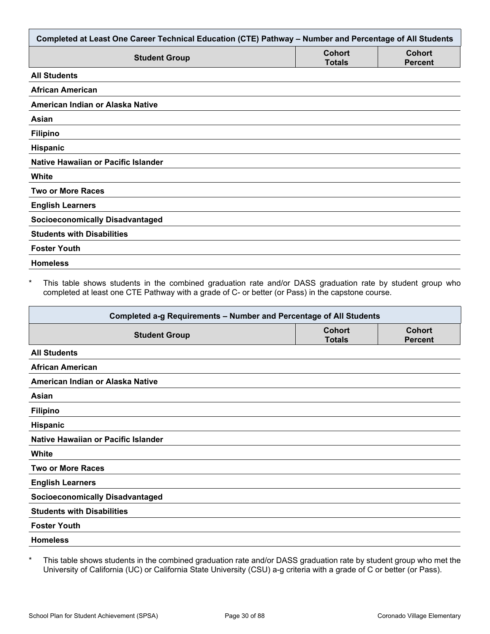| Completed at Least One Career Technical Education (CTE) Pathway - Number and Percentage of All Students |                                |                                 |  |  |  |
|---------------------------------------------------------------------------------------------------------|--------------------------------|---------------------------------|--|--|--|
| <b>Student Group</b>                                                                                    | <b>Cohort</b><br><b>Totals</b> | <b>Cohort</b><br><b>Percent</b> |  |  |  |
| <b>All Students</b>                                                                                     |                                |                                 |  |  |  |
| <b>African American</b>                                                                                 |                                |                                 |  |  |  |
| American Indian or Alaska Native                                                                        |                                |                                 |  |  |  |
| Asian                                                                                                   |                                |                                 |  |  |  |
| <b>Filipino</b>                                                                                         |                                |                                 |  |  |  |
| Hispanic                                                                                                |                                |                                 |  |  |  |
| Native Hawaiian or Pacific Islander                                                                     |                                |                                 |  |  |  |
| White                                                                                                   |                                |                                 |  |  |  |
| <b>Two or More Races</b>                                                                                |                                |                                 |  |  |  |
| <b>English Learners</b>                                                                                 |                                |                                 |  |  |  |
| <b>Socioeconomically Disadvantaged</b>                                                                  |                                |                                 |  |  |  |
| <b>Students with Disabilities</b>                                                                       |                                |                                 |  |  |  |
| <b>Foster Youth</b>                                                                                     |                                |                                 |  |  |  |
| <b>Homeless</b>                                                                                         |                                |                                 |  |  |  |

\* This table shows students in the combined graduation rate and/or DASS graduation rate by student group who completed at least one CTE Pathway with a grade of C- or better (or Pass) in the capstone course.

| Completed a-g Requirements - Number and Percentage of All Students |                                |                                 |  |  |  |
|--------------------------------------------------------------------|--------------------------------|---------------------------------|--|--|--|
| <b>Student Group</b>                                               | <b>Cohort</b><br><b>Totals</b> | <b>Cohort</b><br><b>Percent</b> |  |  |  |
| <b>All Students</b>                                                |                                |                                 |  |  |  |
| <b>African American</b>                                            |                                |                                 |  |  |  |
| American Indian or Alaska Native                                   |                                |                                 |  |  |  |
| Asian                                                              |                                |                                 |  |  |  |
| <b>Filipino</b>                                                    |                                |                                 |  |  |  |
| Hispanic                                                           |                                |                                 |  |  |  |
| Native Hawaiian or Pacific Islander                                |                                |                                 |  |  |  |
| White                                                              |                                |                                 |  |  |  |
| <b>Two or More Races</b>                                           |                                |                                 |  |  |  |
| <b>English Learners</b>                                            |                                |                                 |  |  |  |
| <b>Socioeconomically Disadvantaged</b>                             |                                |                                 |  |  |  |
| <b>Students with Disabilities</b>                                  |                                |                                 |  |  |  |
| <b>Foster Youth</b>                                                |                                |                                 |  |  |  |
| <b>Homeless</b>                                                    |                                |                                 |  |  |  |

\* This table shows students in the combined graduation rate and/or DASS graduation rate by student group who met the University of California (UC) or California State University (CSU) a-g criteria with a grade of C or better (or Pass).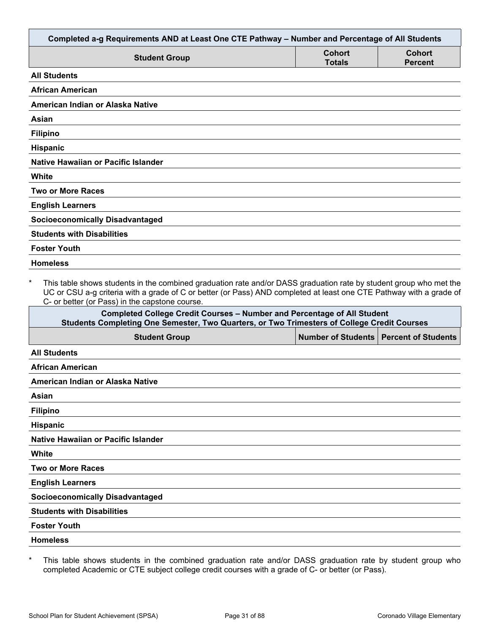| Completed a-g Requirements AND at Least One CTE Pathway - Number and Percentage of All Students                                                                                                                                                                                                        |                         |                            |  |  |  |
|--------------------------------------------------------------------------------------------------------------------------------------------------------------------------------------------------------------------------------------------------------------------------------------------------------|-------------------------|----------------------------|--|--|--|
| <b>Student Group</b>                                                                                                                                                                                                                                                                                   | Cohort<br><b>Totals</b> | Cohort<br><b>Percent</b>   |  |  |  |
| <b>All Students</b>                                                                                                                                                                                                                                                                                    |                         |                            |  |  |  |
| African American                                                                                                                                                                                                                                                                                       |                         |                            |  |  |  |
| American Indian or Alaska Native                                                                                                                                                                                                                                                                       |                         |                            |  |  |  |
| <b>Asian</b>                                                                                                                                                                                                                                                                                           |                         |                            |  |  |  |
| <b>Filipino</b>                                                                                                                                                                                                                                                                                        |                         |                            |  |  |  |
| Hispanic                                                                                                                                                                                                                                                                                               |                         |                            |  |  |  |
| Native Hawaiian or Pacific Islander                                                                                                                                                                                                                                                                    |                         |                            |  |  |  |
| White                                                                                                                                                                                                                                                                                                  |                         |                            |  |  |  |
| <b>Two or More Races</b>                                                                                                                                                                                                                                                                               |                         |                            |  |  |  |
| <b>English Learners</b>                                                                                                                                                                                                                                                                                |                         |                            |  |  |  |
| <b>Socioeconomically Disadvantaged</b>                                                                                                                                                                                                                                                                 |                         |                            |  |  |  |
| <b>Students with Disabilities</b>                                                                                                                                                                                                                                                                      |                         |                            |  |  |  |
| <b>Foster Youth</b>                                                                                                                                                                                                                                                                                    |                         |                            |  |  |  |
| <b>Homeless</b>                                                                                                                                                                                                                                                                                        |                         |                            |  |  |  |
| $\star$<br>This table shows students in the combined graduation rate and/or DASS graduation rate by student group who met the<br>UC or CSU a-g criteria with a grade of C or better (or Pass) AND completed at least one CTE Pathway with a grade of<br>C- or better (or Pass) in the capstone course. |                         |                            |  |  |  |
| <b>Completed College Credit Courses - Number and Percentage of All Student</b><br>Students Completing One Semester, Two Quarters, or Two Trimesters of College Credit Courses                                                                                                                          |                         |                            |  |  |  |
| <b>Student Group</b>                                                                                                                                                                                                                                                                                   | Number of Students      | <b>Percent of Students</b> |  |  |  |
| <b>All Students</b>                                                                                                                                                                                                                                                                                    |                         |                            |  |  |  |
| <b>African American</b>                                                                                                                                                                                                                                                                                |                         |                            |  |  |  |
| American Indian or Alaska Native                                                                                                                                                                                                                                                                       |                         |                            |  |  |  |
| Asian                                                                                                                                                                                                                                                                                                  |                         |                            |  |  |  |
| <b>Filipino</b>                                                                                                                                                                                                                                                                                        |                         |                            |  |  |  |
| <b>Hispanic</b>                                                                                                                                                                                                                                                                                        |                         |                            |  |  |  |

**Native Hawaiian or Pacific Islander**

**White**

**Two or More Races**

**English Learners**

**Socioeconomically Disadvantaged**

**Students with Disabilities**

**Foster Youth**

**Homeless**

\* This table shows students in the combined graduation rate and/or DASS graduation rate by student group who completed Academic or CTE subject college credit courses with a grade of C- or better (or Pass).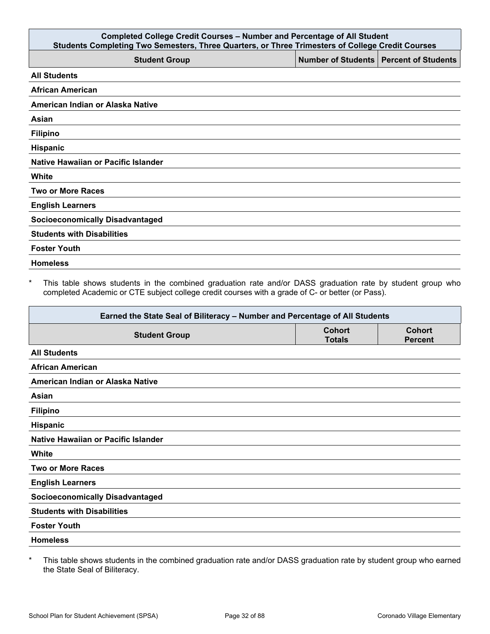| <b>Completed College Credit Courses - Number and Percentage of All Student</b><br>Students Completing Two Semesters, Three Quarters, or Three Trimesters of College Credit Courses |                                          |  |  |  |  |  |
|------------------------------------------------------------------------------------------------------------------------------------------------------------------------------------|------------------------------------------|--|--|--|--|--|
| <b>Student Group</b>                                                                                                                                                               | Number of Students   Percent of Students |  |  |  |  |  |
| <b>All Students</b>                                                                                                                                                                |                                          |  |  |  |  |  |
| <b>African American</b>                                                                                                                                                            |                                          |  |  |  |  |  |
| American Indian or Alaska Native                                                                                                                                                   |                                          |  |  |  |  |  |
| Asian                                                                                                                                                                              |                                          |  |  |  |  |  |
| <b>Filipino</b>                                                                                                                                                                    |                                          |  |  |  |  |  |
| Hispanic                                                                                                                                                                           |                                          |  |  |  |  |  |
| Native Hawaiian or Pacific Islander                                                                                                                                                |                                          |  |  |  |  |  |
| White                                                                                                                                                                              |                                          |  |  |  |  |  |
| <b>Two or More Races</b>                                                                                                                                                           |                                          |  |  |  |  |  |
| <b>English Learners</b>                                                                                                                                                            |                                          |  |  |  |  |  |
| <b>Socioeconomically Disadvantaged</b>                                                                                                                                             |                                          |  |  |  |  |  |
| <b>Students with Disabilities</b>                                                                                                                                                  |                                          |  |  |  |  |  |
| <b>Foster Youth</b>                                                                                                                                                                |                                          |  |  |  |  |  |
| <b>Homeless</b>                                                                                                                                                                    |                                          |  |  |  |  |  |

\* This table shows students in the combined graduation rate and/or DASS graduation rate by student group who completed Academic or CTE subject college credit courses with a grade of C- or better (or Pass).

| Earned the State Seal of Biliteracy - Number and Percentage of All Students |                                |                                 |  |  |  |
|-----------------------------------------------------------------------------|--------------------------------|---------------------------------|--|--|--|
| <b>Student Group</b>                                                        | <b>Cohort</b><br><b>Totals</b> | <b>Cohort</b><br><b>Percent</b> |  |  |  |
| <b>All Students</b>                                                         |                                |                                 |  |  |  |
| <b>African American</b>                                                     |                                |                                 |  |  |  |
| American Indian or Alaska Native                                            |                                |                                 |  |  |  |
| Asian                                                                       |                                |                                 |  |  |  |
| <b>Filipino</b>                                                             |                                |                                 |  |  |  |
| <b>Hispanic</b>                                                             |                                |                                 |  |  |  |
| Native Hawaiian or Pacific Islander                                         |                                |                                 |  |  |  |
| <b>White</b>                                                                |                                |                                 |  |  |  |
| <b>Two or More Races</b>                                                    |                                |                                 |  |  |  |
| <b>English Learners</b>                                                     |                                |                                 |  |  |  |
| <b>Socioeconomically Disadvantaged</b>                                      |                                |                                 |  |  |  |
| <b>Students with Disabilities</b>                                           |                                |                                 |  |  |  |
| <b>Foster Youth</b>                                                         |                                |                                 |  |  |  |
| <b>Homeless</b>                                                             |                                |                                 |  |  |  |

\* This table shows students in the combined graduation rate and/or DASS graduation rate by student group who earned the State Seal of Biliteracy.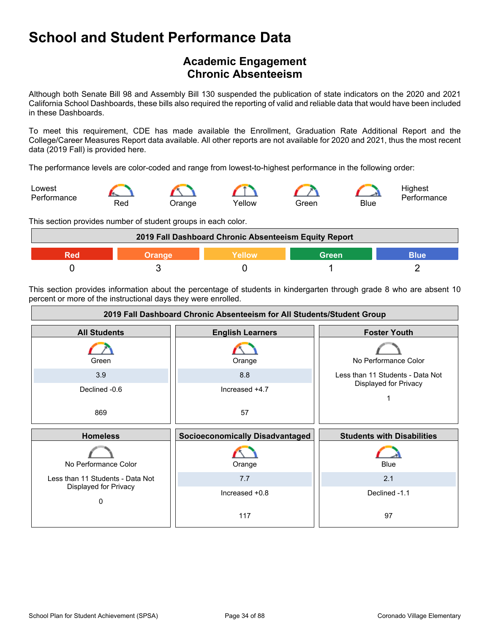## <span id="page-33-0"></span>**Academic Engagement Chronic Absenteeism**

Although both Senate Bill 98 and Assembly Bill 130 suspended the publication of state indicators on the 2020 and 2021 California School Dashboards, these bills also required the reporting of valid and reliable data that would have been included in these Dashboards.

To meet this requirement, CDE has made available the Enrollment, Graduation Rate Additional Report and the College/Career Measures Report data available. All other reports are not available for 2020 and 2021, thus the most recent data (2019 Fall) is provided here.

The performance levels are color-coded and range from lowest-to-highest performance in the following order:



This section provides number of student groups in each color.



This section provides information about the percentage of students in kindergarten through grade 8 who are absent 10 percent or more of the instructional days they were enrolled.

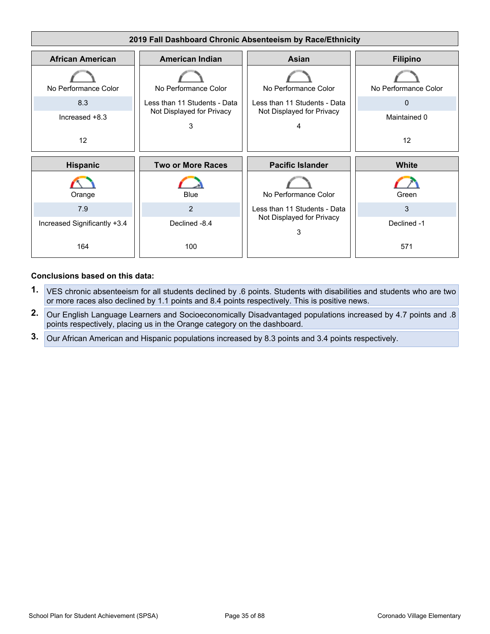

- **1.** VES chronic absenteeism for all students declined by .6 points. Students with disabilities and students who are two or more races also declined by 1.1 points and 8.4 points respectively. This is positive news.
- **2.** Our English Language Learners and Socioeconomically Disadvantaged populations increased by 4.7 points and .8 points respectively, placing us in the Orange category on the dashboard.
- **3.** Our African American and Hispanic populations increased by 8.3 points and 3.4 points respectively.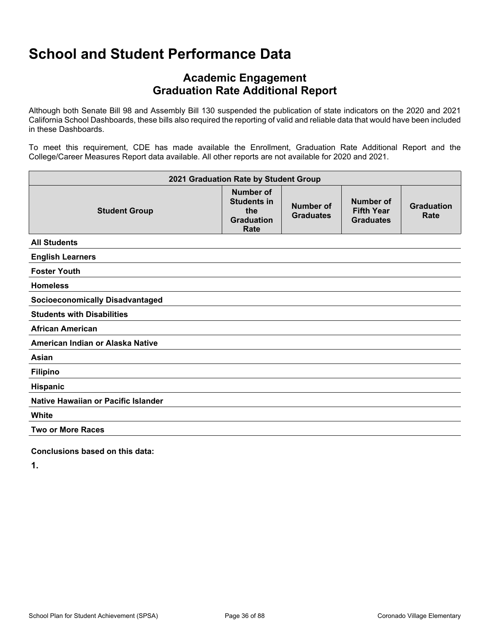### **Academic Engagement Graduation Rate Additional Report**

Although both Senate Bill 98 and Assembly Bill 130 suspended the publication of state indicators on the 2020 and 2021 California School Dashboards, these bills also required the reporting of valid and reliable data that would have been included in these Dashboards.

To meet this requirement, CDE has made available the Enrollment, Graduation Rate Additional Report and the College/Career Measures Report data available. All other reports are not available for 2020 and 2021.

| 2021 Graduation Rate by Student Group  |                                                                                   |                               |                                                    |                           |  |  |
|----------------------------------------|-----------------------------------------------------------------------------------|-------------------------------|----------------------------------------------------|---------------------------|--|--|
| <b>Student Group</b>                   | <b>Number of</b><br><b>Students in</b><br>the<br><b>Graduation</b><br><b>Rate</b> | Number of<br><b>Graduates</b> | Number of<br><b>Fifth Year</b><br><b>Graduates</b> | <b>Graduation</b><br>Rate |  |  |
| <b>All Students</b>                    |                                                                                   |                               |                                                    |                           |  |  |
| <b>English Learners</b>                |                                                                                   |                               |                                                    |                           |  |  |
| <b>Foster Youth</b>                    |                                                                                   |                               |                                                    |                           |  |  |
| <b>Homeless</b>                        |                                                                                   |                               |                                                    |                           |  |  |
| <b>Socioeconomically Disadvantaged</b> |                                                                                   |                               |                                                    |                           |  |  |
| <b>Students with Disabilities</b>      |                                                                                   |                               |                                                    |                           |  |  |
| <b>African American</b>                |                                                                                   |                               |                                                    |                           |  |  |
| American Indian or Alaska Native       |                                                                                   |                               |                                                    |                           |  |  |
| Asian                                  |                                                                                   |                               |                                                    |                           |  |  |
| <b>Filipino</b>                        |                                                                                   |                               |                                                    |                           |  |  |
| Hispanic                               |                                                                                   |                               |                                                    |                           |  |  |
| Native Hawaiian or Pacific Islander    |                                                                                   |                               |                                                    |                           |  |  |
| White                                  |                                                                                   |                               |                                                    |                           |  |  |
| <b>Two or More Races</b>               |                                                                                   |                               |                                                    |                           |  |  |

**Conclusions based on this data:**

**1.**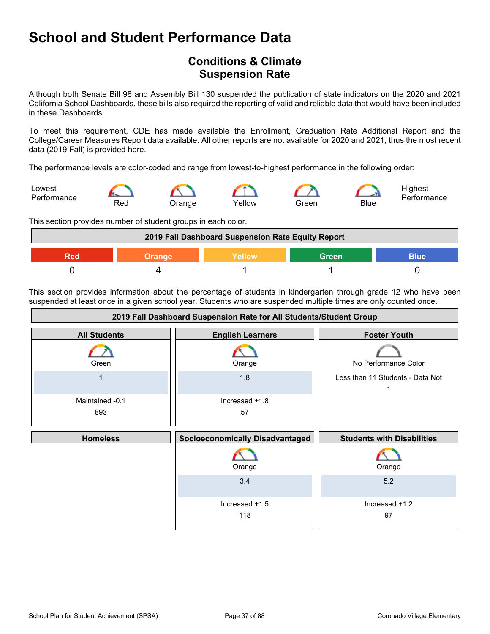# **School and Student Performance Data**

# **Conditions & Climate Suspension Rate**

Although both Senate Bill 98 and Assembly Bill 130 suspended the publication of state indicators on the 2020 and 2021 California School Dashboards, these bills also required the reporting of valid and reliable data that would have been included in these Dashboards.

To meet this requirement, CDE has made available the Enrollment, Graduation Rate Additional Report and the College/Career Measures Report data available. All other reports are not available for 2020 and 2021, thus the most recent data (2019 Fall) is provided here.

The performance levels are color-coded and range from lowest-to-highest performance in the following order:



This section provides number of student groups in each color.



This section provides information about the percentage of students in kindergarten through grade 12 who have been suspended at least once in a given school year. Students who are suspended multiple times are only counted once.

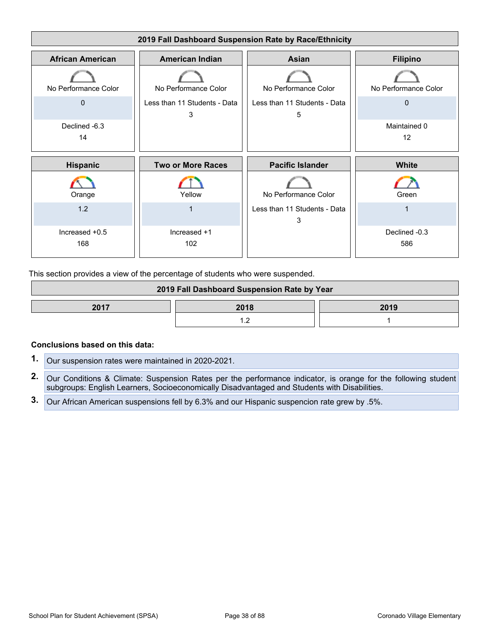

This section provides a view of the percentage of students who were suspended.

| 2019 Fall Dashboard Suspension Rate by Year |  |  |  |
|---------------------------------------------|--|--|--|
| 2017<br>2018<br>2019                        |  |  |  |
|                                             |  |  |  |

### **Conclusions based on this data:**

- **1.** Our suspension rates were maintained in 2020-2021.
- **2.** Our Conditions & Climate: Suspension Rates per the performance indicator, is orange for the following student subgroups: English Learners, Socioeconomically Disadvantaged and Students with Disabilities.
- **3.** Our African American suspensions fell by 6.3% and our Hispanic suspencion rate grew by .5%.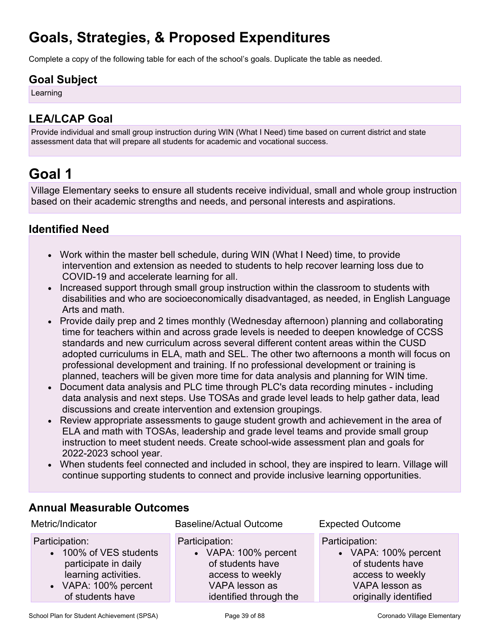# **Goals, Strategies, & Proposed Expenditures**

Complete a copy of the following table for each of the school's goals. Duplicate the table as needed.

# **Goal Subject**

Learning

# **LEA/LCAP Goal**

Provide individual and small group instruction during WIN (What I Need) time based on current district and state assessment data that will prepare all students for academic and vocational success.

# **Goal 1**

Village Elementary seeks to ensure all students receive individual, small and whole group instruction based on their academic strengths and needs, and personal interests and aspirations.

# **Identified Need**

- Work within the master bell schedule, during WIN (What I Need) time, to provide intervention and extension as needed to students to help recover learning loss due to COVID-19 and accelerate learning for all.
- Increased support through small group instruction within the classroom to students with disabilities and who are socioeconomically disadvantaged, as needed, in English Language Arts and math.
- Provide daily prep and 2 times monthly (Wednesday afternoon) planning and collaborating time for teachers within and across grade levels is needed to deepen knowledge of CCSS standards and new curriculum across several different content areas within the CUSD adopted curriculums in ELA, math and SEL. The other two afternoons a month will focus on professional development and training. If no professional development or training is planned, teachers will be given more time for data analysis and planning for WIN time.
- Document data analysis and PLC time through PLC's data recording minutes including data analysis and next steps. Use TOSAs and grade level leads to help gather data, lead discussions and create intervention and extension groupings.
- Review appropriate assessments to gauge student growth and achievement in the area of ELA and math with TOSAs, leadership and grade level teams and provide small group instruction to meet student needs. Create school-wide assessment plan and goals for 2022-2023 school year.
- When students feel connected and included in school, they are inspired to learn. Village will continue supporting students to connect and provide inclusive learning opportunities.

| Metric/Indicator       | <b>Baseline/Actual Outcome</b> | <b>Expected Outcome</b> |
|------------------------|--------------------------------|-------------------------|
| Participation:         | Participation:                 | Participation:          |
| • 100% of VES students | • VAPA: 100% percent           | • VAPA: 100% percent    |
| participate in daily   | of students have               | of students have        |
| learning activities.   | access to weekly               | access to weekly        |
| • VAPA: 100% percent   | VAPA lesson as                 | VAPA lesson as          |
| of students have       | identified through the         | originally identified   |

# **Annual Measurable Outcomes**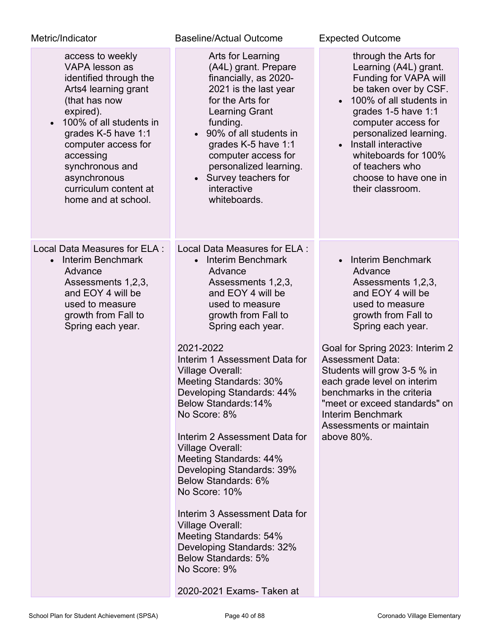| Metric/Indicator                                                                                                                                                                                                                                                                            | Baseline/Actual Outcome                                                                                                                                                                                                                                                                                                                                                                                                                                                                                                                                                                                                                                                                                        | <b>Expected Outcome</b>                                                                                                                                                                                                                                                                                                                                                                         |
|---------------------------------------------------------------------------------------------------------------------------------------------------------------------------------------------------------------------------------------------------------------------------------------------|----------------------------------------------------------------------------------------------------------------------------------------------------------------------------------------------------------------------------------------------------------------------------------------------------------------------------------------------------------------------------------------------------------------------------------------------------------------------------------------------------------------------------------------------------------------------------------------------------------------------------------------------------------------------------------------------------------------|-------------------------------------------------------------------------------------------------------------------------------------------------------------------------------------------------------------------------------------------------------------------------------------------------------------------------------------------------------------------------------------------------|
| access to weekly<br>VAPA lesson as<br>identified through the<br>Arts4 learning grant<br>(that has now<br>expired).<br>100% of all students in<br>grades K-5 have 1:1<br>computer access for<br>accessing<br>synchronous and<br>asynchronous<br>curriculum content at<br>home and at school. | Arts for Learning<br>(A4L) grant. Prepare<br>financially, as 2020-<br>2021 is the last year<br>for the Arts for<br><b>Learning Grant</b><br>funding.<br>• 90% of all students in<br>grades K-5 have 1:1<br>computer access for<br>personalized learning.<br>• Survey teachers for<br>interactive<br>whiteboards.                                                                                                                                                                                                                                                                                                                                                                                               | through the Arts for<br>Learning (A4L) grant.<br>Funding for VAPA will<br>be taken over by CSF.<br>100% of all students in<br>grades 1-5 have 1:1<br>computer access for<br>personalized learning.<br>• Install interactive<br>whiteboards for 100%<br>of teachers who<br>choose to have one in<br>their classroom.                                                                             |
| Local Data Measures for ELA :<br>Interim Benchmark<br>$\bullet$<br>Advance<br>Assessments 1,2,3,<br>and EOY 4 will be<br>used to measure<br>growth from Fall to<br>Spring each year.                                                                                                        | Local Data Measures for ELA :<br>Interim Benchmark<br>$\bullet$<br>Advance<br>Assessments 1,2,3,<br>and EOY 4 will be<br>used to measure<br>growth from Fall to<br>Spring each year.<br>2021-2022<br>Interim 1 Assessment Data for<br>Village Overall:<br>Meeting Standards: 30%<br>Developing Standards: 44%<br>Below Standards: 14%<br>No Score: 8%<br>Interim 2 Assessment Data for<br><b>Village Overall:</b><br>Meeting Standards: 44%<br>Developing Standards: 39%<br>Below Standards: 6%<br>No Score: 10%<br>Interim 3 Assessment Data for<br><b>Village Overall:</b><br>Meeting Standards: 54%<br>Developing Standards: 32%<br><b>Below Standards: 5%</b><br>No Score: 9%<br>2020-2021 Exams- Taken at | Interim Benchmark<br>Advance<br>Assessments 1,2,3,<br>and EOY 4 will be<br>used to measure<br>growth from Fall to<br>Spring each year.<br>Goal for Spring 2023: Interim 2<br><b>Assessment Data:</b><br>Students will grow 3-5 % in<br>each grade level on interim<br>benchmarks in the criteria<br>"meet or exceed standards" on<br>Interim Benchmark<br>Assessments or maintain<br>above 80%. |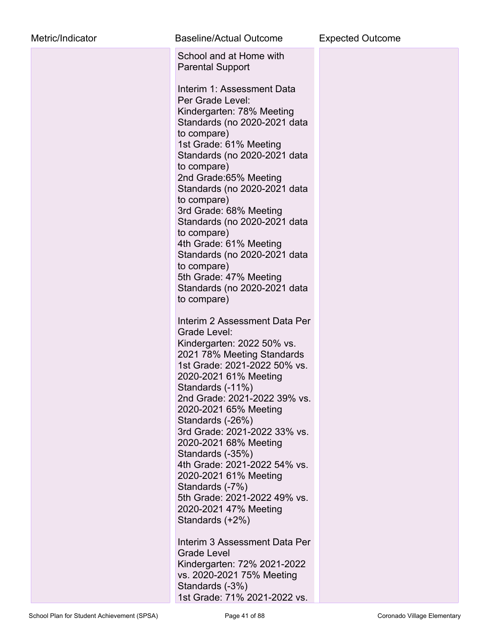| Metric/Indicator | <b>Baseline/Actual Outcome</b>                                                                                                                                                                                                                                                                                                                                                                                                                                                                                                                                                                                                                                          | <b>Expected Outcome</b> |
|------------------|-------------------------------------------------------------------------------------------------------------------------------------------------------------------------------------------------------------------------------------------------------------------------------------------------------------------------------------------------------------------------------------------------------------------------------------------------------------------------------------------------------------------------------------------------------------------------------------------------------------------------------------------------------------------------|-------------------------|
|                  | School and at Home with<br><b>Parental Support</b><br>Interim 1: Assessment Data<br>Per Grade Level:<br>Kindergarten: 78% Meeting<br>Standards (no 2020-2021 data<br>to compare)<br>1st Grade: 61% Meeting<br>Standards (no 2020-2021 data<br>to compare)<br>2nd Grade:65% Meeting<br>Standards (no 2020-2021 data<br>to compare)<br>3rd Grade: 68% Meeting<br>Standards (no 2020-2021 data<br>to compare)<br>4th Grade: 61% Meeting<br>Standards (no 2020-2021 data<br>to compare)<br>5th Grade: 47% Meeting<br>Standards (no 2020-2021 data<br>to compare)                                                                                                            |                         |
|                  | Interim 2 Assessment Data Per<br>Grade Level:<br>Kindergarten: 2022 50% vs.<br>2021 78% Meeting Standards<br>1st Grade: 2021-2022 50% vs.<br>2020-2021 61% Meeting<br>Standards (-11%)<br>2nd Grade: 2021-2022 39% vs.<br>2020-2021 65% Meeting<br>Standards (-26%)<br>3rd Grade: 2021-2022 33% vs.<br>2020-2021 68% Meeting<br>Standards (-35%)<br>4th Grade: 2021-2022 54% vs.<br>2020-2021 61% Meeting<br>Standards (-7%)<br>5th Grade: 2021-2022 49% vs.<br>2020-2021 47% Meeting<br>Standards (+2%)<br>Interim 3 Assessment Data Per<br>Grade Level<br>Kindergarten: 72% 2021-2022<br>vs. 2020-2021 75% Meeting<br>Standards (-3%)<br>1st Grade: 71% 2021-2022 vs. |                         |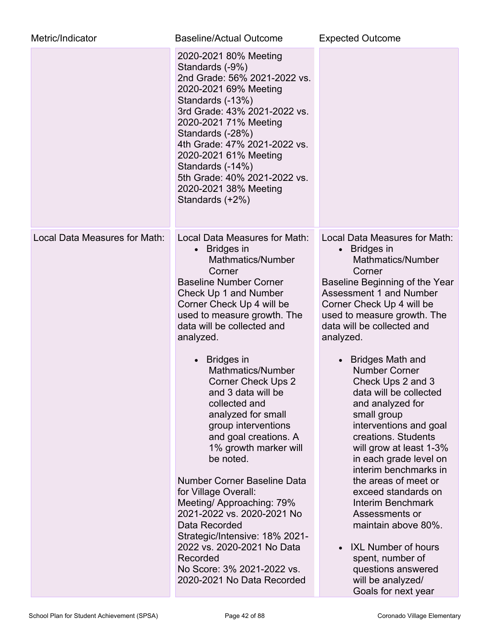| Metric/Indicator              | <b>Baseline/Actual Outcome</b>                                                                                                                                                                                                                                                                                                                                                                                                                                                                                                                                                                                                                                                                                                                                  | <b>Expected Outcome</b>                                                                                                                                                                                                                                                                                                                                                                                                                                                                                                                                                                                                                                                                                                                                    |
|-------------------------------|-----------------------------------------------------------------------------------------------------------------------------------------------------------------------------------------------------------------------------------------------------------------------------------------------------------------------------------------------------------------------------------------------------------------------------------------------------------------------------------------------------------------------------------------------------------------------------------------------------------------------------------------------------------------------------------------------------------------------------------------------------------------|------------------------------------------------------------------------------------------------------------------------------------------------------------------------------------------------------------------------------------------------------------------------------------------------------------------------------------------------------------------------------------------------------------------------------------------------------------------------------------------------------------------------------------------------------------------------------------------------------------------------------------------------------------------------------------------------------------------------------------------------------------|
|                               | 2020-2021 80% Meeting<br>Standards (-9%)<br>2nd Grade: 56% 2021-2022 vs.<br>2020-2021 69% Meeting<br>Standards (-13%)<br>3rd Grade: 43% 2021-2022 vs.<br>2020-2021 71% Meeting<br>Standards (-28%)<br>4th Grade: 47% 2021-2022 vs.<br>2020-2021 61% Meeting<br>Standards (-14%)<br>5th Grade: 40% 2021-2022 vs.<br>2020-2021 38% Meeting<br>Standards (+2%)                                                                                                                                                                                                                                                                                                                                                                                                     |                                                                                                                                                                                                                                                                                                                                                                                                                                                                                                                                                                                                                                                                                                                                                            |
| Local Data Measures for Math: | Local Data Measures for Math:<br><b>Bridges in</b><br>$\bullet$<br>Mathmatics/Number<br>Corner<br><b>Baseline Number Corner</b><br>Check Up 1 and Number<br>Corner Check Up 4 will be<br>used to measure growth. The<br>data will be collected and<br>analyzed.<br>• Bridges in<br>Mathmatics/Number<br><b>Corner Check Ups 2</b><br>and 3 data will be<br>collected and<br>analyzed for small<br>group interventions<br>and goal creations. A<br>1% growth marker will<br>be noted.<br>Number Corner Baseline Data<br>for Village Overall:<br>Meeting/ Approaching: 79%<br>2021-2022 vs. 2020-2021 No<br>Data Recorded<br>Strategic/Intensive: 18% 2021-<br>2022 vs. 2020-2021 No Data<br>Recorded<br>No Score: 3% 2021-2022 vs.<br>2020-2021 No Data Recorded | Local Data Measures for Math:<br>$\bullet$ Bridges in<br>Mathmatics/Number<br>Corner<br>Baseline Beginning of the Year<br><b>Assessment 1 and Number</b><br>Corner Check Up 4 will be<br>used to measure growth. The<br>data will be collected and<br>analyzed.<br>• Bridges Math and<br><b>Number Corner</b><br>Check Ups 2 and 3<br>data will be collected<br>and analyzed for<br>small group<br>interventions and goal<br>creations. Students<br>will grow at least 1-3%<br>in each grade level on<br>interim benchmarks in<br>the areas of meet or<br>exceed standards on<br>Interim Benchmark<br>Assessments or<br>maintain above 80%.<br>• IXL Number of hours<br>spent, number of<br>questions answered<br>will be analyzed/<br>Goals for next year |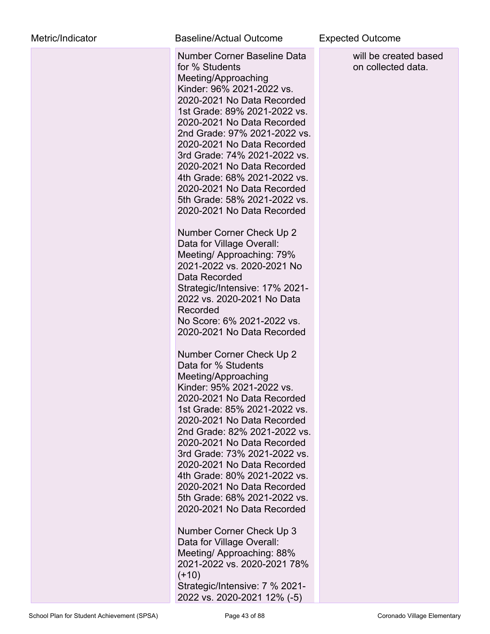| Metric/Indicator | <b>Baseline/Actual Outcome</b>                                                                                                                                                                                                                                                                                                                                                                                                                          |
|------------------|---------------------------------------------------------------------------------------------------------------------------------------------------------------------------------------------------------------------------------------------------------------------------------------------------------------------------------------------------------------------------------------------------------------------------------------------------------|
|                  | Number Corner Baseline Data<br>for % Students<br>Meeting/Approaching<br>Kinder: 96% 2021-2022 vs.<br>2020-2021 No Data Recorded<br>1st Grade: 89% 2021-2022 vs.<br>2020-2021 No Data Recorded<br>2nd Grade: 97% 2021-2022 vs.<br>2020-2021 No Data Recorded<br>3rd Grade: 74% 2021-2022 vs.<br>2020-2021 No Data Recorded<br>4th Grade: 68% 2021-2022 vs.<br>2020-2021 No Data Recorded<br>5th Grade: 58% 2021-2022 vs.<br>2020-2021 No Data Recorded   |
|                  | Number Corner Check Up 2<br>Data for Village Overall:<br>Meeting/Approaching: 79%<br>2021-2022 vs. 2020-2021 No<br>Data Recorded<br>Strategic/Intensive: 17% 2021-<br>2022 vs. 2020-2021 No Data<br>Recorded<br>No Score: 6% 2021-2022 vs.<br>2020-2021 No Data Recorded                                                                                                                                                                                |
|                  | Number Corner Check Up 2<br>Data for % Students<br>Meeting/Approaching<br>Kinder: 95% 2021-2022 vs.<br>2020-2021 No Data Recorded<br>1st Grade: 85% 2021-2022 vs.<br>2020-2021 No Data Recorded<br>2nd Grade: 82% 2021-2022 vs.<br>2020-2021 No Data Recorded<br>3rd Grade: 73% 2021-2022 vs.<br>2020-2021 No Data Recorded<br>4th Grade: 80% 2021-2022 vs.<br>2020-2021 No Data Recorded<br>5th Grade: 68% 2021-2022 vs.<br>2020-2021 No Data Recorded |
|                  | Number Corner Check Up 3<br>Data for Village Overall:<br>Meeting/ Approaching: 88%<br>2021-2022 vs. 2020-2021 78%                                                                                                                                                                                                                                                                                                                                       |

### ne **Expected Outcome**

will be created based on collected data.

Strategic/Intensive: 7 % 2021- 2022 vs. 2020-2021 12% (-5)

 $(+10)$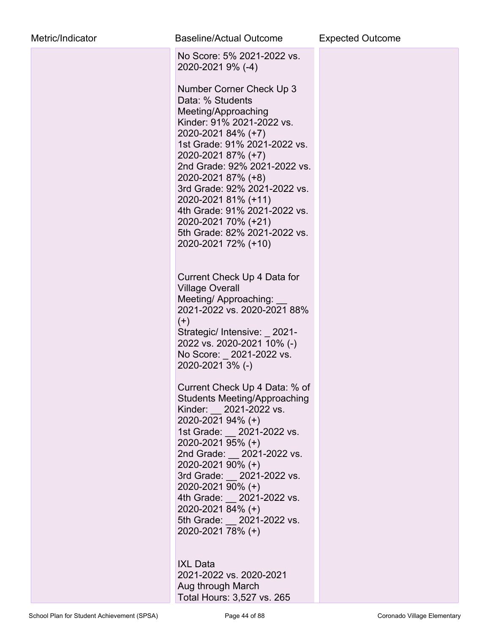| Metric/Indicator | Baseline/Actual Outcome                                                                                                                                                                                                                                                                                                                                                                                                                                                                                                                                                                                       | <b>Expected Outcome</b> |
|------------------|---------------------------------------------------------------------------------------------------------------------------------------------------------------------------------------------------------------------------------------------------------------------------------------------------------------------------------------------------------------------------------------------------------------------------------------------------------------------------------------------------------------------------------------------------------------------------------------------------------------|-------------------------|
|                  | No Score: 5% 2021-2022 vs.<br>2020-2021 9% (-4)<br>Number Corner Check Up 3<br>Data: % Students<br>Meeting/Approaching<br>Kinder: 91% 2021-2022 vs.<br>2020-2021 84% (+7)<br>1st Grade: 91% 2021-2022 vs.<br>2020-2021 87% (+7)<br>2nd Grade: 92% 2021-2022 vs.<br>2020-2021 87% (+8)<br>3rd Grade: 92% 2021-2022 vs.<br>2020-2021 81% (+11)<br>4th Grade: 91% 2021-2022 vs.<br>2020-2021 70% (+21)<br>5th Grade: 82% 2021-2022 vs.<br>2020-2021 72% (+10)                                                                                                                                                    |                         |
|                  | Current Check Up 4 Data for<br><b>Village Overall</b><br>Meeting/Approaching:<br>2021-2022 vs. 2020-2021 88%<br>$(+)$<br>Strategic/ Intensive: _2021-<br>2022 vs. 2020-2021 10% (-)<br>No Score: 2021-2022 vs.<br>2020-2021 3% (-)<br>Current Check Up 4 Data: % of<br><b>Students Meeting/Approaching</b><br>Kinder: 2021-2022 vs.<br>2020-2021 94% (+)<br>1st Grade: 2021-2022 vs.<br>2020-2021 95% (+)<br>2nd Grade: 2021-2022 vs.<br>2020-2021 90% (+)<br>3rd Grade: 2021-2022 vs.<br>2020-2021 90% (+)<br>4th Grade: 2021-2022 vs.<br>2020-2021 84% (+)<br>5th Grade: 2021-2022 vs.<br>2020-2021 78% (+) |                         |
|                  | <b>IXL Data</b><br>2021-2022 vs. 2020-2021<br>Aug through March<br>Total Hours: 3,527 vs. 265                                                                                                                                                                                                                                                                                                                                                                                                                                                                                                                 |                         |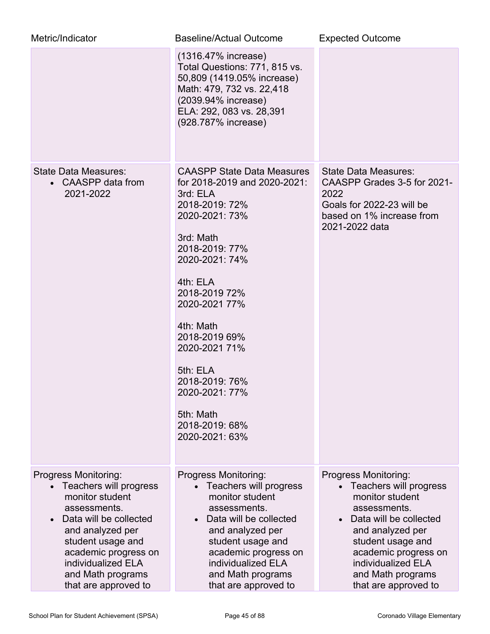| Metric/Indicator                                                                                                                                                                                                                                | Baseline/Actual Outcome                                                                                                                                                                                                                                                                                                                                          | <b>Expected Outcome</b>                                                                                                                                                                                                                         |
|-------------------------------------------------------------------------------------------------------------------------------------------------------------------------------------------------------------------------------------------------|------------------------------------------------------------------------------------------------------------------------------------------------------------------------------------------------------------------------------------------------------------------------------------------------------------------------------------------------------------------|-------------------------------------------------------------------------------------------------------------------------------------------------------------------------------------------------------------------------------------------------|
|                                                                                                                                                                                                                                                 | (1316.47% increase)<br>Total Questions: 771, 815 vs.<br>50,809 (1419.05% increase)<br>Math: 479, 732 vs. 22,418<br>(2039.94% increase)<br>ELA: 292, 083 vs. 28,391<br>(928.787% increase)                                                                                                                                                                        |                                                                                                                                                                                                                                                 |
| State Data Measures:<br>• CAASPP data from<br>2021-2022                                                                                                                                                                                         | <b>CAASPP State Data Measures</b><br>for 2018-2019 and 2020-2021:<br>3rd: ELA<br>2018-2019: 72%<br>2020-2021: 73%<br>3rd: Math<br>2018-2019: 77%<br>2020-2021: 74%<br>4th: ELA<br>2018-2019 72%<br>2020-2021 77%<br>4th: Math<br>2018-2019 69%<br>2020-2021 71%<br>5th: ELA<br>2018-2019: 76%<br>2020-2021: 77%<br>5th: Math<br>2018-2019: 68%<br>2020-2021: 63% | State Data Measures:<br>CAASPP Grades 3-5 for 2021-<br>2022<br>Goals for 2022-23 will be<br>based on 1% increase from<br>2021-2022 data                                                                                                         |
| Progress Monitoring:<br>Teachers will progress<br>monitor student<br>assessments.<br>Data will be collected<br>and analyzed per<br>student usage and<br>academic progress on<br>individualized ELA<br>and Math programs<br>that are approved to | Progress Monitoring:<br>Teachers will progress<br>monitor student<br>assessments.<br>Data will be collected<br>and analyzed per<br>student usage and<br>academic progress on<br>individualized ELA<br>and Math programs<br>that are approved to                                                                                                                  | Progress Monitoring:<br>Teachers will progress<br>monitor student<br>assessments.<br>Data will be collected<br>and analyzed per<br>student usage and<br>academic progress on<br>individualized ELA<br>and Math programs<br>that are approved to |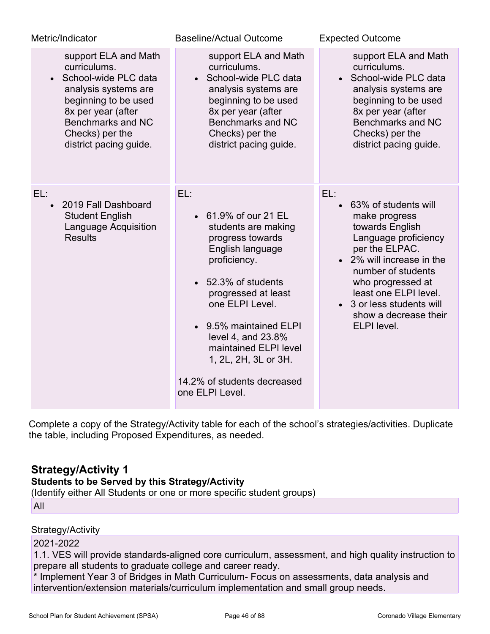| Metric/Indicator                                                                                                                                                                                       | <b>Baseline/Actual Outcome</b>                                                                                                                                                                                                                                                                                                 | <b>Expected Outcome</b>                                                                                                                                                                                                                                                                      |
|--------------------------------------------------------------------------------------------------------------------------------------------------------------------------------------------------------|--------------------------------------------------------------------------------------------------------------------------------------------------------------------------------------------------------------------------------------------------------------------------------------------------------------------------------|----------------------------------------------------------------------------------------------------------------------------------------------------------------------------------------------------------------------------------------------------------------------------------------------|
| support ELA and Math<br>curriculums.<br>• School-wide PLC data<br>analysis systems are<br>beginning to be used<br>8x per year (after<br>Benchmarks and NC<br>Checks) per the<br>district pacing guide. | support ELA and Math<br>curriculums.<br>• School-wide PLC data<br>analysis systems are<br>beginning to be used<br>8x per year (after<br>Benchmarks and NC<br>Checks) per the<br>district pacing guide.                                                                                                                         | support ELA and Math<br>curriculums.<br>• School-wide PLC data<br>analysis systems are<br>beginning to be used<br>8x per year (after<br>Benchmarks and NC<br>Checks) per the<br>district pacing guide.                                                                                       |
| EL:<br>2019 Fall Dashboard<br>$\bullet$<br><b>Student English</b><br><b>Language Acquisition</b><br><b>Results</b>                                                                                     | EL:<br>• 61.9% of our 21 EL<br>students are making<br>progress towards<br>English language<br>proficiency.<br>• 52.3% of students<br>progressed at least<br>one ELPI Level.<br>• 9.5% maintained ELPI<br>level 4, and 23.8%<br>maintained ELPI level<br>1, 2L, 2H, 3L or 3H.<br>14.2% of students decreased<br>one ELPI Level. | EL:<br>63% of students will<br>$\bullet$<br>make progress<br>towards English<br>Language proficiency<br>per the ELPAC.<br>• 2% will increase in the<br>number of students<br>who progressed at<br>least one ELPI level.<br>• 3 or less students will<br>show a decrease their<br>ELPI level. |

Complete a copy of the Strategy/Activity table for each of the school's strategies/activities. Duplicate the table, including Proposed Expenditures, as needed.

# **Strategy/Activity 1**

# **Students to be Served by this Strategy/Activity**

(Identify either All Students or one or more specific student groups)

All

# Strategy/Activity

### 2021-2022

1.1. VES will provide standards-aligned core curriculum, assessment, and high quality instruction to prepare all students to graduate college and career ready.

\* Implement Year 3 of Bridges in Math Curriculum- Focus on assessments, data analysis and intervention/extension materials/curriculum implementation and small group needs.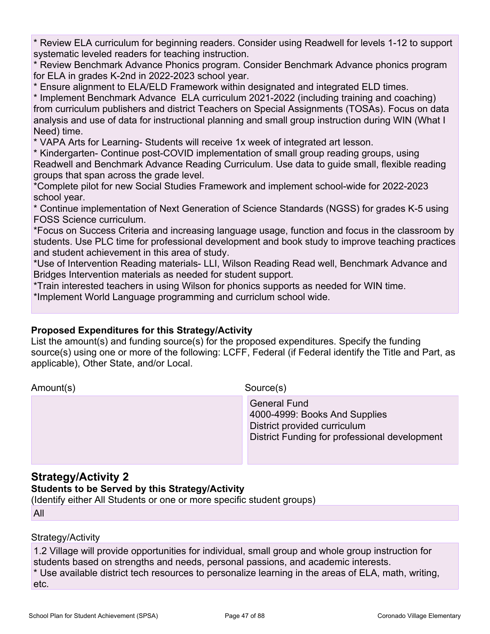\* Review ELA curriculum for beginning readers. Consider using Readwell for levels 1-12 to support systematic leveled readers for teaching instruction.

\* Review Benchmark Advance Phonics program. Consider Benchmark Advance phonics program for ELA in grades K-2nd in 2022-2023 school year.

\* Ensure alignment to ELA/ELD Framework within designated and integrated ELD times.

\* Implement Benchmark Advance ELA curriculum 2021-2022 (including training and coaching) from curriculum publishers and district Teachers on Special Assignments (TOSAs). Focus on data analysis and use of data for instructional planning and small group instruction during WIN (What I Need) time.

\* VAPA Arts for Learning- Students will receive 1x week of integrated art lesson.

\* Kindergarten- Continue post-COVID implementation of small group reading groups, using Readwell and Benchmark Advance Reading Curriculum. Use data to guide small, flexible reading groups that span across the grade level.

\*Complete pilot for new Social Studies Framework and implement school-wide for 2022-2023 school year.

\* Continue implementation of Next Generation of Science Standards (NGSS) for grades K-5 using FOSS Science curriculum.

\*Focus on Success Criteria and increasing language usage, function and focus in the classroom by students. Use PLC time for professional development and book study to improve teaching practices and student achievement in this area of study.

\*Use of Intervention Reading materials- LLI, Wilson Reading Read well, Benchmark Advance and Bridges Intervention materials as needed for student support.

\*Train interested teachers in using Wilson for phonics supports as needed for WIN time.

\*Implement World Language programming and curriclum school wide.

### **Proposed Expenditures for this Strategy/Activity**

List the amount(s) and funding source(s) for the proposed expenditures. Specify the funding source(s) using one or more of the following: LCFF, Federal (if Federal identify the Title and Part, as applicable), Other State, and/or Local.

Amount(s) Source(s)

 General Fund 4000-4999: Books And Supplies District provided curriculum District Funding for professional development

# **Strategy/Activity 2**

### **Students to be Served by this Strategy/Activity**

(Identify either All Students or one or more specific student groups) All

# Strategy/Activity

1.2 Village will provide opportunities for individual, small group and whole group instruction for students based on strengths and needs, personal passions, and academic interests.

\* Use available district tech resources to personalize learning in the areas of ELA, math, writing, etc.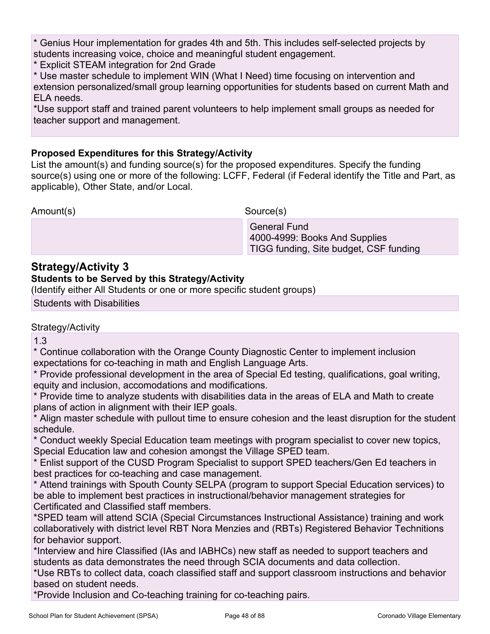\* Genius Hour implementation for grades 4th and 5th. This includes self-selected projects by students increasing voice, choice and meaningful student engagement.

\* Explicit STEAM integration for 2nd Grade

\* Use master schedule to implement WIN (What I Need) time focusing on intervention and extension personalized/small group learning opportunities for students based on current Math and ELA needs.

\*Use support staff and trained parent volunteers to help implement small groups as needed for teacher support and management.

# **Proposed Expenditures for this Strategy/Activity**

List the amount(s) and funding source(s) for the proposed expenditures. Specify the funding source(s) using one or more of the following: LCFF, Federal (if Federal identify the Title and Part, as applicable), Other State, and/or Local.

Amount(s) Source(s)

 General Fund 4000-4999: Books And Supplies TIGG funding, Site budget, CSF funding

# **Strategy/Activity 3**

# **Students to be Served by this Strategy/Activity**

(Identify either All Students or one or more specific student groups)

Students with Disabilities

# Strategy/Activity

1.3

\* Continue collaboration with the Orange County Diagnostic Center to implement inclusion expectations for co-teaching in math and English Language Arts.

\* Provide professional development in the area of Special Ed testing, qualifications, goal writing, equity and inclusion, accomodations and modifications.

\* Provide time to analyze students with disabilities data in the areas of ELA and Math to create plans of action in alignment with their IEP goals.

\* Align master schedule with pullout time to ensure cohesion and the least disruption for the student schedule.

\* Conduct weekly Special Education team meetings with program specialist to cover new topics, Special Education law and cohesion amongst the Village SPED team.

\* Enlist support of the CUSD Program Specialist to support SPED teachers/Gen Ed teachers in best practices for co-teaching and case management.

\* Attend trainings with Spouth County SELPA (program to support Special Education services) to be able to implement best practices in instructional/behavior management strategies for Certificated and Classified staff members.

\*SPED team will attend SCIA (Special Circumstances Instructional Assistance) training and work collaboratively with district level RBT Nora Menzies and (RBTs) Registered Behavior Technitions for behavior support.

\*Interview and hire Classified (IAs and IABHCs) new staff as needed to support teachers and students as data demonstrates the need through SCIA documents and data collection.

\*Use RBTs to collect data, coach classified staff and support classroom instructions and behavior based on student needs.

\*Provide Inclusion and Co-teaching training for co-teaching pairs.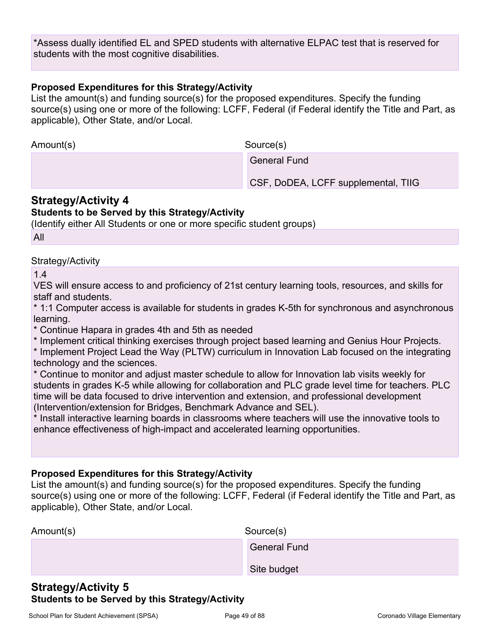\*Assess dually identified EL and SPED students with alternative ELPAC test that is reserved for students with the most cognitive disabilities.

### **Proposed Expenditures for this Strategy/Activity**

List the amount(s) and funding source(s) for the proposed expenditures. Specify the funding source(s) using one or more of the following: LCFF, Federal (if Federal identify the Title and Part, as applicable), Other State, and/or Local.

Amount(s) Source(s)

General Fund

CSF, DoDEA, LCFF supplemental, TIIG

# **Strategy/Activity 4**

### **Students to be Served by this Strategy/Activity**

(Identify either All Students or one or more specific student groups)

All

### Strategy/Activity

1.4

VES will ensure access to and proficiency of 21st century learning tools, resources, and skills for staff and students.

\* 1:1 Computer access is available for students in grades K-5th for synchronous and asynchronous learning.

\* Continue Hapara in grades 4th and 5th as needed

\* Implement critical thinking exercises through project based learning and Genius Hour Projects.

\* Implement Project Lead the Way (PLTW) curriculum in Innovation Lab focused on the integrating technology and the sciences.

\* Continue to monitor and adjust master schedule to allow for Innovation lab visits weekly for students in grades K-5 while allowing for collaboration and PLC grade level time for teachers. PLC time will be data focused to drive intervention and extension, and professional development (Intervention/extension for Bridges, Benchmark Advance and SEL).

\* Install interactive learning boards in classrooms where teachers will use the innovative tools to enhance effectiveness of high-impact and accelerated learning opportunities.

### **Proposed Expenditures for this Strategy/Activity**

List the amount(s) and funding source(s) for the proposed expenditures. Specify the funding source(s) using one or more of the following: LCFF, Federal (if Federal identify the Title and Part, as applicable), Other State, and/or Local.

| Amount(s) | Source(s)           |
|-----------|---------------------|
|           | <b>General Fund</b> |
|           | Site budget         |

# **Strategy/Activity 5 Students to be Served by this Strategy/Activity**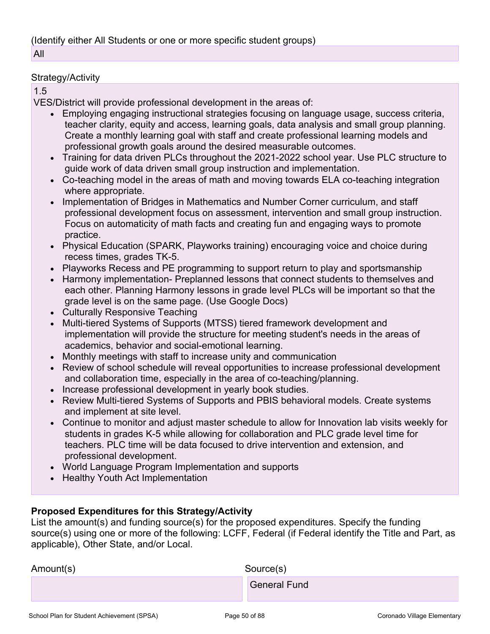### Strategy/Activity

### 1.5

VES/District will provide professional development in the areas of:

- Employing engaging instructional strategies focusing on language usage, success criteria, teacher clarity, equity and access, learning goals, data analysis and small group planning. Create a monthly learning goal with staff and create professional learning models and professional growth goals around the desired measurable outcomes.
- Training for data driven PLCs throughout the 2021-2022 school year. Use PLC structure to guide work of data driven small group instruction and implementation.
- Co-teaching model in the areas of math and moving towards ELA co-teaching integration where appropriate.
- Implementation of Bridges in Mathematics and Number Corner curriculum, and staff professional development focus on assessment, intervention and small group instruction. Focus on automaticity of math facts and creating fun and engaging ways to promote practice.
- Physical Education (SPARK, Playworks training) encouraging voice and choice during recess times, grades TK-5.
- Playworks Recess and PE programming to support return to play and sportsmanship
- Harmony implementation- Preplanned lessons that connect students to themselves and each other. Planning Harmony lessons in grade level PLCs will be important so that the grade level is on the same page. (Use Google Docs)
- Culturally Responsive Teaching
- Multi-tiered Systems of Supports (MTSS) tiered framework development and implementation will provide the structure for meeting student's needs in the areas of academics, behavior and social-emotional learning.
- Monthly meetings with staff to increase unity and communication
- Review of school schedule will reveal opportunities to increase professional development and collaboration time, especially in the area of co-teaching/planning.
- Increase professional development in yearly book studies.
- Review Multi-tiered Systems of Supports and PBIS behavioral models. Create systems and implement at site level.
- Continue to monitor and adjust master schedule to allow for Innovation lab visits weekly for students in grades K-5 while allowing for collaboration and PLC grade level time for teachers. PLC time will be data focused to drive intervention and extension, and professional development.
- World Language Program Implementation and supports
- Healthy Youth Act Implementation

# **Proposed Expenditures for this Strategy/Activity**

List the amount(s) and funding source(s) for the proposed expenditures. Specify the funding source(s) using one or more of the following: LCFF, Federal (if Federal identify the Title and Part, as applicable), Other State, and/or Local.

| Amount(s) | Source(s)           |
|-----------|---------------------|
|           | <b>General Fund</b> |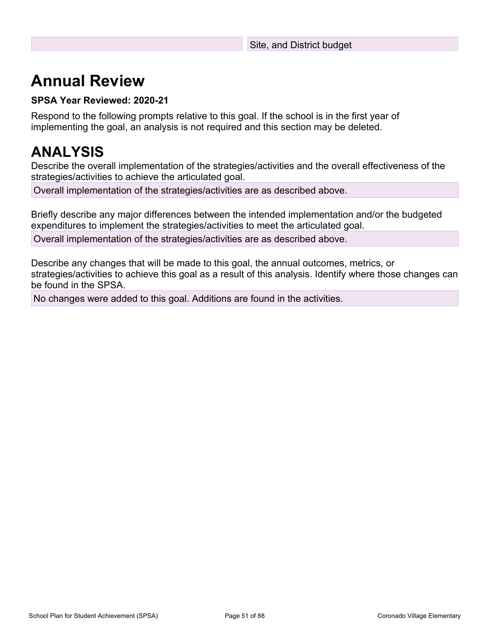# **Annual Review**

# **SPSA Year Reviewed: 2020-21**

Respond to the following prompts relative to this goal. If the school is in the first year of implementing the goal, an analysis is not required and this section may be deleted.

# **ANALYSIS**

Describe the overall implementation of the strategies/activities and the overall effectiveness of the strategies/activities to achieve the articulated goal.

Overall implementation of the strategies/activities are as described above.

Briefly describe any major differences between the intended implementation and/or the budgeted expenditures to implement the strategies/activities to meet the articulated goal.

Overall implementation of the strategies/activities are as described above.

Describe any changes that will be made to this goal, the annual outcomes, metrics, or strategies/activities to achieve this goal as a result of this analysis. Identify where those changes can be found in the SPSA.

No changes were added to this goal. Additions are found in the activities.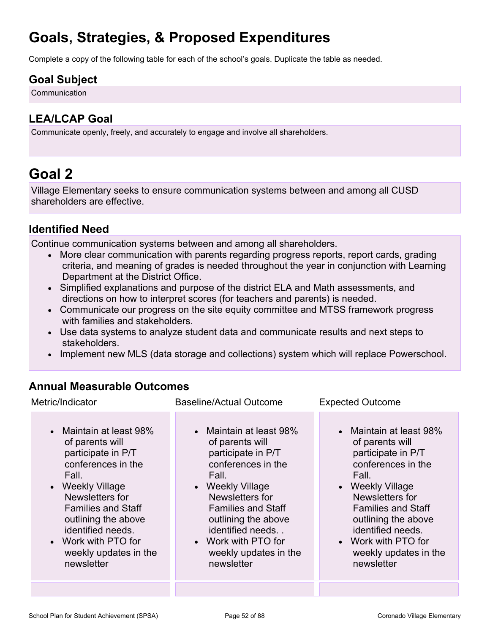# **Goals, Strategies, & Proposed Expenditures**

Complete a copy of the following table for each of the school's goals. Duplicate the table as needed.

# **Goal Subject**

**Communication** 

# **LEA/LCAP Goal**

Communicate openly, freely, and accurately to engage and involve all shareholders.

# **Goal 2**

Village Elementary seeks to ensure communication systems between and among all CUSD shareholders are effective.

# **Identified Need**

Continue communication systems between and among all shareholders.

- More clear communication with parents regarding progress reports, report cards, grading criteria, and meaning of grades is needed throughout the year in conjunction with Learning Department at the District Office.
- Simplified explanations and purpose of the district ELA and Math assessments, and directions on how to interpret scores (for teachers and parents) is needed.
- Communicate our progress on the site equity committee and MTSS framework progress with families and stakeholders.
- Use data systems to analyze student data and communicate results and next steps to stakeholders.
- Implement new MLS (data storage and collections) system which will replace Powerschool.

# **Annual Measurable Outcomes**

| Metric/Indicator                                                                                                                                                                                                                                                              | <b>Baseline/Actual Outcome</b>                                                                                                                                                                                                                                               | <b>Expected Outcome</b>                                                                                                                                                                                                                                                       |
|-------------------------------------------------------------------------------------------------------------------------------------------------------------------------------------------------------------------------------------------------------------------------------|------------------------------------------------------------------------------------------------------------------------------------------------------------------------------------------------------------------------------------------------------------------------------|-------------------------------------------------------------------------------------------------------------------------------------------------------------------------------------------------------------------------------------------------------------------------------|
| • Maintain at least 98%<br>of parents will<br>participate in P/T<br>conferences in the<br>Fall.<br>• Weekly Village<br>Newsletters for<br><b>Families and Staff</b><br>outlining the above<br>identified needs.<br>• Work with PTO for<br>weekly updates in the<br>newsletter | • Maintain at least 98%<br>of parents will<br>participate in P/T<br>conferences in the<br>Fall.<br>• Weekly Village<br>Newsletters for<br><b>Families and Staff</b><br>outlining the above<br>identified needs<br>• Work with PTO for<br>weekly updates in the<br>newsletter | • Maintain at least 98%<br>of parents will<br>participate in P/T<br>conferences in the<br>Fall.<br>• Weekly Village<br>Newsletters for<br><b>Families and Staff</b><br>outlining the above<br>identified needs.<br>• Work with PTO for<br>weekly updates in the<br>newsletter |
|                                                                                                                                                                                                                                                                               |                                                                                                                                                                                                                                                                              |                                                                                                                                                                                                                                                                               |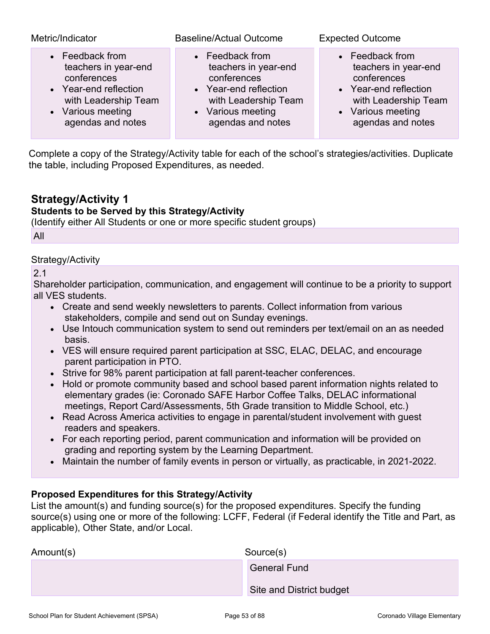| Metric/Indicator      | <b>Baseline/Actual Outcome</b> | <b>Expected Outcome</b> |
|-----------------------|--------------------------------|-------------------------|
| • Feedback from       | • Feedback from                | • Feedback from         |
| teachers in year-end  | teachers in year-end           | teachers in year-end    |
| conferences           | conferences                    | conferences             |
| • Year-end reflection | • Year-end reflection          | • Year-end reflection   |
| with Leadership Team  | with Leadership Team           | with Leadership Team    |
| • Various meeting     | • Various meeting              | • Various meeting       |
| agendas and notes     | agendas and notes              | agendas and notes       |

Complete a copy of the Strategy/Activity table for each of the school's strategies/activities. Duplicate the table, including Proposed Expenditures, as needed.

# **Strategy/Activity 1**

## **Students to be Served by this Strategy/Activity**

(Identify either All Students or one or more specific student groups)

All

### Strategy/Activity

2.1

Shareholder participation, communication, and engagement will continue to be a priority to support all VES students.

- Create and send weekly newsletters to parents. Collect information from various stakeholders, compile and send out on Sunday evenings.
- Use Intouch communication system to send out reminders per text/email on an as needed basis.
- VES will ensure required parent participation at SSC, ELAC, DELAC, and encourage parent participation in PTO.
- Strive for 98% parent participation at fall parent-teacher conferences.
- Hold or promote community based and school based parent information nights related to elementary grades (ie: Coronado SAFE Harbor Coffee Talks, DELAC informational meetings, Report Card/Assessments, 5th Grade transition to Middle School, etc.)
- Read Across America activities to engage in parental/student involvement with guest readers and speakers.
- For each reporting period, parent communication and information will be provided on grading and reporting system by the Learning Department.
- Maintain the number of family events in person or virtually, as practicable, in 2021-2022.

### **Proposed Expenditures for this Strategy/Activity**

List the amount(s) and funding source(s) for the proposed expenditures. Specify the funding source(s) using one or more of the following: LCFF, Federal (if Federal identify the Title and Part, as applicable), Other State, and/or Local.

| Amount(s) | Source(s)                |  |
|-----------|--------------------------|--|
|           | <b>General Fund</b>      |  |
|           | Site and District budget |  |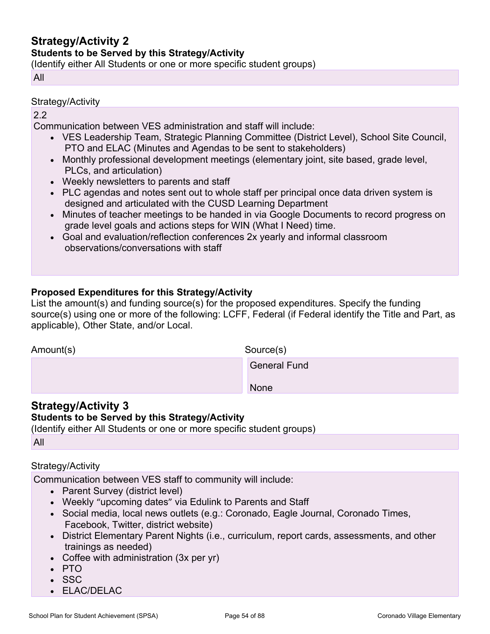# **Strategy/Activity 2**

### **Students to be Served by this Strategy/Activity**

(Identify either All Students or one or more specific student groups)

All

### Strategy/Activity

### 2.2

Communication between VES administration and staff will include:

- VES Leadership Team, Strategic Planning Committee (District Level), School Site Council, PTO and ELAC (Minutes and Agendas to be sent to stakeholders)
- Monthly professional development meetings (elementary joint, site based, grade level, PLCs, and articulation)
- Weekly newsletters to parents and staff
- PLC agendas and notes sent out to whole staff per principal once data driven system is designed and articulated with the CUSD Learning Department
- Minutes of teacher meetings to be handed in via Google Documents to record progress on grade level goals and actions steps for WIN (What I Need) time.
- Goal and evaluation/reflection conferences 2x yearly and informal classroom observations/conversations with staff

## **Proposed Expenditures for this Strategy/Activity**

List the amount(s) and funding source(s) for the proposed expenditures. Specify the funding source(s) using one or more of the following: LCFF, Federal (if Federal identify the Title and Part, as applicable), Other State, and/or Local.

| Amount(s) | Source(s)           |
|-----------|---------------------|
|           | <b>General Fund</b> |
|           | None                |

# **Strategy/Activity 3**

### **Students to be Served by this Strategy/Activity**

(Identify either All Students or one or more specific student groups)

All

### Strategy/Activity

Communication between VES staff to community will include:

- Parent Survey (district level)
- Weekly "upcoming dates" via Edulink to Parents and Staff
- Social media, local news outlets (e.g.: Coronado, Eagle Journal, Coronado Times, Facebook, Twitter, district website)
- District Elementary Parent Nights (i.e., curriculum, report cards, assessments, and other trainings as needed)
- Coffee with administration (3x per yr)
- PTO
- SSC
- ELAC/DELAC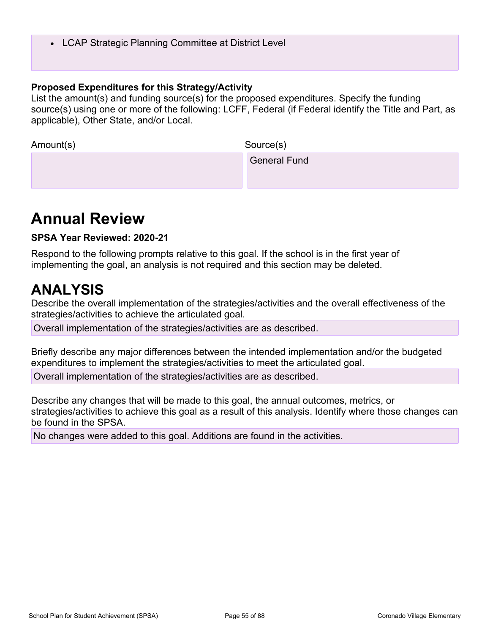• LCAP Strategic Planning Committee at District Level

### **Proposed Expenditures for this Strategy/Activity**

List the amount(s) and funding source(s) for the proposed expenditures. Specify the funding source(s) using one or more of the following: LCFF, Federal (if Federal identify the Title and Part, as applicable), Other State, and/or Local.

| Amount(s) | Source(s)           |
|-----------|---------------------|
|           | <b>General Fund</b> |
|           |                     |

# **Annual Review**

**SPSA Year Reviewed: 2020-21**

Respond to the following prompts relative to this goal. If the school is in the first year of implementing the goal, an analysis is not required and this section may be deleted.

# **ANALYSIS**

Describe the overall implementation of the strategies/activities and the overall effectiveness of the strategies/activities to achieve the articulated goal.

Overall implementation of the strategies/activities are as described.

Briefly describe any major differences between the intended implementation and/or the budgeted expenditures to implement the strategies/activities to meet the articulated goal.

Overall implementation of the strategies/activities are as described.

Describe any changes that will be made to this goal, the annual outcomes, metrics, or strategies/activities to achieve this goal as a result of this analysis. Identify where those changes can be found in the SPSA.

No changes were added to this goal. Additions are found in the activities.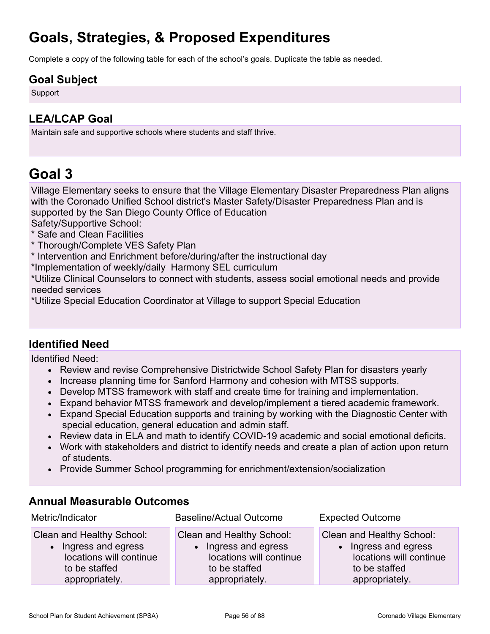# **Goals, Strategies, & Proposed Expenditures**

Complete a copy of the following table for each of the school's goals. Duplicate the table as needed.

# **Goal Subject**

**Support** 

# **LEA/LCAP Goal**

Maintain safe and supportive schools where students and staff thrive.

# **Goal 3**

Village Elementary seeks to ensure that the Village Elementary Disaster Preparedness Plan aligns with the Coronado Unified School district's Master Safety/Disaster Preparedness Plan and is supported by the San Diego County Office of Education

Safety/Supportive School:

- \* Safe and Clean Facilities
- \* Thorough/Complete VES Safety Plan
- \* Intervention and Enrichment before/during/after the instructional day

\*Implementation of weekly/daily Harmony SEL curriculum

\*Utilize Clinical Counselors to connect with students, assess social emotional needs and provide needed services

\*Utilize Special Education Coordinator at Village to support Special Education

# **Identified Need**

Identified Need:

- Review and revise Comprehensive Districtwide School Safety Plan for disasters yearly
- Increase planning time for Sanford Harmony and cohesion with MTSS supports.
- Develop MTSS framework with staff and create time for training and implementation.
- Expand behavior MTSS framework and develop/implement a tiered academic framework.
- Expand Special Education supports and training by working with the Diagnostic Center with special education, general education and admin staff.
- Review data in ELA and math to identify COVID-19 academic and social emotional deficits.
- Work with stakeholders and district to identify needs and create a plan of action upon return of students.
- Provide Summer School programming for enrichment/extension/socialization

# **Annual Measurable Outcomes**

| Metric/Indicator          | <b>Baseline/Actual Outcome</b> | <b>Expected Outcome</b>   |
|---------------------------|--------------------------------|---------------------------|
| Clean and Healthy School: | Clean and Healthy School:      | Clean and Healthy School: |
| • Ingress and egress      | Ingress and egress             | • Ingress and egress      |
| locations will continue   | locations will continue        | locations will continue   |
| to be staffed             | to be staffed                  | to be staffed             |
| appropriately.            | appropriately.                 | appropriately.            |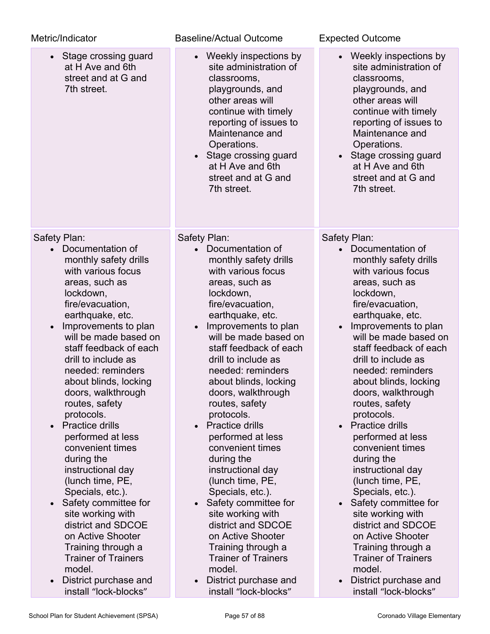| <b>Baseline/Actual Outcome</b>                                                                                                                                                                                                                                                                                                                                                                                                                                                                                                                                                                                                                                                        | <b>Expected Outcome</b>                                                                                                                                                                                                                                                                                                                                                                                                                                                                                                                                                                                                                                     |
|---------------------------------------------------------------------------------------------------------------------------------------------------------------------------------------------------------------------------------------------------------------------------------------------------------------------------------------------------------------------------------------------------------------------------------------------------------------------------------------------------------------------------------------------------------------------------------------------------------------------------------------------------------------------------------------|-------------------------------------------------------------------------------------------------------------------------------------------------------------------------------------------------------------------------------------------------------------------------------------------------------------------------------------------------------------------------------------------------------------------------------------------------------------------------------------------------------------------------------------------------------------------------------------------------------------------------------------------------------------|
| • Weekly inspections by<br>site administration of<br>classrooms,<br>playgrounds, and<br>other areas will<br>continue with timely<br>reporting of issues to<br>Maintenance and<br>Operations.<br>• Stage crossing guard<br>at H Ave and 6th<br>street and at G and<br>7th street.                                                                                                                                                                                                                                                                                                                                                                                                      | • Weekly inspections by<br>site administration of<br>classrooms,<br>playgrounds, and<br>other areas will<br>continue with timely<br>reporting of issues to<br>Maintenance and<br>Operations.<br>Stage crossing guard<br>$\bullet$<br>at H Ave and 6th<br>street and at G and<br>7th street.                                                                                                                                                                                                                                                                                                                                                                 |
| Safety Plan:<br>Documentation of<br>monthly safety drills<br>with various focus<br>areas, such as<br>lockdown,<br>fire/evacuation,<br>earthquake, etc.<br>Improvements to plan<br>$\bullet$<br>will be made based on<br>staff feedback of each<br>drill to include as<br>needed: reminders<br>about blinds, locking<br>doors, walkthrough<br>routes, safety<br>protocols.<br>• Practice drills<br>performed at less<br>convenient times<br>during the<br>instructional day<br>(lunch time, PE,<br>Specials, etc.).<br>Safety committee for<br>$\bullet$<br>site working with<br>district and SDCOE<br>on Active Shooter<br>Training through a<br><b>Trainer of Trainers</b><br>model. | Safety Plan:<br>Documentation of<br>monthly safety drills<br>with various focus<br>areas, such as<br>lockdown,<br>fire/evacuation,<br>earthquake, etc.<br>Improvements to plan<br>will be made based on<br>staff feedback of each<br>drill to include as<br>needed: reminders<br>about blinds, locking<br>doors, walkthrough<br>routes, safety<br>protocols.<br>• Practice drills<br>performed at less<br>convenient times<br>during the<br>instructional day<br>(lunch time, PE,<br>Specials, etc.).<br>Safety committee for<br>site working with<br>district and SDCOE<br>on Active Shooter<br>Training through a<br><b>Trainer of Trainers</b><br>model. |
| install "lock-blocks"                                                                                                                                                                                                                                                                                                                                                                                                                                                                                                                                                                                                                                                                 | District purchase and<br>install "lock-blocks"                                                                                                                                                                                                                                                                                                                                                                                                                                                                                                                                                                                                              |
|                                                                                                                                                                                                                                                                                                                                                                                                                                                                                                                                                                                                                                                                                       | District purchase and                                                                                                                                                                                                                                                                                                                                                                                                                                                                                                                                                                                                                                       |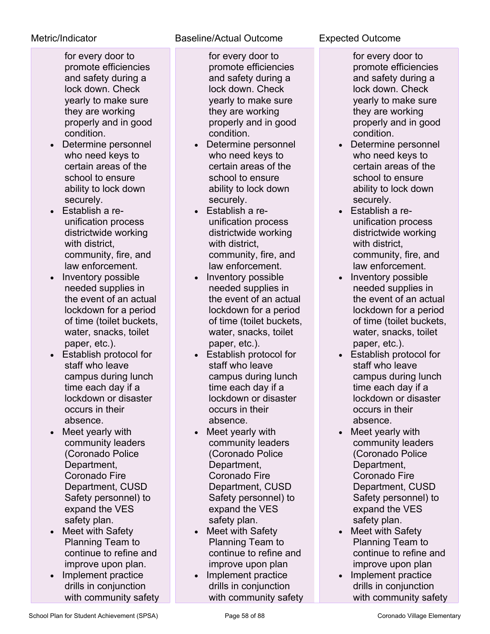for every door to promote efficiencies and safety during a lock down. Check yearly to make sure they are working properly and in good condition.

- Determine personnel who need keys to certain areas of the school to ensure ability to lock down securely.
- Establish a reunification process districtwide working with district, community, fire, and law enforcement.
- Inventory possible needed supplies in the event of an actual lockdown for a period of time (toilet buckets, water, snacks, toilet paper, etc.).
- Establish protocol for staff who leave campus during lunch time each day if a lockdown or disaster occurs in their absence.
- Meet yearly with community leaders (Coronado Police Department, Coronado Fire Department, CUSD Safety personnel) to expand the VES safety plan.
- Meet with Safety Planning Team to continue to refine and improve upon plan.
- Implement practice drills in conjunction with community safety

# Metric/Indicator Baseline/Actual Outcome Expected Outcome

for every door to promote efficiencies and safety during a lock down. Check yearly to make sure they are working properly and in good condition.

- Determine personnel who need keys to certain areas of the school to ensure ability to lock down securely.
- Establish a reunification process districtwide working with district, community, fire, and law enforcement.
- Inventory possible needed supplies in the event of an actual lockdown for a period of time (toilet buckets, water, snacks, toilet paper, etc.).
- Establish protocol for staff who leave campus during lunch time each day if a lockdown or disaster occurs in their absence.
- Meet yearly with community leaders (Coronado Police Department, Coronado Fire Department, CUSD Safety personnel) to expand the VES safety plan.
- Meet with Safety Planning Team to continue to refine and improve upon plan
- Implement practice drills in conjunction with community safety

for every door to promote efficiencies and safety during a lock down. Check yearly to make sure they are working properly and in good condition.

- Determine personnel who need keys to certain areas of the school to ensure ability to lock down securely.
- Establish a reunification process districtwide working with district, community, fire, and law enforcement.
- Inventory possible needed supplies in the event of an actual lockdown for a period of time (toilet buckets, water, snacks, toilet paper, etc.).
- Establish protocol for staff who leave campus during lunch time each day if a lockdown or disaster occurs in their absence.
- Meet yearly with community leaders (Coronado Police Department, Coronado Fire Department, CUSD Safety personnel) to expand the VES safety plan.
- Meet with Safety Planning Team to continue to refine and improve upon plan
- Implement practice drills in conjunction with community safety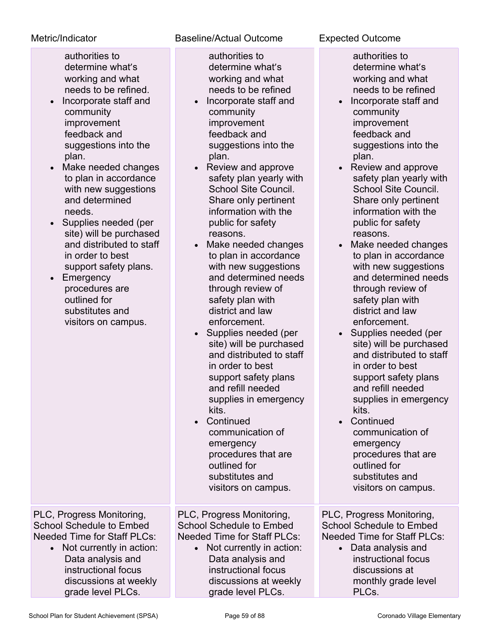authorities to determine what's working and what needs to be refined.

- Incorporate staff and community improvement feedback and suggestions into the plan.
- Make needed changes to plan in accordance with new suggestions and determined needs.
- Supplies needed (per site) will be purchased and distributed to staff in order to best support safety plans.
- Emergency procedures are outlined for substitutes and visitors on campus.

# Metric/Indicator **Baseline/Actual Outcome** Expected Outcome

authorities to determine what's working and what needs to be refined

- Incorporate staff and community improvement feedback and suggestions into the plan.
- Review and approve safety plan yearly with School Site Council. Share only pertinent information with the public for safety reasons.
- Make needed changes to plan in accordance with new suggestions and determined needs through review of safety plan with district and law enforcement.
- Supplies needed (per site) will be purchased and distributed to staff in order to best support safety plans and refill needed supplies in emergency kits.
- Continued communication of emergency procedures that are outlined for substitutes and visitors on campus.

PLC, Progress Monitoring, School Schedule to Embed Needed Time for Staff PLCs:

• Not currently in action: Data analysis and instructional focus discussions at weekly grade level PLCs.

PLC, Progress Monitoring, School Schedule to Embed Needed Time for Staff PLCs:

• Not currently in action: Data analysis and instructional focus discussions at weekly grade level PLCs.

authorities to determine what's working and what needs to be refined

- Incorporate staff and community improvement feedback and suggestions into the plan.
- Review and approve safety plan yearly with School Site Council. Share only pertinent information with the public for safety reasons.
- Make needed changes to plan in accordance with new suggestions and determined needs through review of safety plan with district and law enforcement.
- Supplies needed (per site) will be purchased and distributed to staff in order to best support safety plans and refill needed supplies in emergency kits.
- Continued communication of emergency procedures that are outlined for substitutes and visitors on campus.

PLC, Progress Monitoring, School Schedule to Embed Needed Time for Staff PLCs:

• Data analysis and instructional focus discussions at monthly grade level PLCs.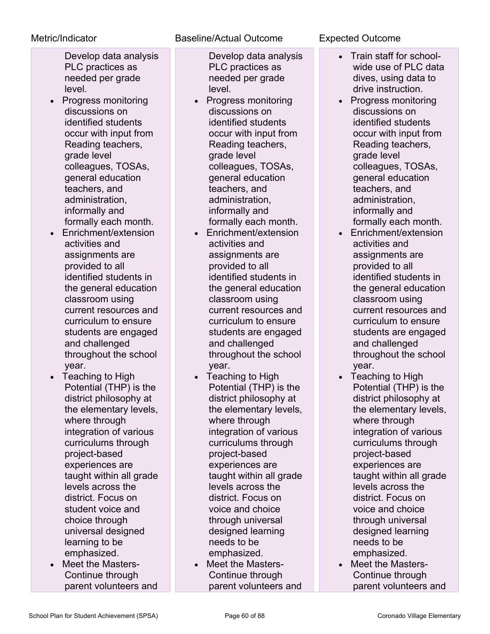Develop data analysis PLC practices as needed per grade level.

- Progress monitoring discussions on identified students occur with input from Reading teachers, grade level colleagues, TOSAs, general education teachers, and administration, informally and formally each month.
- Enrichment/extension activities and assignments are provided to all identified students in the general education classroom using current resources and curriculum to ensure students are engaged and challenged throughout the school year.
- Teaching to High Potential (THP) is the district philosophy at the elementary levels, where through integration of various curriculums through project-based experiences are taught within all grade levels across the district. Focus on student voice and choice through universal designed learning to be emphasized.
- Meet the Masters-Continue through parent volunteers and

# Metric/Indicator Baseline/Actual Outcome Expected Outcome

- Develop data analysis PLC practices as needed per grade level.
- Progress monitoring discussions on identified students occur with input from Reading teachers, grade level colleagues, TOSAs, general education teachers, and administration, informally and formally each month.
- Enrichment/extension activities and assignments are provided to all identified students in the general education classroom using current resources and curriculum to ensure students are engaged and challenged throughout the school year.
- Teaching to High Potential (THP) is the district philosophy at the elementary levels, where through integration of various curriculums through project-based experiences are taught within all grade levels across the district. Focus on voice and choice through universal designed learning needs to be emphasized.
- Meet the Masters-Continue through parent volunteers and

- Train staff for schoolwide use of PLC data dives, using data to drive instruction.
- Progress monitoring discussions on identified students occur with input from Reading teachers, grade level colleagues, TOSAs, general education teachers, and administration, informally and formally each month.
- Enrichment/extension activities and assignments are provided to all identified students in the general education classroom using current resources and curriculum to ensure students are engaged and challenged throughout the school year.
- Teaching to High Potential (THP) is the district philosophy at the elementary levels, where through integration of various curriculums through project-based experiences are taught within all grade levels across the district. Focus on voice and choice through universal designed learning needs to be emphasized.
- Meet the Masters-Continue through parent volunteers and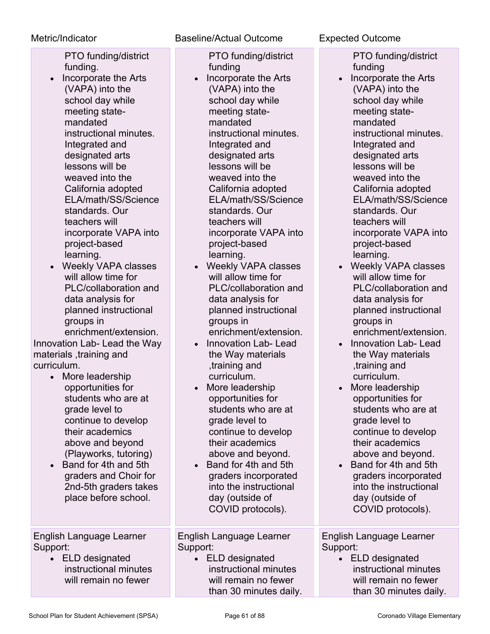PTO funding/district funding.

- Incorporate the Arts (VAPA) into the school day while meeting statemandated instructional minutes. Integrated and designated arts lessons will be weaved into the California adopted ELA/math/SS/Science standards. Our teachers will incorporate VAPA into project-based learning.
- Weekly VAPA classes will allow time for PLC/collaboration and data analysis for planned instructional groups in enrichment/extension.

Innovation Lab- Lead the Way materials ,training and curriculum.

- More leadership opportunities for students who are at grade level to continue to develop their academics above and beyond (Playworks, tutoring)
- Band for 4th and 5th graders and Choir for 2nd-5th graders takes place before school.

English Language Learner Support:

• ELD designated instructional minutes will remain no fewer

# Metric/Indicator Baseline/Actual Outcome Expected Outcome

PTO funding/district funding

- Incorporate the Arts (VAPA) into the school day while meeting statemandated instructional minutes. Integrated and designated arts lessons will be weaved into the California adopted ELA/math/SS/Science standards. Our teachers will incorporate VAPA into project-based learning.
- Weekly VAPA classes will allow time for PLC/collaboration and data analysis for planned instructional groups in enrichment/extension.
- Innovation Lab- Lead the Way materials ,training and curriculum.
- More leadership opportunities for students who are at grade level to continue to develop their academics above and beyond.
- Band for 4th and 5th graders incorporated into the instructional day (outside of COVID protocols).

English Language Learner Support:

• ELD designated instructional minutes will remain no fewer than 30 minutes daily.

PTO funding/district funding

- Incorporate the Arts (VAPA) into the school day while meeting statemandated instructional minutes. Integrated and designated arts lessons will be weaved into the California adopted ELA/math/SS/Science standards. Our teachers will incorporate VAPA into project-based learning.
- Weekly VAPA classes will allow time for PLC/collaboration and data analysis for planned instructional groups in enrichment/extension.
- Innovation Lab- Lead the Way materials ,training and curriculum.
- More leadership opportunities for students who are at grade level to continue to develop their academics above and beyond.
- Band for 4th and 5th graders incorporated into the instructional day (outside of COVID protocols).

English Language Learner Support:

• ELD designated instructional minutes will remain no fewer than 30 minutes daily.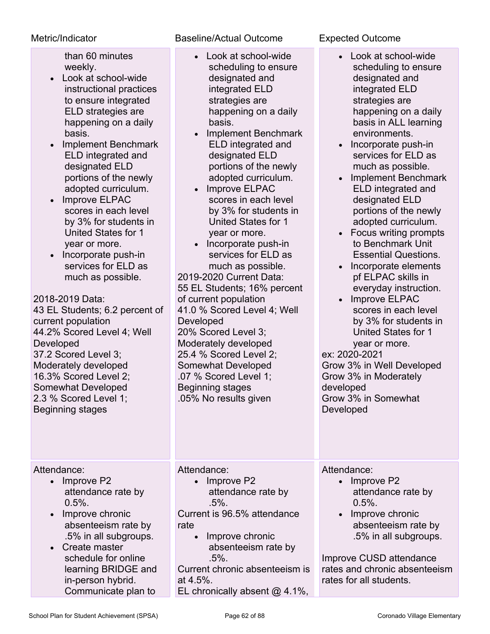than 60 minutes weekly.

- Look at school-wide instructional practices to ensure integrated ELD strategies are happening on a daily basis.
- Implement Benchmark ELD integrated and designated ELD portions of the newly adopted curriculum.
- Improve ELPAC scores in each level by 3% for students in United States for 1 year or more.
- Incorporate push-in services for ELD as much as possible.

2018-2019 Data:

43 EL Students; 6.2 percent of current population 44.2% Scored Level 4; Well Developed 37.2 Scored Level 3; Moderately developed 16.3% Scored Level 2; Somewhat Developed 2.3 % Scored Level 1; Beginning stages

Attendance:

- Improve P2 attendance rate by  $0.5%$ .
- Improve chronic absenteeism rate by .5% in all subgroups.
- Create master schedule for online learning BRIDGE and in-person hybrid. Communicate plan to

# Metric/Indicator Baseline/Actual Outcome Expected Outcome

- Look at school-wide scheduling to ensure designated and integrated ELD strategies are happening on a daily basis.
- Implement Benchmark ELD integrated and designated ELD portions of the newly adopted curriculum.
- Improve ELPAC scores in each level by 3% for students in United States for 1 year or more.
- Incorporate push-in services for ELD as much as possible. 2019-2020 Current Data: 55 EL Students; 16% percent of current population 41.0 % Scored Level 4; Well **Developed** 20% Scored Level 3; Moderately developed 25.4 % Scored Level 2; Somewhat Developed .07 % Scored Level 1; Beginning stages

- Look at school-wide scheduling to ensure designated and integrated ELD strategies are happening on a daily basis in ALL learning environments.
- Incorporate push-in services for ELD as much as possible.
- Implement Benchmark ELD integrated and designated ELD portions of the newly adopted curriculum.
- Focus writing prompts to Benchmark Unit Essential Questions.
- Incorporate elements pf ELPAC skills in everyday instruction.
- Improve ELPAC scores in each level by 3% for students in United States for 1 year or more.

ex: 2020-2021 Grow 3% in Well Developed Grow 3% in Moderately developed Grow 3% in Somewhat Developed

Attendance:

.05% No results given

• Improve P2 attendance rate by .5%.

Current is 96.5% attendance rate

> • Improve chronic absenteeism rate by .5%.

Current chronic absenteeism is at 4.5%.

EL chronically absent @ 4.1%,

Attendance:

- Improve P2 attendance rate by 0.5%.
- Improve chronic absenteeism rate by .5% in all subgroups.

Improve CUSD attendance rates and chronic absenteeism rates for all students.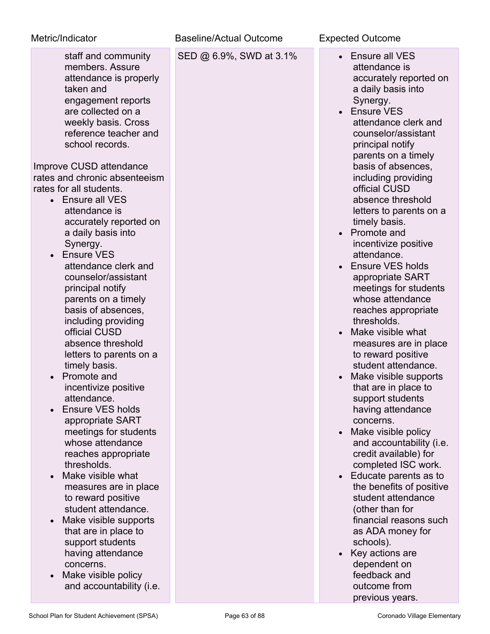| Metric/Indicator                                                                                                                                                                                                                                         | <b>Baseline/Actual Outcome</b> | <b>Expected Outcome</b>                                                                                                                                                                                                                 |
|----------------------------------------------------------------------------------------------------------------------------------------------------------------------------------------------------------------------------------------------------------|--------------------------------|-----------------------------------------------------------------------------------------------------------------------------------------------------------------------------------------------------------------------------------------|
| staff and community<br>members. Assure<br>attendance is properly<br>taken and<br>engagement reports<br>are collected on a<br>weekly basis. Cross<br>reference teacher and<br>school records.<br>Improve CUSD attendance<br>rates and chronic absenteeism | SED @ 6.9%, SWD at 3.1%        | <b>Ensure all VES</b><br>attendance is<br>accurately reported on<br>a daily basis into<br>Synergy.<br><b>Ensure VES</b><br>attendance clerk and<br>counselor/assistant<br>principal notify<br>parents on a timely<br>basis of absences, |
| rates for all students.<br>Ensure all VES<br>attendance is<br>accurately reported on<br>a daily basis into<br>Synergy.                                                                                                                                   |                                | including providing<br>official CUSD<br>absence threshold<br>letters to parents on a<br>timely basis.<br>Promote and<br>incentivize positive                                                                                            |
| <b>Ensure VES</b><br>attendance clerk and<br>counselor/assistant<br>principal notify<br>parents on a timely<br>basis of absences,<br>including providing<br>official CUSD                                                                                |                                | attendance.<br><b>Ensure VES holds</b><br>appropriate SART<br>meetings for students<br>whose attendance<br>reaches appropriate<br>thresholds.<br>Make visible what                                                                      |
| absence threshold<br>letters to parents on a<br>timely basis.<br>Promote and<br>incentivize positive                                                                                                                                                     |                                | measures are in place<br>to reward positive<br>student attendance.<br>Make visible supports<br>that are in place to                                                                                                                     |
| attendance.<br>Ensure VES holds<br>appropriate SART<br>meetings for students<br>whose attendance<br>reaches appropriate                                                                                                                                  |                                | support students<br>having attendance<br>concerns.<br>Make visible policy<br>$\bullet$<br>and accountability (i.e.<br>credit available) for                                                                                             |
| thresholds.<br>Make visible what<br>measures are in place<br>to reward positive<br>student attendance.<br>Make visible supports                                                                                                                          |                                | completed ISC work.<br>Educate parents as to<br>$\bullet$<br>the benefits of positive<br>student attendance<br>(other than for<br>financial reasons such                                                                                |
| that are in place to<br>support students<br>having attendance<br>concerns.<br>Make visible policy<br>and accountability (i.e.                                                                                                                            |                                | as ADA money for<br>schools).<br>Key actions are<br>dependent on<br>feedback and<br>outcome from<br>previous years.                                                                                                                     |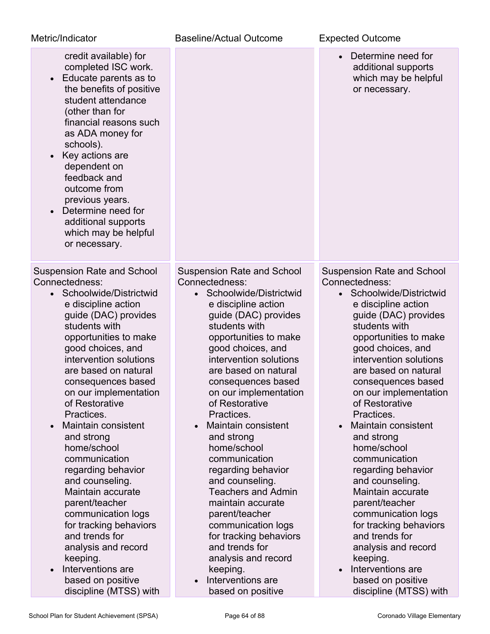| Metric/Indicator                                                                                                                                                                                                                                                                                                                                                                                                                                                                                                                                                                                                                                                                     | <b>Baseline/Actual Outcome</b>                                                                                                                                                                                                                                                                                                                                                                                                                                                                                                                                                                                                                                             | <b>Expected Outcome</b>                                                                                                                                                                                                                                                                                                                                                                                                                                                                                                                                                                                                                                                                       |
|--------------------------------------------------------------------------------------------------------------------------------------------------------------------------------------------------------------------------------------------------------------------------------------------------------------------------------------------------------------------------------------------------------------------------------------------------------------------------------------------------------------------------------------------------------------------------------------------------------------------------------------------------------------------------------------|----------------------------------------------------------------------------------------------------------------------------------------------------------------------------------------------------------------------------------------------------------------------------------------------------------------------------------------------------------------------------------------------------------------------------------------------------------------------------------------------------------------------------------------------------------------------------------------------------------------------------------------------------------------------------|-----------------------------------------------------------------------------------------------------------------------------------------------------------------------------------------------------------------------------------------------------------------------------------------------------------------------------------------------------------------------------------------------------------------------------------------------------------------------------------------------------------------------------------------------------------------------------------------------------------------------------------------------------------------------------------------------|
| credit available) for<br>completed ISC work.<br>Educate parents as to<br>$\bullet$<br>the benefits of positive<br>student attendance<br>(other than for<br>financial reasons such<br>as ADA money for<br>schools).<br>Key actions are<br>$\bullet$<br>dependent on<br>feedback and<br>outcome from<br>previous years.<br>Determine need for<br>$\bullet$<br>additional supports<br>which may be helpful<br>or necessary.                                                                                                                                                                                                                                                             |                                                                                                                                                                                                                                                                                                                                                                                                                                                                                                                                                                                                                                                                            | Determine need for<br>$\bullet$<br>additional supports<br>which may be helpful<br>or necessary.                                                                                                                                                                                                                                                                                                                                                                                                                                                                                                                                                                                               |
| <b>Suspension Rate and School</b><br>Connectedness:<br>Schoolwide/Districtwid<br>e discipline action<br>guide (DAC) provides<br>students with<br>opportunities to make<br>good choices, and<br>intervention solutions<br>are based on natural<br>consequences based<br>on our implementation<br>of Restorative<br>Practices.<br>Maintain consistent<br>$\bullet$<br>and strong<br>home/school<br>communication<br>regarding behavior<br>and counseling.<br>Maintain accurate<br>parent/teacher<br>communication logs<br>for tracking behaviors<br>and trends for<br>analysis and record<br>keeping.<br>Interventions are<br>$\bullet$<br>based on positive<br>discipline (MTSS) with | <b>Suspension Rate and School</b><br>Connectedness:<br>Schoolwide/Districtwid<br>e discipline action<br>guide (DAC) provides<br>students with<br>opportunities to make<br>good choices, and<br>intervention solutions<br>are based on natural<br>consequences based<br>on our implementation<br>of Restorative<br>Practices.<br>Maintain consistent<br>$\bullet$<br>and strong<br>home/school<br>communication<br>regarding behavior<br>and counseling.<br><b>Teachers and Admin</b><br>maintain accurate<br>parent/teacher<br>communication logs<br>for tracking behaviors<br>and trends for<br>analysis and record<br>keeping.<br>Interventions are<br>based on positive | <b>Suspension Rate and School</b><br>Connectedness:<br>• Schoolwide/Districtwid<br>e discipline action<br>guide (DAC) provides<br>students with<br>opportunities to make<br>good choices, and<br>intervention solutions<br>are based on natural<br>consequences based<br>on our implementation<br>of Restorative<br>Practices.<br><b>Maintain consistent</b><br>$\bullet$<br>and strong<br>home/school<br>communication<br>regarding behavior<br>and counseling.<br>Maintain accurate<br>parent/teacher<br>communication logs<br>for tracking behaviors<br>and trends for<br>analysis and record<br>keeping.<br>Interventions are<br>$\bullet$<br>based on positive<br>discipline (MTSS) with |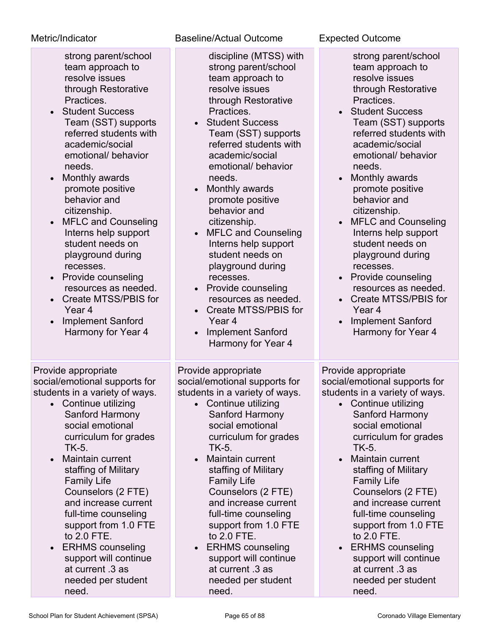| strong parent/school |
|----------------------|
| team approach to     |
| resolve issues       |
| through Restorative  |
| Practices.           |
|                      |

- Student Success Team (SST) supports referred students with academic/social emotional/ behavior needs.
- Monthly awards promote positive behavior and citizenship.
- MFLC and Counseling Interns help support student needs on playground during recesses.
- Provide counseling resources as needed.
- Create MTSS/PBIS for Year 4
- Implement Sanford Harmony for Year 4

Provide appropriate social/emotional supports for students in a variety of ways.

- Continue utilizing Sanford Harmony social emotional curriculum for grades TK-5.
- Maintain current staffing of Military Family Life Counselors (2 FTE) and increase current full-time counseling support from 1.0 FTE to 2.0 FTE.
- ERHMS counseling support will continue at current .3 as needed per student need.

Metric/Indicator Baseline/Actual Outcome Expected Outcome

- discipline (MTSS) with strong parent/school team approach to resolve issues through Restorative Practices.
- Student Success Team (SST) supports referred students with academic/social emotional/ behavior needs.
- Monthly awards promote positive behavior and citizenship.
- MFLC and Counseling Interns help support student needs on playground during recesses.
- Provide counseling resources as needed.
- Create MTSS/PBIS for Year 4
- Implement Sanford Harmony for Year 4

Provide appropriate social/emotional supports for students in a variety of ways.

- Continue utilizing Sanford Harmony social emotional curriculum for grades TK-5.
- Maintain current staffing of Military Family Life Counselors (2 FTE) and increase current full-time counseling support from 1.0 FTE to 2.0 FTE.
- ERHMS counseling support will continue at current .3 as needed per student need.

strong parent/school team approach to resolve issues through Restorative Practices.

- Student Success Team (SST) supports referred students with academic/social emotional/ behavior needs.
- Monthly awards promote positive behavior and citizenship.
- MFLC and Counseling Interns help support student needs on playground during recesses.
- Provide counseling resources as needed. • Create MTSS/PBIS for
- Year 4
- Implement Sanford Harmony for Year 4

Provide appropriate social/emotional supports for students in a variety of ways.

- Continue utilizing Sanford Harmony social emotional curriculum for grades TK-5.
- Maintain current staffing of Military Family Life Counselors (2 FTE) and increase current full-time counseling support from 1.0 FTE to 2.0 FTE.
- ERHMS counseling support will continue at current .3 as needed per student need.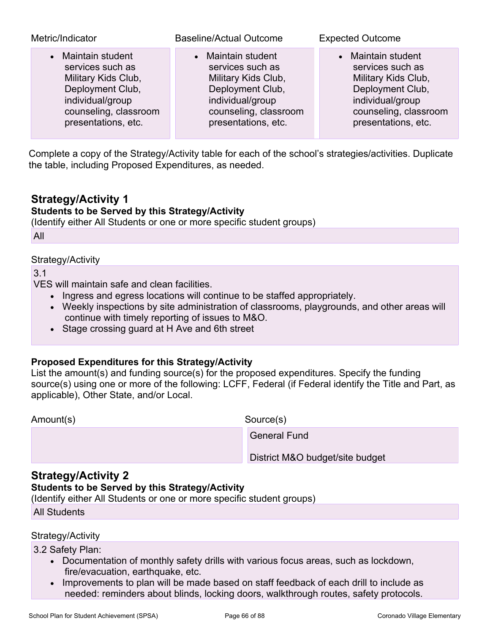| Metric/Indicator      | <b>Baseline/Actual Outcome</b> | <b>Expected Outcome</b> |
|-----------------------|--------------------------------|-------------------------|
| • Maintain student    | • Maintain student             | • Maintain student      |
| services such as      | services such as               | services such as        |
| Military Kids Club,   | Military Kids Club,            | Military Kids Club,     |
| Deployment Club,      | Deployment Club,               | Deployment Club,        |
| individual/group      | individual/group               | individual/group        |
| counseling, classroom | counseling, classroom          | counseling, classroom   |
| presentations, etc.   | presentations, etc.            | presentations, etc.     |

Complete a copy of the Strategy/Activity table for each of the school's strategies/activities. Duplicate the table, including Proposed Expenditures, as needed.

# **Strategy/Activity 1**

## **Students to be Served by this Strategy/Activity**

(Identify either All Students or one or more specific student groups)

All

### Strategy/Activity

3.1

VES will maintain safe and clean facilities.

- Ingress and egress locations will continue to be staffed appropriately.
- Weekly inspections by site administration of classrooms, playgrounds, and other areas will continue with timely reporting of issues to M&O.
- Stage crossing guard at H Ave and 6th street

### **Proposed Expenditures for this Strategy/Activity**

List the amount(s) and funding source(s) for the proposed expenditures. Specify the funding source(s) using one or more of the following: LCFF, Federal (if Federal identify the Title and Part, as applicable), Other State, and/or Local.

Amount(s) Source(s)

General Fund

District M&O budget/site budget

# **Strategy/Activity 2**

# **Students to be Served by this Strategy/Activity**

(Identify either All Students or one or more specific student groups)

All Students

### Strategy/Activity

3.2 Safety Plan:

- Documentation of monthly safety drills with various focus areas, such as lockdown, fire/evacuation, earthquake, etc.
- Improvements to plan will be made based on staff feedback of each drill to include as needed: reminders about blinds, locking doors, walkthrough routes, safety protocols.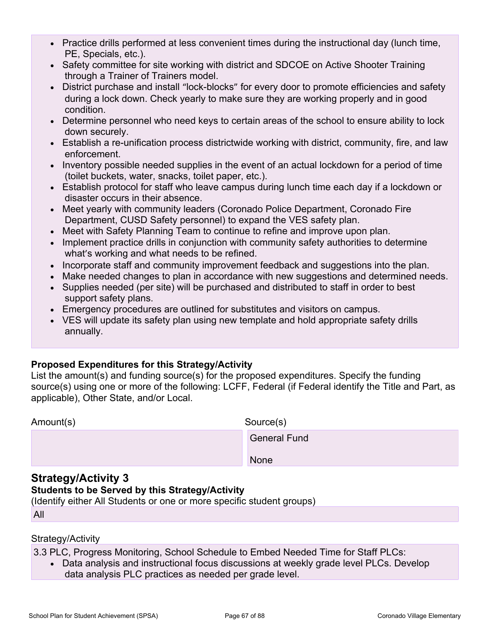- Practice drills performed at less convenient times during the instructional day (lunch time, PE, Specials, etc.).
- Safety committee for site working with district and SDCOE on Active Shooter Training through a Trainer of Trainers model.
- District purchase and install "lock-blocks" for every door to promote efficiencies and safety during a lock down. Check yearly to make sure they are working properly and in good condition.
- Determine personnel who need keys to certain areas of the school to ensure ability to lock down securely.
- Establish a re-unification process districtwide working with district, community, fire, and law enforcement.
- Inventory possible needed supplies in the event of an actual lockdown for a period of time (toilet buckets, water, snacks, toilet paper, etc.).
- Establish protocol for staff who leave campus during lunch time each day if a lockdown or disaster occurs in their absence.
- Meet yearly with community leaders (Coronado Police Department, Coronado Fire Department, CUSD Safety personnel) to expand the VES safety plan.
- Meet with Safety Planning Team to continue to refine and improve upon plan.
- Implement practice drills in conjunction with community safety authorities to determine what's working and what needs to be refined.
- Incorporate staff and community improvement feedback and suggestions into the plan.
- Make needed changes to plan in accordance with new suggestions and determined needs.
- Supplies needed (per site) will be purchased and distributed to staff in order to best support safety plans.
- Emergency procedures are outlined for substitutes and visitors on campus.
- VES will update its safety plan using new template and hold appropriate safety drills annually.

# **Proposed Expenditures for this Strategy/Activity**

List the amount(s) and funding source(s) for the proposed expenditures. Specify the funding source(s) using one or more of the following: LCFF, Federal (if Federal identify the Title and Part, as applicable), Other State, and/or Local.

| Amount(s) |  |
|-----------|--|
|-----------|--|

Source(s)

General Fund

None

# **Strategy/Activity 3**

## **Students to be Served by this Strategy/Activity**

(Identify either All Students or one or more specific student groups)

All

### Strategy/Activity

3.3 PLC, Progress Monitoring, School Schedule to Embed Needed Time for Staff PLCs:

• Data analysis and instructional focus discussions at weekly grade level PLCs. Develop data analysis PLC practices as needed per grade level.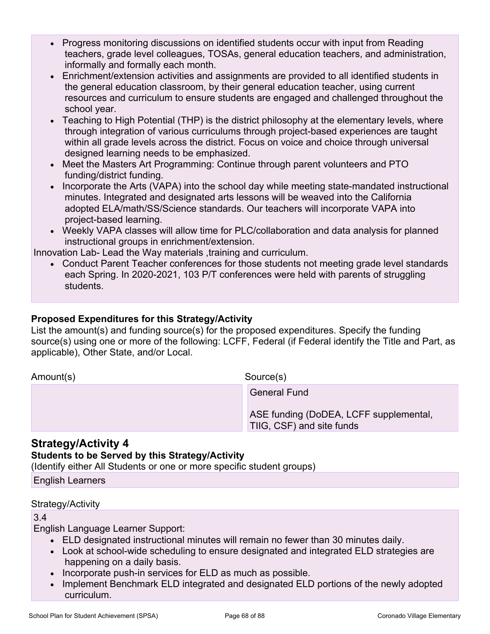- Progress monitoring discussions on identified students occur with input from Reading teachers, grade level colleagues, TOSAs, general education teachers, and administration, informally and formally each month.
- Enrichment/extension activities and assignments are provided to all identified students in the general education classroom, by their general education teacher, using current resources and curriculum to ensure students are engaged and challenged throughout the school year.
- Teaching to High Potential (THP) is the district philosophy at the elementary levels, where through integration of various curriculums through project-based experiences are taught within all grade levels across the district. Focus on voice and choice through universal designed learning needs to be emphasized.
- Meet the Masters Art Programming: Continue through parent volunteers and PTO funding/district funding.
- Incorporate the Arts (VAPA) into the school day while meeting state-mandated instructional minutes. Integrated and designated arts lessons will be weaved into the California adopted ELA/math/SS/Science standards. Our teachers will incorporate VAPA into project-based learning.
- Weekly VAPA classes will allow time for PLC/collaboration and data analysis for planned instructional groups in enrichment/extension.

Innovation Lab- Lead the Way materials ,training and curriculum.

• Conduct Parent Teacher conferences for those students not meeting grade level standards each Spring. In 2020-2021, 103 P/T conferences were held with parents of struggling students.

# **Proposed Expenditures for this Strategy/Activity**

List the amount(s) and funding source(s) for the proposed expenditures. Specify the funding source(s) using one or more of the following: LCFF, Federal (if Federal identify the Title and Part, as applicable), Other State, and/or Local.

Amount(s) Source(s)

General Fund

ASE funding (DoDEA, LCFF supplemental, TIIG, CSF) and site funds

# **Strategy/Activity 4**

# **Students to be Served by this Strategy/Activity**

(Identify either All Students or one or more specific student groups)

English Learners

# Strategy/Activity

### 3.4

English Language Learner Support:

- ELD designated instructional minutes will remain no fewer than 30 minutes daily.
- Look at school-wide scheduling to ensure designated and integrated ELD strategies are happening on a daily basis.
- Incorporate push-in services for ELD as much as possible.
- Implement Benchmark ELD integrated and designated ELD portions of the newly adopted curriculum.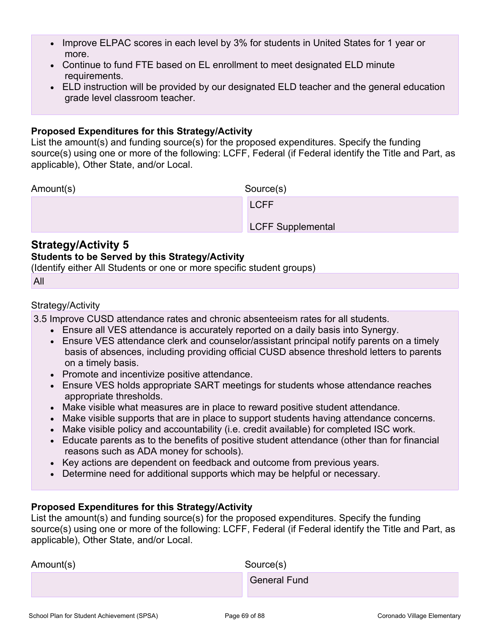- Improve ELPAC scores in each level by 3% for students in United States for 1 year or more.
- Continue to fund FTE based on EL enrollment to meet designated ELD minute requirements.
- ELD instruction will be provided by our designated ELD teacher and the general education grade level classroom teacher.

### **Proposed Expenditures for this Strategy/Activity**

List the amount(s) and funding source(s) for the proposed expenditures. Specify the funding source(s) using one or more of the following: LCFF, Federal (if Federal identify the Title and Part, as applicable), Other State, and/or Local.

Amount(s) Source(s)

LCFF Supplemental

# **Strategy/Activity 5**

### **Students to be Served by this Strategy/Activity**

LCFF

(Identify either All Students or one or more specific student groups)

```
All
```
## Strategy/Activity

3.5 Improve CUSD attendance rates and chronic absenteeism rates for all students.

- Ensure all VES attendance is accurately reported on a daily basis into Synergy.
- Ensure VES attendance clerk and counselor/assistant principal notify parents on a timely basis of absences, including providing official CUSD absence threshold letters to parents on a timely basis.
- Promote and incentivize positive attendance.
- Ensure VES holds appropriate SART meetings for students whose attendance reaches appropriate thresholds.
- Make visible what measures are in place to reward positive student attendance.
- Make visible supports that are in place to support students having attendance concerns.
- Make visible policy and accountability (i.e. credit available) for completed ISC work.
- Educate parents as to the benefits of positive student attendance (other than for financial reasons such as ADA money for schools).
- Key actions are dependent on feedback and outcome from previous years.
- Determine need for additional supports which may be helpful or necessary.

# **Proposed Expenditures for this Strategy/Activity**

List the amount(s) and funding source(s) for the proposed expenditures. Specify the funding source(s) using one or more of the following: LCFF, Federal (if Federal identify the Title and Part, as applicable), Other State, and/or Local.

| Amount(s) | Source(s)           |
|-----------|---------------------|
|           | <b>General Fund</b> |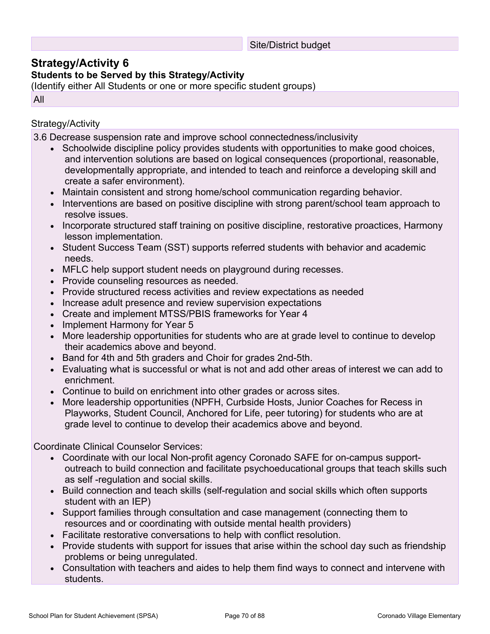### Site/District budget

# **Strategy/Activity 6**

# **Students to be Served by this Strategy/Activity**

(Identify either All Students or one or more specific student groups)

All

## Strategy/Activity

3.6 Decrease suspension rate and improve school connectedness/inclusivity

- Schoolwide discipline policy provides students with opportunities to make good choices, and intervention solutions are based on logical consequences (proportional, reasonable, developmentally appropriate, and intended to teach and reinforce a developing skill and create a safer environment).
- Maintain consistent and strong home/school communication regarding behavior.
- Interventions are based on positive discipline with strong parent/school team approach to resolve issues.
- Incorporate structured staff training on positive discipline, restorative proactices, Harmony lesson implementation.
- Student Success Team (SST) supports referred students with behavior and academic needs.
- MFLC help support student needs on playground during recesses.
- Provide counseling resources as needed.
- Provide structured recess activities and review expectations as needed
- Increase adult presence and review supervision expectations
- Create and implement MTSS/PBIS frameworks for Year 4
- Implement Harmony for Year 5
- More leadership opportunities for students who are at grade level to continue to develop their academics above and beyond.
- Band for 4th and 5th graders and Choir for grades 2nd-5th.
- Evaluating what is successful or what is not and add other areas of interest we can add to enrichment.
- Continue to build on enrichment into other grades or across sites.
- More leadership opportunities (NPFH, Curbside Hosts, Junior Coaches for Recess in Playworks, Student Council, Anchored for Life, peer tutoring) for students who are at grade level to continue to develop their academics above and beyond.

Coordinate Clinical Counselor Services:

- Coordinate with our local Non-profit agency Coronado SAFE for on-campus supportoutreach to build connection and facilitate psychoeducational groups that teach skills such as self -regulation and social skills.
- Build connection and teach skills (self-regulation and social skills which often supports student with an IEP)
- Support families through consultation and case management (connecting them to resources and or coordinating with outside mental health providers)
- Facilitate restorative conversations to help with conflict resolution.
- Provide students with support for issues that arise within the school day such as friendship problems or being unregulated.
- Consultation with teachers and aides to help them find ways to connect and intervene with students.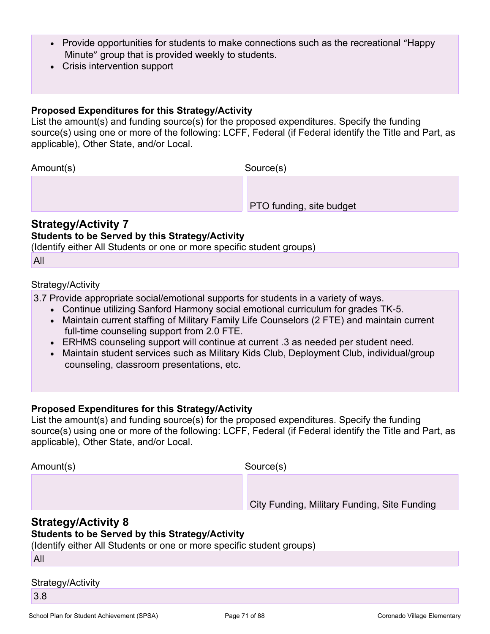- Provide opportunities for students to make connections such as the recreational "Happy" Minute" group that is provided weekly to students.
- Crisis intervention support

### **Proposed Expenditures for this Strategy/Activity**

List the amount(s) and funding source(s) for the proposed expenditures. Specify the funding source(s) using one or more of the following: LCFF, Federal (if Federal identify the Title and Part, as applicable), Other State, and/or Local.

Amount(s) Source(s)

PTO funding, site budget

# **Strategy/Activity 7**

## **Students to be Served by this Strategy/Activity**

(Identify either All Students or one or more specific student groups)

All

## Strategy/Activity

3.7 Provide appropriate social/emotional supports for students in a variety of ways.

- Continue utilizing Sanford Harmony social emotional curriculum for grades TK-5.
- Maintain current staffing of Military Family Life Counselors (2 FTE) and maintain current full-time counseling support from 2.0 FTE.
- ERHMS counseling support will continue at current .3 as needed per student need.
- Maintain student services such as Military Kids Club, Deployment Club, individual/group counseling, classroom presentations, etc.

# **Proposed Expenditures for this Strategy/Activity**

List the amount(s) and funding source(s) for the proposed expenditures. Specify the funding source(s) using one or more of the following: LCFF, Federal (if Federal identify the Title and Part, as applicable), Other State, and/or Local.

Amount(s) Source(s)

City Funding, Military Funding, Site Funding

# **Strategy/Activity 8**

# **Students to be Served by this Strategy/Activity**

(Identify either All Students or one or more specific student groups)

All

# Strategy/Activity

3.8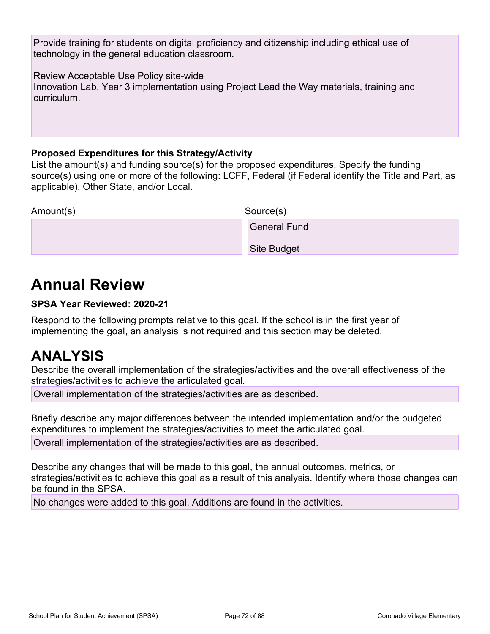Provide training for students on digital proficiency and citizenship including ethical use of technology in the general education classroom.

Review Acceptable Use Policy site-wide

Innovation Lab, Year 3 implementation using Project Lead the Way materials, training and curriculum.

# **Proposed Expenditures for this Strategy/Activity**

List the amount(s) and funding source(s) for the proposed expenditures. Specify the funding source(s) using one or more of the following: LCFF, Federal (if Federal identify the Title and Part, as applicable), Other State, and/or Local.

| Amount(s) | Source(s)           |
|-----------|---------------------|
|           | <b>General Fund</b> |

Site Budget

# **Annual Review**

# **SPSA Year Reviewed: 2020-21**

Respond to the following prompts relative to this goal. If the school is in the first year of implementing the goal, an analysis is not required and this section may be deleted.

# **ANALYSIS**

Describe the overall implementation of the strategies/activities and the overall effectiveness of the strategies/activities to achieve the articulated goal.

Overall implementation of the strategies/activities are as described.

Briefly describe any major differences between the intended implementation and/or the budgeted expenditures to implement the strategies/activities to meet the articulated goal.

Overall implementation of the strategies/activities are as described.

Describe any changes that will be made to this goal, the annual outcomes, metrics, or strategies/activities to achieve this goal as a result of this analysis. Identify where those changes can be found in the SPSA.

No changes were added to this goal. Additions are found in the activities.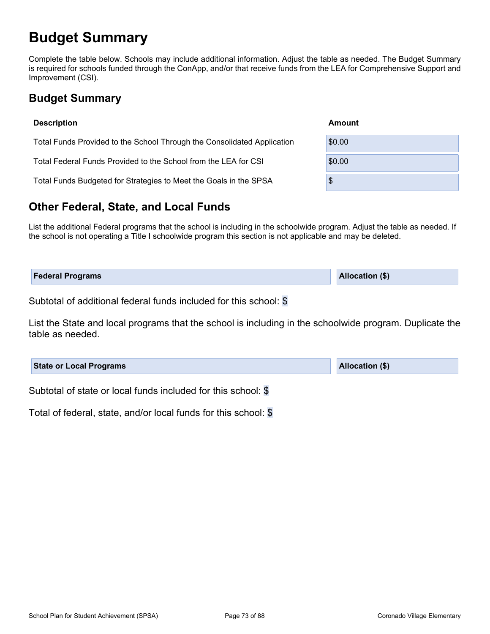## **Budget Summary**

Complete the table below. Schools may include additional information. Adjust the table as needed. The Budget Summary is required for schools funded through the ConApp, and/or that receive funds from the LEA for Comprehensive Support and Improvement (CSI).

## **Budget Summary**

| <b>Description</b>                                                      | Amount |
|-------------------------------------------------------------------------|--------|
| Total Funds Provided to the School Through the Consolidated Application | \$0.00 |
| Total Federal Funds Provided to the School from the LEA for CSI         | \$0.00 |
| Total Funds Budgeted for Strategies to Meet the Goals in the SPSA       | \$     |

#### **Other Federal, State, and Local Funds**

List the additional Federal programs that the school is including in the schoolwide program. Adjust the table as needed. If the school is not operating a Title I schoolwide program this section is not applicable and may be deleted.

| <b>Federal Programs</b> | <b>Allocation (\$)</b> |
|-------------------------|------------------------|
|                         |                        |

Subtotal of additional federal funds included for this school: \$

List the State and local programs that the school is including in the schoolwide program. Duplicate the table as needed.

| <b>State or Local Programs</b>                               | <b>Allocation (\$)</b> |
|--------------------------------------------------------------|------------------------|
| Oukhatal of state on local funds included for this school. @ |                        |

Subtotal of state or local funds included for this school: \$

Total of federal, state, and/or local funds for this school: \$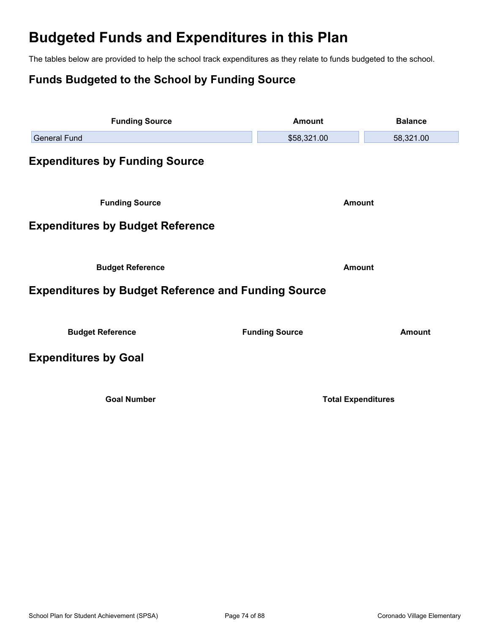# **Budgeted Funds and Expenditures in this Plan**

The tables below are provided to help the school track expenditures as they relate to funds budgeted to the school.

## **Funds Budgeted to the School by Funding Source**

| <b>Funding Source</b>                                      | <b>Amount</b>             | <b>Balance</b> |  |  |
|------------------------------------------------------------|---------------------------|----------------|--|--|
| <b>General Fund</b>                                        | \$58,321.00               | 58,321.00      |  |  |
| <b>Expenditures by Funding Source</b>                      |                           |                |  |  |
| <b>Funding Source</b>                                      | <b>Amount</b>             |                |  |  |
| <b>Expenditures by Budget Reference</b>                    |                           |                |  |  |
|                                                            |                           |                |  |  |
| <b>Budget Reference</b>                                    | <b>Amount</b>             |                |  |  |
| <b>Expenditures by Budget Reference and Funding Source</b> |                           |                |  |  |
| <b>Budget Reference</b>                                    | <b>Funding Source</b>     | <b>Amount</b>  |  |  |
| <b>Expenditures by Goal</b>                                |                           |                |  |  |
| <b>Goal Number</b>                                         | <b>Total Expenditures</b> |                |  |  |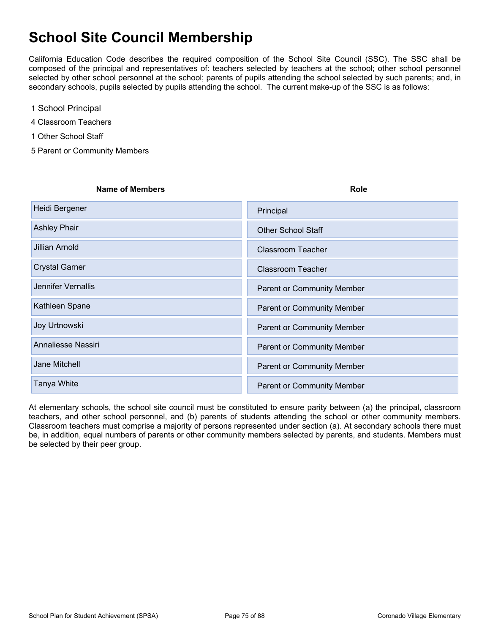# **School Site Council Membership**

California Education Code describes the required composition of the School Site Council (SSC). The SSC shall be composed of the principal and representatives of: teachers selected by teachers at the school; other school personnel selected by other school personnel at the school; parents of pupils attending the school selected by such parents; and, in secondary schools, pupils selected by pupils attending the school. The current make-up of the SSC is as follows:

- 1 School Principal
- 4 Classroom Teachers
- 1 Other School Staff
- 5 Parent or Community Members

| <b>Name of Members</b>    | <b>Role</b>                       |
|---------------------------|-----------------------------------|
| Heidi Bergener            | Principal                         |
| <b>Ashley Phair</b>       | <b>Other School Staff</b>         |
| Jillian Arnold            | <b>Classroom Teacher</b>          |
| <b>Crystal Garner</b>     | <b>Classroom Teacher</b>          |
| <b>Jennifer Vernallis</b> | <b>Parent or Community Member</b> |
| Kathleen Spane            | <b>Parent or Community Member</b> |
| Joy Urtnowski             | <b>Parent or Community Member</b> |
| Annaliesse Nassiri        | <b>Parent or Community Member</b> |
| Jane Mitchell             | <b>Parent or Community Member</b> |
| Tanya White               | <b>Parent or Community Member</b> |

At elementary schools, the school site council must be constituted to ensure parity between (a) the principal, classroom teachers, and other school personnel, and (b) parents of students attending the school or other community members. Classroom teachers must comprise a majority of persons represented under section (a). At secondary schools there must be, in addition, equal numbers of parents or other community members selected by parents, and students. Members must be selected by their peer group.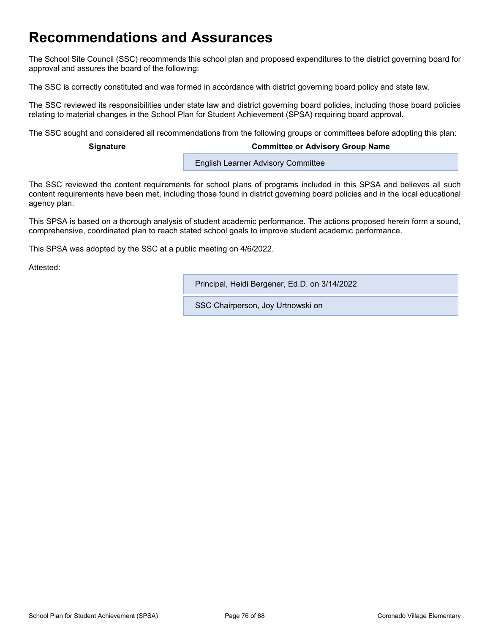## **Recommendations and Assurances**

The School Site Council (SSC) recommends this school plan and proposed expenditures to the district governing board for approval and assures the board of the following:

The SSC is correctly constituted and was formed in accordance with district governing board policy and state law.

The SSC reviewed its responsibilities under state law and district governing board policies, including those board policies relating to material changes in the School Plan for Student Achievement (SPSA) requiring board approval.

The SSC sought and considered all recommendations from the following groups or committees before adopting this plan:

#### **Signature Committee or Advisory Group Name**

**English Learner Advisory Committee** 

The SSC reviewed the content requirements for school plans of programs included in this SPSA and believes all such content requirements have been met, including those found in district governing board policies and in the local educational agency plan.

This SPSA is based on a thorough analysis of student academic performance. The actions proposed herein form a sound, comprehensive, coordinated plan to reach stated school goals to improve student academic performance.

This SPSA was adopted by the SSC at a public meeting on 4/6/2022.

Attested:

Principal, Heidi Bergener, Ed.D. on 3/14/2022

SSC Chairperson, Joy Urtnowski on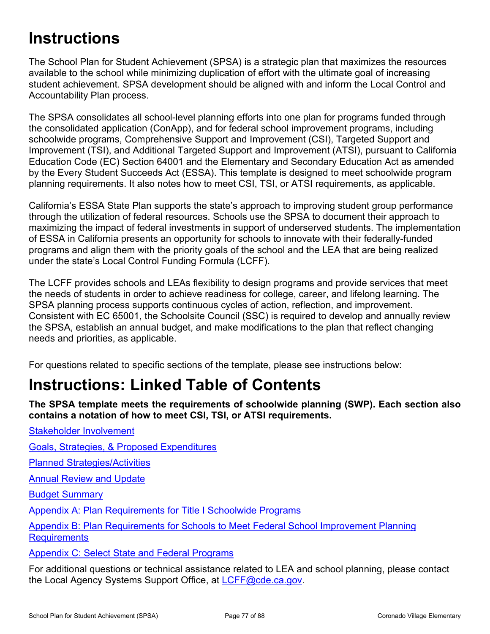# **Instructions**

The School Plan for Student Achievement (SPSA) is a strategic plan that maximizes the resources available to the school while minimizing duplication of effort with the ultimate goal of increasing student achievement. SPSA development should be aligned with and inform the Local Control and Accountability Plan process.

The SPSA consolidates all school-level planning efforts into one plan for programs funded through the consolidated application (ConApp), and for federal school improvement programs, including schoolwide programs, Comprehensive Support and Improvement (CSI), Targeted Support and Improvement (TSI), and Additional Targeted Support and Improvement (ATSI), pursuant to California Education Code (EC) Section 64001 and the Elementary and Secondary Education Act as amended by the Every Student Succeeds Act (ESSA). This template is designed to meet schoolwide program planning requirements. It also notes how to meet CSI, TSI, or ATSI requirements, as applicable.

California's ESSA State Plan supports the state's approach to improving student group performance through the utilization of federal resources. Schools use the SPSA to document their approach to maximizing the impact of federal investments in support of underserved students. The implementation of ESSA in California presents an opportunity for schools to innovate with their federally-funded programs and align them with the priority goals of the school and the LEA that are being realized under the state's Local Control Funding Formula (LCFF).

The LCFF provides schools and LEAs flexibility to design programs and provide services that meet the needs of students in order to achieve readiness for college, career, and lifelong learning. The SPSA planning process supports continuous cycles of action, reflection, and improvement. Consistent with EC 65001, the Schoolsite Council (SSC) is required to develop and annually review the SPSA, establish an annual budget, and make modifications to the plan that reflect changing needs and priorities, as applicable.

For questions related to specific sections of the template, please see instructions below:

# **Instructions: Linked Table of Contents**

**The SPSA template meets the requirements of schoolwide planning (SWP). Each section also contains a notation of how to meet CSI, TSI, or ATSI requirements.** 

[Goals, Strategies, & Proposed Expenditures](#page-78-0)

[Planned Strategies/Activities](#page-78-1)

**[Annual Review and Update](#page-79-0)** 

[Stakeholder Involvement](#page-77-0)

[Budget Summary](#page-80-0)

[Appendix A: Plan Requirements for Title I Schoolwide Programs](#page-82-0)

[Appendix B: Plan Requirements for Schools to Meet Federal School Improvement Planning](#page-85-0)  **[Requirements](#page-85-0)** 

[Appendix C: Select State and Federal Programs](#page-87-0)

For additional questions or technical assistance related to LEA and school planning, please contact the Local Agency Systems Support Office, at [LCFF@cde.ca.gov.](mailto:%20LCFF@cde.ca.gov)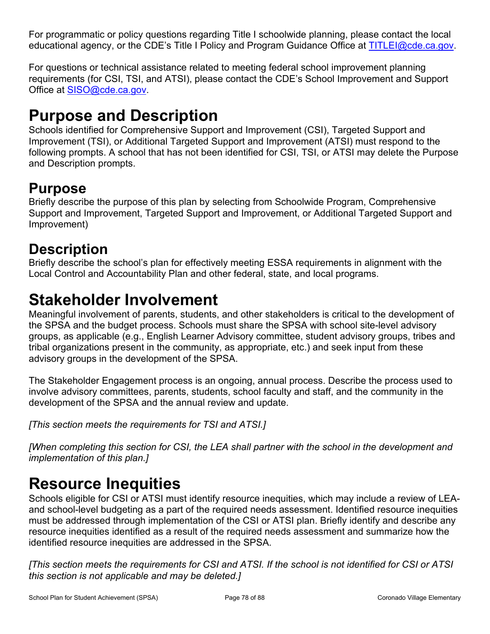For programmatic or policy questions regarding Title I schoolwide planning, please contact the local educational agency, or the CDE's Title I Policy and Program Guidance Office at [TITLEI@cde.ca.gov](mailto:%20TITLEI@cde.ca.gov).

For questions or technical assistance related to meeting federal school improvement planning requirements (for CSI, TSI, and ATSI), please contact the CDE's School Improvement and Support Office at [SISO@cde.ca.gov.](mailto:%20SISO@cde.ca.gov)

# **Purpose and Description**

Schools identified for Comprehensive Support and Improvement (CSI), Targeted Support and Improvement (TSI), or Additional Targeted Support and Improvement (ATSI) must respond to the following prompts. A school that has not been identified for CSI, TSI, or ATSI may delete the Purpose and Description prompts.

## **Purpose**

Briefly describe the purpose of this plan by selecting from Schoolwide Program, Comprehensive Support and Improvement, Targeted Support and Improvement, or Additional Targeted Support and Improvement)

## **Description**

Briefly describe the school's plan for effectively meeting ESSA requirements in alignment with the Local Control and Accountability Plan and other federal, state, and local programs.

# <span id="page-77-0"></span>**Stakeholder Involvement**

Meaningful involvement of parents, students, and other stakeholders is critical to the development of the SPSA and the budget process. Schools must share the SPSA with school site-level advisory groups, as applicable (e.g., English Learner Advisory committee, student advisory groups, tribes and tribal organizations present in the community, as appropriate, etc.) and seek input from these advisory groups in the development of the SPSA.

The Stakeholder Engagement process is an ongoing, annual process. Describe the process used to involve advisory committees, parents, students, school faculty and staff, and the community in the development of the SPSA and the annual review and update.

*[This section meets the requirements for TSI and ATSI.]*

*[When completing this section for CSI, the LEA shall partner with the school in the development and implementation of this plan.]*

# **Resource Inequities**

Schools eligible for CSI or ATSI must identify resource inequities, which may include a review of LEAand school-level budgeting as a part of the required needs assessment. Identified resource inequities must be addressed through implementation of the CSI or ATSI plan. Briefly identify and describe any resource inequities identified as a result of the required needs assessment and summarize how the identified resource inequities are addressed in the SPSA.

*[This section meets the requirements for CSI and ATSI. If the school is not identified for CSI or ATSI this section is not applicable and may be deleted.]*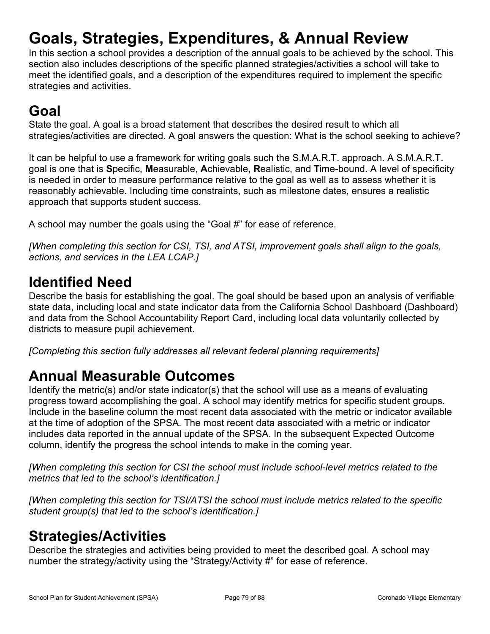# <span id="page-78-0"></span>**Goals, Strategies, Expenditures, & Annual Review**

In this section a school provides a description of the annual goals to be achieved by the school. This section also includes descriptions of the specific planned strategies/activities a school will take to meet the identified goals, and a description of the expenditures required to implement the specific strategies and activities.

# **Goal**

State the goal. A goal is a broad statement that describes the desired result to which all strategies/activities are directed. A goal answers the question: What is the school seeking to achieve?

It can be helpful to use a framework for writing goals such the S.M.A.R.T. approach. A S.M.A.R.T. goal is one that is **S**pecific, **M**easurable, **A**chievable, **R**ealistic, and **T**ime-bound. A level of specificity is needed in order to measure performance relative to the goal as well as to assess whether it is reasonably achievable. Including time constraints, such as milestone dates, ensures a realistic approach that supports student success.

A school may number the goals using the "Goal #" for ease of reference.

*[When completing this section for CSI, TSI, and ATSI, improvement goals shall align to the goals, actions, and services in the LEA LCAP.]*

## **Identified Need**

Describe the basis for establishing the goal. The goal should be based upon an analysis of verifiable state data, including local and state indicator data from the California School Dashboard (Dashboard) and data from the School Accountability Report Card, including local data voluntarily collected by districts to measure pupil achievement.

*[Completing this section fully addresses all relevant federal planning requirements]*

## **Annual Measurable Outcomes**

Identify the metric(s) and/or state indicator(s) that the school will use as a means of evaluating progress toward accomplishing the goal. A school may identify metrics for specific student groups. Include in the baseline column the most recent data associated with the metric or indicator available at the time of adoption of the SPSA. The most recent data associated with a metric or indicator includes data reported in the annual update of the SPSA. In the subsequent Expected Outcome column, identify the progress the school intends to make in the coming year.

*[When completing this section for CSI the school must include school-level metrics related to the metrics that led to the school's identification.]*

*[When completing this section for TSI/ATSI the school must include metrics related to the specific student group(s) that led to the school's identification.]* 

## <span id="page-78-1"></span>**Strategies/Activities**

Describe the strategies and activities being provided to meet the described goal. A school may number the strategy/activity using the "Strategy/Activity #" for ease of reference.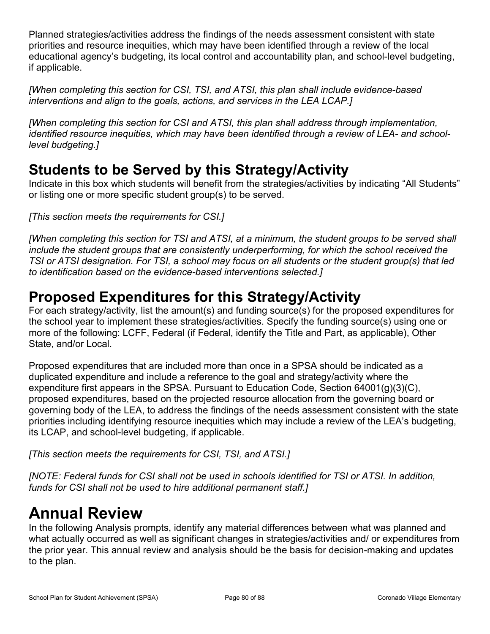Planned strategies/activities address the findings of the needs assessment consistent with state priorities and resource inequities, which may have been identified through a review of the local educational agency's budgeting, its local control and accountability plan, and school-level budgeting, if applicable.

*[When completing this section for CSI, TSI, and ATSI, this plan shall include evidence-based interventions and align to the goals, actions, and services in the LEA LCAP.]*

*[When completing this section for CSI and ATSI, this plan shall address through implementation, identified resource inequities, which may have been identified through a review of LEA- and schoollevel budgeting.]*

## **Students to be Served by this Strategy/Activity**

Indicate in this box which students will benefit from the strategies/activities by indicating "All Students" or listing one or more specific student group(s) to be served.

*[This section meets the requirements for CSI.]*

*[When completing this section for TSI and ATSI, at a minimum, the student groups to be served shall include the student groups that are consistently underperforming, for which the school received the TSI or ATSI designation. For TSI, a school may focus on all students or the student group(s) that led to identification based on the evidence-based interventions selected.]*

## **Proposed Expenditures for this Strategy/Activity**

For each strategy/activity, list the amount(s) and funding source(s) for the proposed expenditures for the school year to implement these strategies/activities. Specify the funding source(s) using one or more of the following: LCFF, Federal (if Federal, identify the Title and Part, as applicable), Other State, and/or Local.

Proposed expenditures that are included more than once in a SPSA should be indicated as a duplicated expenditure and include a reference to the goal and strategy/activity where the expenditure first appears in the SPSA. Pursuant to Education Code, Section 64001(g)(3)(C), proposed expenditures, based on the projected resource allocation from the governing board or governing body of the LEA, to address the findings of the needs assessment consistent with the state priorities including identifying resource inequities which may include a review of the LEA's budgeting, its LCAP, and school-level budgeting, if applicable.

*[This section meets the requirements for CSI, TSI, and ATSI.]*

*[NOTE: Federal funds for CSI shall not be used in schools identified for TSI or ATSI. In addition, funds for CSI shall not be used to hire additional permanent staff.]*

# <span id="page-79-0"></span>**Annual Review**

In the following Analysis prompts, identify any material differences between what was planned and what actually occurred as well as significant changes in strategies/activities and/ or expenditures from the prior year. This annual review and analysis should be the basis for decision-making and updates to the plan.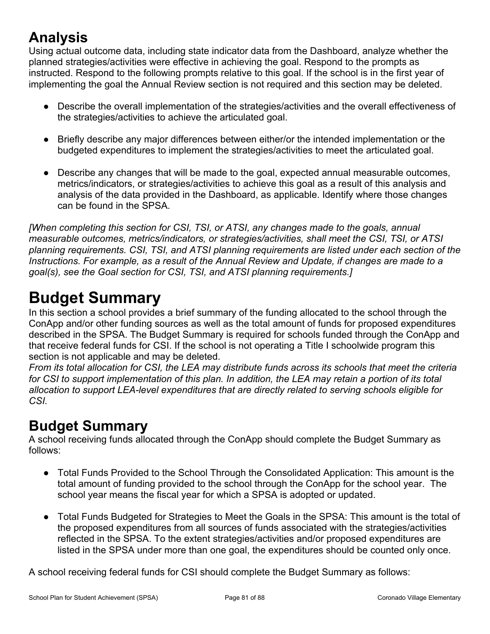# **Analysis**

Using actual outcome data, including state indicator data from the Dashboard, analyze whether the planned strategies/activities were effective in achieving the goal. Respond to the prompts as instructed. Respond to the following prompts relative to this goal. If the school is in the first year of implementing the goal the Annual Review section is not required and this section may be deleted.

- Describe the overall implementation of the strategies/activities and the overall effectiveness of the strategies/activities to achieve the articulated goal.
- Briefly describe any major differences between either/or the intended implementation or the budgeted expenditures to implement the strategies/activities to meet the articulated goal.
- Describe any changes that will be made to the goal, expected annual measurable outcomes, metrics/indicators, or strategies/activities to achieve this goal as a result of this analysis and analysis of the data provided in the Dashboard, as applicable. Identify where those changes can be found in the SPSA.

*[When completing this section for CSI, TSI, or ATSI, any changes made to the goals, annual measurable outcomes, metrics/indicators, or strategies/activities, shall meet the CSI, TSI, or ATSI planning requirements. CSI, TSI, and ATSI planning requirements are listed under each section of the Instructions. For example, as a result of the Annual Review and Update, if changes are made to a goal(s), see the Goal section for CSI, TSI, and ATSI planning requirements.]* 

# <span id="page-80-0"></span>**Budget Summary**

In this section a school provides a brief summary of the funding allocated to the school through the ConApp and/or other funding sources as well as the total amount of funds for proposed expenditures described in the SPSA. The Budget Summary is required for schools funded through the ConApp and that receive federal funds for CSI. If the school is not operating a Title I schoolwide program this section is not applicable and may be deleted.

*From its total allocation for CSI, the LEA may distribute funds across its schools that meet the criteria for CSI to support implementation of this plan. In addition, the LEA may retain a portion of its total allocation to support LEA-level expenditures that are directly related to serving schools eligible for CSI.*

## **Budget Summary**

A school receiving funds allocated through the ConApp should complete the Budget Summary as follows:

- Total Funds Provided to the School Through the Consolidated Application: This amount is the total amount of funding provided to the school through the ConApp for the school year. The school year means the fiscal year for which a SPSA is adopted or updated.
- Total Funds Budgeted for Strategies to Meet the Goals in the SPSA: This amount is the total of the proposed expenditures from all sources of funds associated with the strategies/activities reflected in the SPSA. To the extent strategies/activities and/or proposed expenditures are listed in the SPSA under more than one goal, the expenditures should be counted only once.

A school receiving federal funds for CSI should complete the Budget Summary as follows: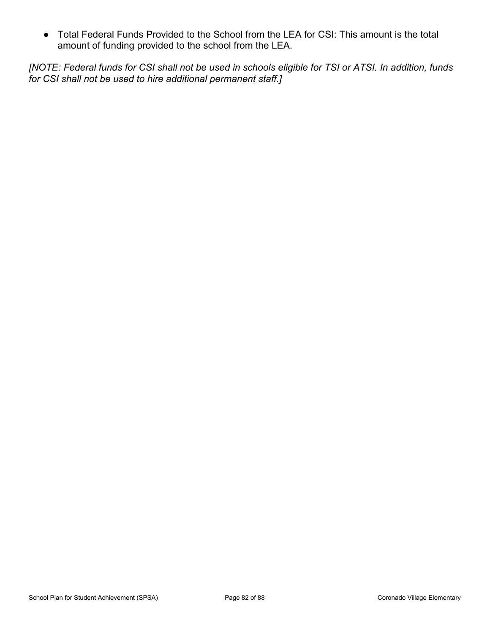● Total Federal Funds Provided to the School from the LEA for CSI: This amount is the total amount of funding provided to the school from the LEA.

*[NOTE: Federal funds for CSI shall not be used in schools eligible for TSI or ATSI. In addition, funds for CSI shall not be used to hire additional permanent staff.]*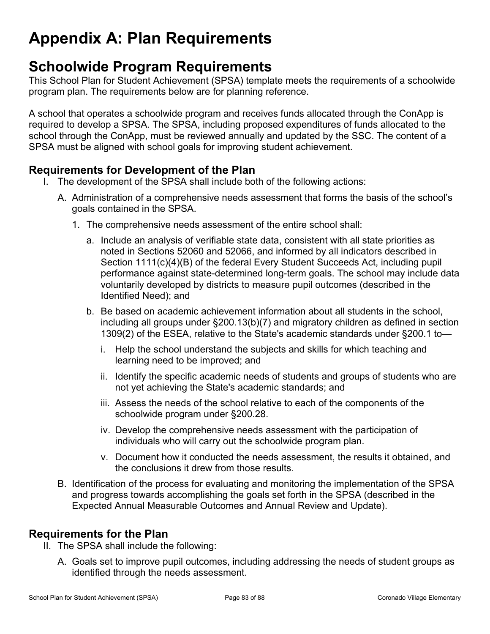# <span id="page-82-0"></span>**Appendix A: Plan Requirements**

## **Schoolwide Program Requirements**

This School Plan for Student Achievement (SPSA) template meets the requirements of a schoolwide program plan. The requirements below are for planning reference.

A school that operates a schoolwide program and receives funds allocated through the ConApp is required to develop a SPSA. The SPSA, including proposed expenditures of funds allocated to the school through the ConApp, must be reviewed annually and updated by the SSC. The content of a SPSA must be aligned with school goals for improving student achievement.

#### **Requirements for Development of the Plan**

- I. The development of the SPSA shall include both of the following actions:
	- A. Administration of a comprehensive needs assessment that forms the basis of the school's goals contained in the SPSA.
		- 1. The comprehensive needs assessment of the entire school shall:
			- a. Include an analysis of verifiable state data, consistent with all state priorities as noted in Sections 52060 and 52066, and informed by all indicators described in Section 1111(c)(4)(B) of the federal Every Student Succeeds Act, including pupil performance against state-determined long-term goals. The school may include data voluntarily developed by districts to measure pupil outcomes (described in the Identified Need); and
			- b. Be based on academic achievement information about all students in the school, including all groups under §200.13(b)(7) and migratory children as defined in section 1309(2) of the ESEA, relative to the State's academic standards under §200.1 to
				- i. Help the school understand the subjects and skills for which teaching and learning need to be improved; and
				- ii. Identify the specific academic needs of students and groups of students who are not yet achieving the State's academic standards; and
				- iii. Assess the needs of the school relative to each of the components of the schoolwide program under §200.28.
				- iv. Develop the comprehensive needs assessment with the participation of individuals who will carry out the schoolwide program plan.
				- v. Document how it conducted the needs assessment, the results it obtained, and the conclusions it drew from those results.
	- B. Identification of the process for evaluating and monitoring the implementation of the SPSA and progress towards accomplishing the goals set forth in the SPSA (described in the Expected Annual Measurable Outcomes and Annual Review and Update).

#### **Requirements for the Plan**

- II. The SPSA shall include the following:
	- A. Goals set to improve pupil outcomes, including addressing the needs of student groups as identified through the needs assessment.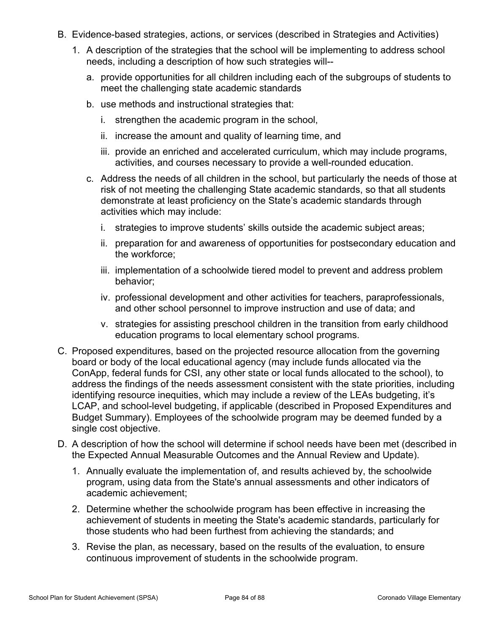- B. Evidence-based strategies, actions, or services (described in Strategies and Activities)
	- 1. A description of the strategies that the school will be implementing to address school needs, including a description of how such strategies will-
		- a. provide opportunities for all children including each of the subgroups of students to meet the challenging state academic standards
		- b. use methods and instructional strategies that:
			- i. strengthen the academic program in the school,
			- ii. increase the amount and quality of learning time, and
			- iii. provide an enriched and accelerated curriculum, which may include programs, activities, and courses necessary to provide a well-rounded education.
		- c. Address the needs of all children in the school, but particularly the needs of those at risk of not meeting the challenging State academic standards, so that all students demonstrate at least proficiency on the State's academic standards through activities which may include:
			- i. strategies to improve students' skills outside the academic subject areas;
			- ii. preparation for and awareness of opportunities for postsecondary education and the workforce;
			- iii. implementation of a schoolwide tiered model to prevent and address problem behavior;
			- iv. professional development and other activities for teachers, paraprofessionals, and other school personnel to improve instruction and use of data; and
			- v. strategies for assisting preschool children in the transition from early childhood education programs to local elementary school programs.
- C. Proposed expenditures, based on the projected resource allocation from the governing board or body of the local educational agency (may include funds allocated via the ConApp, federal funds for CSI, any other state or local funds allocated to the school), to address the findings of the needs assessment consistent with the state priorities, including identifying resource inequities, which may include a review of the LEAs budgeting, it's LCAP, and school-level budgeting, if applicable (described in Proposed Expenditures and Budget Summary). Employees of the schoolwide program may be deemed funded by a single cost objective.
- D. A description of how the school will determine if school needs have been met (described in the Expected Annual Measurable Outcomes and the Annual Review and Update).
	- 1. Annually evaluate the implementation of, and results achieved by, the schoolwide program, using data from the State's annual assessments and other indicators of academic achievement;
	- 2. Determine whether the schoolwide program has been effective in increasing the achievement of students in meeting the State's academic standards, particularly for those students who had been furthest from achieving the standards; and
	- 3. Revise the plan, as necessary, based on the results of the evaluation, to ensure continuous improvement of students in the schoolwide program.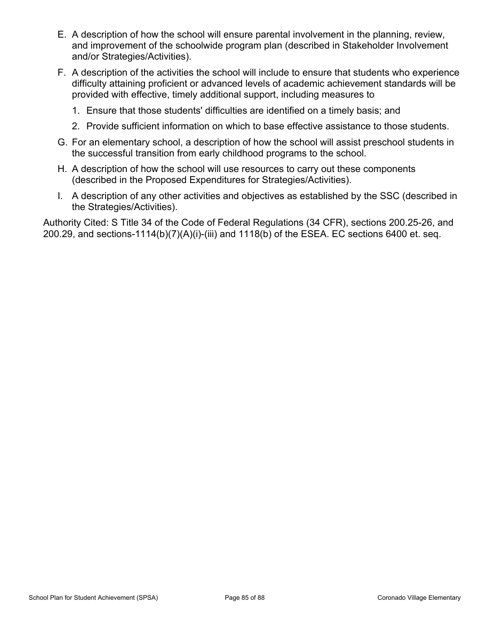- E. A description of how the school will ensure parental involvement in the planning, review, and improvement of the schoolwide program plan (described in Stakeholder Involvement and/or Strategies/Activities).
- F. A description of the activities the school will include to ensure that students who experience difficulty attaining proficient or advanced levels of academic achievement standards will be provided with effective, timely additional support, including measures to
	- 1. Ensure that those students' difficulties are identified on a timely basis; and
	- 2. Provide sufficient information on which to base effective assistance to those students.
- G. For an elementary school, a description of how the school will assist preschool students in the successful transition from early childhood programs to the school.
- H. A description of how the school will use resources to carry out these components (described in the Proposed Expenditures for Strategies/Activities).
- I. A description of any other activities and objectives as established by the SSC (described in the Strategies/Activities).

Authority Cited: S Title 34 of the Code of Federal Regulations (34 CFR), sections 200.25-26, and 200.29, and sections-1114(b)(7)(A)(i)-(iii) and 1118(b) of the ESEA. EC sections 6400 et. seq.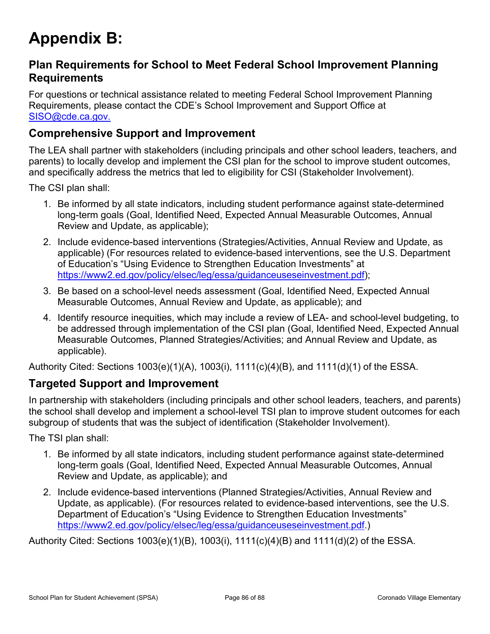# <span id="page-85-0"></span>**Appendix B:**

#### **Plan Requirements for School to Meet Federal School Improvement Planning Requirements**

For questions or technical assistance related to meeting Federal School Improvement Planning Requirements, please contact the CDE's School Improvement and Support Office at [SISO@cde.ca.gov.](mailto:%20SISO@cde.ca.gov.)

#### **Comprehensive Support and Improvement**

The LEA shall partner with stakeholders (including principals and other school leaders, teachers, and parents) to locally develop and implement the CSI plan for the school to improve student outcomes, and specifically address the metrics that led to eligibility for CSI (Stakeholder Involvement).

The CSI plan shall:

- 1. Be informed by all state indicators, including student performance against state-determined long-term goals (Goal, Identified Need, Expected Annual Measurable Outcomes, Annual Review and Update, as applicable);
- 2. Include evidence-based interventions (Strategies/Activities, Annual Review and Update, as applicable) (For resources related to evidence-based interventions, see the U.S. Department of Education's "Using Evidence to Strengthen Education Investments" at [https://www2.ed.gov/policy/elsec/leg/essa/guidanceuseseinvestment.pdf\)](https://www2.ed.gov/policy/elsec/leg/essa/guidanceuseseinvestment.pdf);
- 3. Be based on a school-level needs assessment (Goal, Identified Need, Expected Annual Measurable Outcomes, Annual Review and Update, as applicable); and
- 4. Identify resource inequities, which may include a review of LEA- and school-level budgeting, to be addressed through implementation of the CSI plan (Goal, Identified Need, Expected Annual Measurable Outcomes, Planned Strategies/Activities; and Annual Review and Update, as applicable).

Authority Cited: Sections 1003(e)(1)(A), 1003(i), 1111(c)(4)(B), and 1111(d)(1) of the ESSA.

#### **Targeted Support and Improvement**

In partnership with stakeholders (including principals and other school leaders, teachers, and parents) the school shall develop and implement a school-level TSI plan to improve student outcomes for each subgroup of students that was the subject of identification (Stakeholder Involvement).

The TSI plan shall:

- 1. Be informed by all state indicators, including student performance against state-determined long-term goals (Goal, Identified Need, Expected Annual Measurable Outcomes, Annual Review and Update, as applicable); and
- 2. Include evidence-based interventions (Planned Strategies/Activities, Annual Review and Update, as applicable). (For resources related to evidence-based interventions, see the U.S. Department of Education's "Using Evidence to Strengthen Education Investments" <https://www2.ed.gov/policy/elsec/leg/essa/guidanceuseseinvestment.pdf.>)

Authority Cited: Sections 1003(e)(1)(B), 1003(i), 1111(c)(4)(B) and 1111(d)(2) of the ESSA.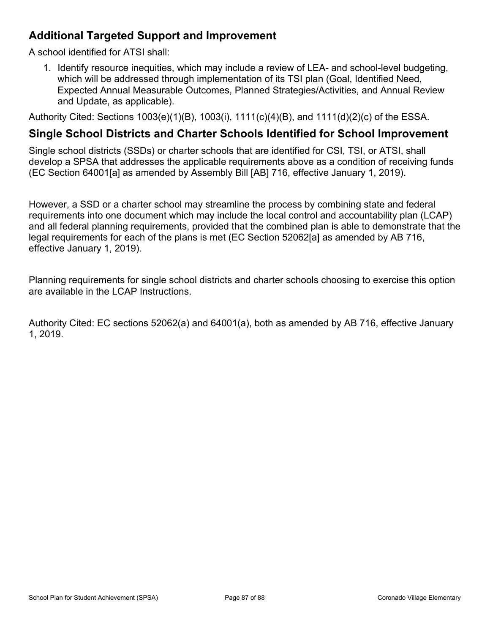#### **Additional Targeted Support and Improvement**

A school identified for ATSI shall:

1. Identify resource inequities, which may include a review of LEA- and school-level budgeting, which will be addressed through implementation of its TSI plan (Goal, Identified Need, Expected Annual Measurable Outcomes, Planned Strategies/Activities, and Annual Review and Update, as applicable).

Authority Cited: Sections 1003(e)(1)(B), 1003(i), 1111(c)(4)(B), and 1111(d)(2)(c) of the ESSA.

#### **Single School Districts and Charter Schools Identified for School Improvement**

Single school districts (SSDs) or charter schools that are identified for CSI, TSI, or ATSI, shall develop a SPSA that addresses the applicable requirements above as a condition of receiving funds (EC Section 64001[a] as amended by Assembly Bill [AB] 716, effective January 1, 2019).

However, a SSD or a charter school may streamline the process by combining state and federal requirements into one document which may include the local control and accountability plan (LCAP) and all federal planning requirements, provided that the combined plan is able to demonstrate that the legal requirements for each of the plans is met (EC Section 52062[a] as amended by AB 716, effective January 1, 2019).

Planning requirements for single school districts and charter schools choosing to exercise this option are available in the LCAP Instructions.

Authority Cited: EC sections 52062(a) and 64001(a), both as amended by AB 716, effective January 1, 2019.